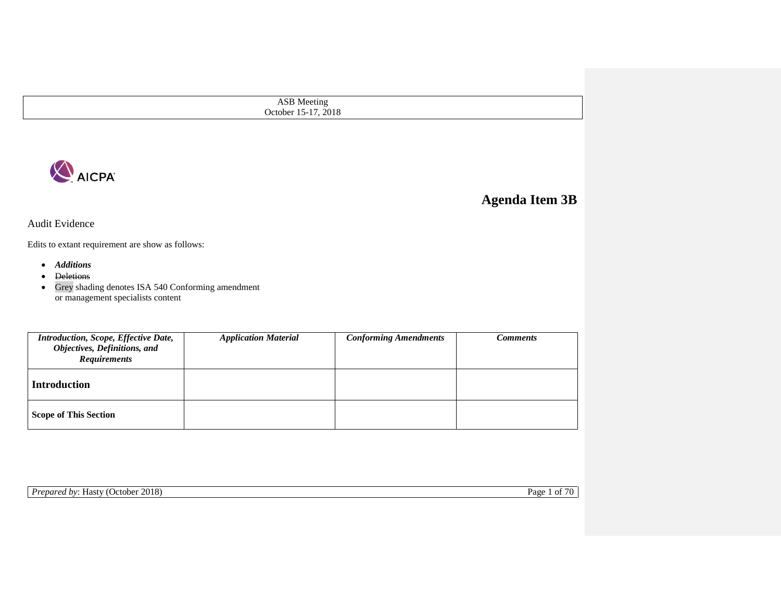ASB Meeting October 15-17, 2018



## **Agenda Item 3B**

Audit Evidence

Edits to extant requirement are show as follows:

- *Additions*
- <del>Deletions</del>
- Grey shading denotes ISA 540 Conforming amendment or management specialists content

| Introduction, Scope, Effective Date,<br>Objectives, Definitions, and<br><b>Requirements</b> | <b>Application Material</b> | <b>Conforming Amendments</b> | Comments |
|---------------------------------------------------------------------------------------------|-----------------------------|------------------------------|----------|
| <b>Introduction</b>                                                                         |                             |                              |          |
| <b>Scope of This Section</b>                                                                |                             |                              |          |

**Prepared by: Hasty (October 2018)** Page 1 of 70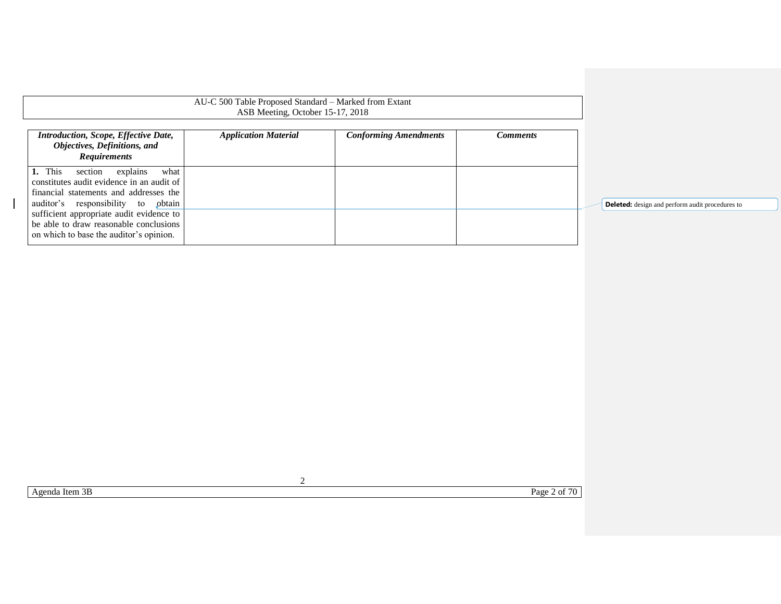| Introduction, Scope, Effective Date,<br>Objectives, Definitions, and<br><b>Requirements</b>                                                                            | <b>Application Material</b> | <b>Conforming Amendments</b> | <b>Comments</b> |
|------------------------------------------------------------------------------------------------------------------------------------------------------------------------|-----------------------------|------------------------------|-----------------|
| 1. This<br>what<br>explains<br>section<br>constitutes audit evidence in an audit of<br>financial statements and addresses the<br>auditor's responsibility to<br>obtain |                             |                              |                 |
| sufficient appropriate audit evidence to<br>be able to draw reasonable conclusions<br>on which to base the auditor's opinion.                                          |                             |                              |                 |

AU-C 500 Table Proposed Standard – Marked from Extant

**Deleted:** design and perform audit procedures to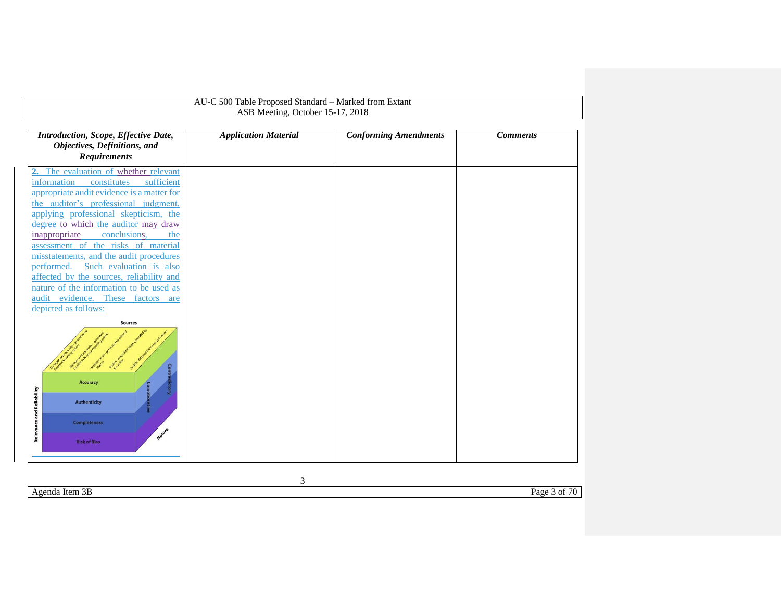<span id="page-2-0"></span>

| AU-C 500 Table Proposed Standard - Marked from Extant<br>ASB Meeting, October 15-17, 2018                                                                                                                                                                                                                                                                                                                                                                                                                                                                                                                                                                                                           |                             |                              |                 |  |  |
|-----------------------------------------------------------------------------------------------------------------------------------------------------------------------------------------------------------------------------------------------------------------------------------------------------------------------------------------------------------------------------------------------------------------------------------------------------------------------------------------------------------------------------------------------------------------------------------------------------------------------------------------------------------------------------------------------------|-----------------------------|------------------------------|-----------------|--|--|
| Introduction, Scope, Effective Date,<br>Objectives, Definitions, and<br><b>Requirements</b>                                                                                                                                                                                                                                                                                                                                                                                                                                                                                                                                                                                                         | <b>Application Material</b> | <b>Conforming Amendments</b> | <b>Comments</b> |  |  |
| The evaluation of whether relevant<br>information<br>constitutes<br>sufficient<br>appropriate audit evidence is a matter for<br>the auditor's professional judgment,<br>applying professional skepticism, the<br>degree to which the auditor may draw<br>conclusions,<br>inappropriate<br>the<br>assessment of the risks of material<br>misstatements, and the audit procedures<br>Such evaluation is also<br>performed.<br>affected by the sources, reliability and<br>nature of the information to be used as<br>audit evidence. These factors are<br>depicted as follows:<br><b>Sources</b><br><b>Accuracy</b><br><b>Relevance and Reliability</b><br><b>Authenticity</b><br><b>Completeness</b> |                             |                              |                 |  |  |
| Nature<br><b>Risk of Bias</b>                                                                                                                                                                                                                                                                                                                                                                                                                                                                                                                                                                                                                                                                       |                             |                              |                 |  |  |

Agenda Item 3B Page 3 of 70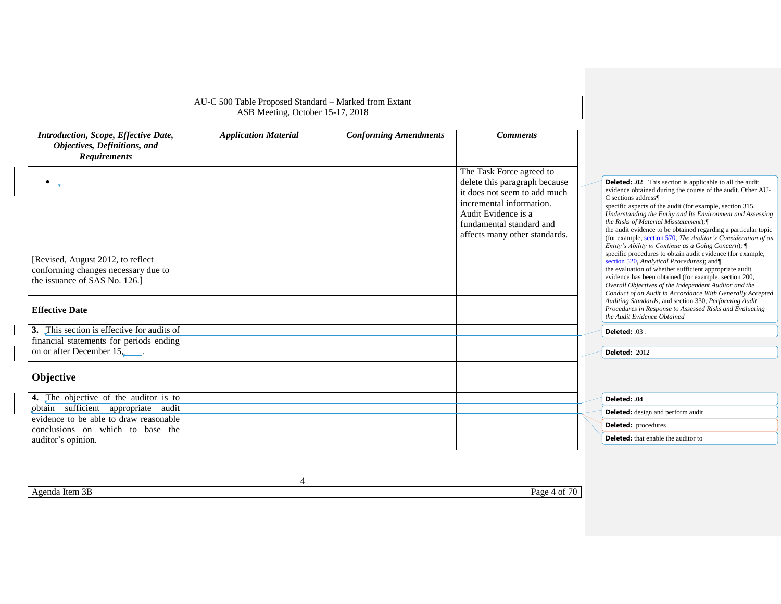| <b>Application Material</b><br>Introduction, Scope, Effective Date,<br>Objectives, Definitions, and<br><b>Requirements</b> | <b>Conforming Amendments</b> | <b>Comments</b>                                                                                                                              |                                                                                                                                                                                                                                                                                                                                                                                                                                                  |
|----------------------------------------------------------------------------------------------------------------------------|------------------------------|----------------------------------------------------------------------------------------------------------------------------------------------|--------------------------------------------------------------------------------------------------------------------------------------------------------------------------------------------------------------------------------------------------------------------------------------------------------------------------------------------------------------------------------------------------------------------------------------------------|
|                                                                                                                            |                              |                                                                                                                                              |                                                                                                                                                                                                                                                                                                                                                                                                                                                  |
| $\bullet$                                                                                                                  |                              | The Task Force agreed to<br>delete this paragraph because                                                                                    | <b>Deleted: .02</b> This section is applicable to all the audit                                                                                                                                                                                                                                                                                                                                                                                  |
|                                                                                                                            |                              | it does not seem to add much<br>incremental information.<br>Audit Evidence is a<br>fundamental standard and<br>affects many other standards. | evidence obtained during the course of the audit. Other AU-<br>C sections address¶<br>specific aspects of the audit (for example, section 315,<br>Understanding the Entity and Its Environment and Assessing<br>the Risks of Material Misstatement);<br>the audit evidence to be obtained regarding a particular topic<br>(for example, section 570, The Auditor's Consideration of an<br>Entity's Ability to Continue as a Going Concern); $\P$ |
| [Revised, August 2012, to reflect<br>conforming changes necessary due to<br>the issuance of SAS No. 126.]                  |                              |                                                                                                                                              | specific procedures to obtain audit evidence (for example,<br>section 520, Analytical Procedures); and<br>the evaluation of whether sufficient appropriate audit<br>evidence has been obtained (for example, section 200,<br>Overall Objectives of the Independent Auditor and the<br>Conduct of an Audit in Accordance With Generally Accepted<br>Auditing Standards, and section 330, Performing Audit                                         |
| <b>Effective Date</b>                                                                                                      |                              |                                                                                                                                              | Procedures in Response to Assessed Risks and Evaluating<br>the Audit Evidence Obtained                                                                                                                                                                                                                                                                                                                                                           |
| 3. This section is effective for audits of                                                                                 |                              |                                                                                                                                              | Deleted: .03                                                                                                                                                                                                                                                                                                                                                                                                                                     |
| financial statements for periods ending<br>on or after December 15,                                                        |                              |                                                                                                                                              | <b>Deleted: 2012</b>                                                                                                                                                                                                                                                                                                                                                                                                                             |
| Objective                                                                                                                  |                              |                                                                                                                                              |                                                                                                                                                                                                                                                                                                                                                                                                                                                  |
| 4. The objective of the auditor is to                                                                                      |                              |                                                                                                                                              | Deleted: .04                                                                                                                                                                                                                                                                                                                                                                                                                                     |
| obtain sufficient appropriate audit<br>evidence to be able to draw reasonable                                              |                              |                                                                                                                                              | <b>Deleted:</b> design and perform audit                                                                                                                                                                                                                                                                                                                                                                                                         |
| conclusions on which to base the                                                                                           |                              |                                                                                                                                              | Deleted: -procedures                                                                                                                                                                                                                                                                                                                                                                                                                             |
| auditor's opinion.                                                                                                         |                              |                                                                                                                                              | <b>Deleted:</b> that enable the auditor to                                                                                                                                                                                                                                                                                                                                                                                                       |

Agenda Item 3B Page 4 of 70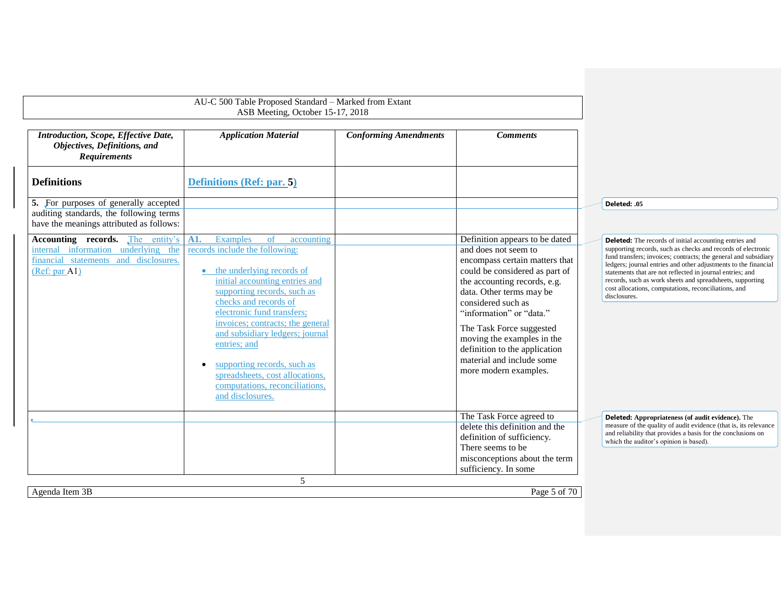<span id="page-4-1"></span><span id="page-4-0"></span>

|                                                                                                                                          | AU-C 500 Table Proposed Standard - Marked from Extant<br>ASB Meeting, October 15-17, 2018                                                                                                                                                                                                                                                                                                                                                                         |                              |                                                                                                                                                                                                                                                                                                                                                                                           |                                                                                                                                                                                                                                                                                                                                                                                                                                                                       |
|------------------------------------------------------------------------------------------------------------------------------------------|-------------------------------------------------------------------------------------------------------------------------------------------------------------------------------------------------------------------------------------------------------------------------------------------------------------------------------------------------------------------------------------------------------------------------------------------------------------------|------------------------------|-------------------------------------------------------------------------------------------------------------------------------------------------------------------------------------------------------------------------------------------------------------------------------------------------------------------------------------------------------------------------------------------|-----------------------------------------------------------------------------------------------------------------------------------------------------------------------------------------------------------------------------------------------------------------------------------------------------------------------------------------------------------------------------------------------------------------------------------------------------------------------|
| Introduction, Scope, Effective Date,<br>Objectives, Definitions, and<br><b>Requirements</b>                                              | <b>Application Material</b>                                                                                                                                                                                                                                                                                                                                                                                                                                       | <b>Conforming Amendments</b> | <b>Comments</b>                                                                                                                                                                                                                                                                                                                                                                           |                                                                                                                                                                                                                                                                                                                                                                                                                                                                       |
| <b>Definitions</b>                                                                                                                       | Definitions (Ref: par. 5)                                                                                                                                                                                                                                                                                                                                                                                                                                         |                              |                                                                                                                                                                                                                                                                                                                                                                                           |                                                                                                                                                                                                                                                                                                                                                                                                                                                                       |
| 5. For purposes of generally accepted<br>auditing standards, the following terms<br>have the meanings attributed as follows:             |                                                                                                                                                                                                                                                                                                                                                                                                                                                                   |                              |                                                                                                                                                                                                                                                                                                                                                                                           | Deleted: .05                                                                                                                                                                                                                                                                                                                                                                                                                                                          |
| <b>Accounting records.</b> The entity's<br>internal information underlying the<br>financial statements and disclosures.<br>(Ref: par A1) | A1.<br>Examples<br><sub>of</sub><br>accounting<br>records include the following:<br>the underlying records of<br>$\bullet$<br>initial accounting entries and<br>supporting records, such as<br>checks and records of<br>electronic fund transfers;<br>invoices: contracts: the general<br>and subsidiary ledgers; journal<br>entries; and<br>supporting records, such as<br>spreadsheets, cost allocations,<br>computations, reconciliations.<br>and disclosures. |                              | Definition appears to be dated<br>and does not seem to<br>encompass certain matters that<br>could be considered as part of<br>the accounting records, e.g.<br>data. Other terms may be<br>considered such as<br>"information" or "data."<br>The Task Force suggested<br>moving the examples in the<br>definition to the application<br>material and include some<br>more modern examples. | <b>Deleted:</b> The records of initial accounting entries and<br>supporting records, such as checks and records of electronic<br>fund transfers; invoices; contracts; the general and subsidiary<br>ledgers; journal entries and other adjustments to the financial<br>statements that are not reflected in journal entries; and<br>records, such as work sheets and spreadsheets, supporting<br>cost allocations, computations, reconciliations, and<br>disclosures. |
|                                                                                                                                          |                                                                                                                                                                                                                                                                                                                                                                                                                                                                   |                              | The Task Force agreed to<br>delete this definition and the<br>definition of sufficiency.<br>There seems to be<br>misconceptions about the term<br>sufficiency. In some                                                                                                                                                                                                                    | <b>Deleted:</b> Appropriateness (of audit evidence). The<br>measure of the quality of audit evidence (that is, its relevance<br>and reliability that provides a basis for the conclusions on<br>which the auditor's opinion is based).                                                                                                                                                                                                                                |
| Agenda Item 3B                                                                                                                           | 5                                                                                                                                                                                                                                                                                                                                                                                                                                                                 |                              | Page 5 of 70                                                                                                                                                                                                                                                                                                                                                                              |                                                                                                                                                                                                                                                                                                                                                                                                                                                                       |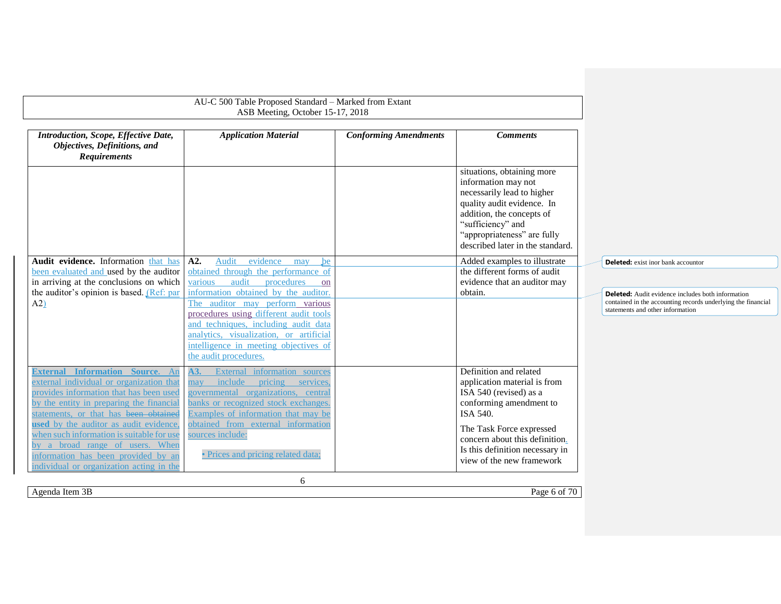<span id="page-5-1"></span><span id="page-5-0"></span>

|                                                                                                                                                                                                                    | AU-C 500 Table Proposed Standard - Marked from Extant<br>ASB Meeting, October 15-17, 2018                                                                                                                                      |                              |                                                                                                                                                                                                                                    |                                                                                                                                                              |
|--------------------------------------------------------------------------------------------------------------------------------------------------------------------------------------------------------------------|--------------------------------------------------------------------------------------------------------------------------------------------------------------------------------------------------------------------------------|------------------------------|------------------------------------------------------------------------------------------------------------------------------------------------------------------------------------------------------------------------------------|--------------------------------------------------------------------------------------------------------------------------------------------------------------|
| Introduction, Scope, Effective Date,<br>Objectives, Definitions, and<br><b>Requirements</b>                                                                                                                        | <b>Application Material</b>                                                                                                                                                                                                    | <b>Conforming Amendments</b> | <b>Comments</b>                                                                                                                                                                                                                    |                                                                                                                                                              |
|                                                                                                                                                                                                                    |                                                                                                                                                                                                                                |                              | situations, obtaining more<br>information may not<br>necessarily lead to higher<br>quality audit evidence. In<br>addition, the concepts of<br>"sufficiency" and<br>"appropriateness" are fully<br>described later in the standard. |                                                                                                                                                              |
| Audit evidence. Information that has<br>been evaluated and used by the auditor<br>in arriving at the conclusions on which<br>the auditor's opinion is based. (Ref: par                                             | evidence may<br>A2.<br>Audit<br>be<br>obtained through the performance of<br>audit<br>procedures<br>various<br>on<br>information obtained by the auditor.                                                                      |                              | Added examples to illustrate<br>the different forms of audit<br>evidence that an auditor may<br>obtain.                                                                                                                            | <b>Deleted:</b> exist inor bank accountor                                                                                                                    |
| $A2$ )                                                                                                                                                                                                             | The auditor may perform various<br>procedures using different audit tools<br>and techniques, including audit data<br>analytics, visualization, or artificial<br>intelligence in meeting objectives of<br>the audit procedures. |                              |                                                                                                                                                                                                                                    | <b>Deleted:</b> Audit evidence includes both information<br>contained in the accounting records underlying the financial<br>statements and other information |
| <b>External Information Source.</b> An<br>external individual or organization that<br>provides information that has been used<br>by the entity in preparing the financial<br>statements, or that has been obtained | A3.<br>External information sources<br>include<br>pricing<br>may<br>services.<br>governmental organizations, central<br>banks or recognized stock exchanges.<br>Examples of information that may be                            |                              | Definition and related<br>application material is from<br>ISA 540 (revised) as a<br>conforming amendment to<br>ISA 540.                                                                                                            |                                                                                                                                                              |
| used by the auditor as audit evidence,<br>when such information is suitable for use<br>by a broad range of users. When<br>information has been provided by an<br>individual or organization acting in the          | obtained from external information<br>sources include:<br>• Prices and pricing related data;                                                                                                                                   |                              | The Task Force expressed<br>concern about this definition.<br>Is this definition necessary in<br>view of the new framework                                                                                                         |                                                                                                                                                              |
| Agenda Item 3B                                                                                                                                                                                                     | 6                                                                                                                                                                                                                              |                              | Page 6 of 70                                                                                                                                                                                                                       |                                                                                                                                                              |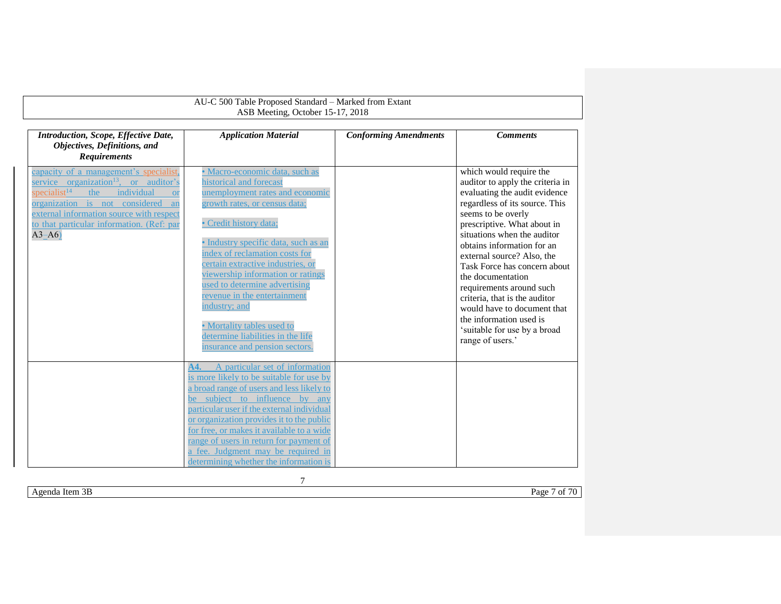| AU-C 500 Table Proposed Standard - Marked from Extant<br>ASB Meeting, October 15-17, 2018                                                                                                                                                                                                               |                                                                                                                                                                                                                                                                                                                                                                                                                                                                                                    |                              |                                                                                                                                                                                                                                                                                                                                                                                                                                                                                                                |  |  |  |
|---------------------------------------------------------------------------------------------------------------------------------------------------------------------------------------------------------------------------------------------------------------------------------------------------------|----------------------------------------------------------------------------------------------------------------------------------------------------------------------------------------------------------------------------------------------------------------------------------------------------------------------------------------------------------------------------------------------------------------------------------------------------------------------------------------------------|------------------------------|----------------------------------------------------------------------------------------------------------------------------------------------------------------------------------------------------------------------------------------------------------------------------------------------------------------------------------------------------------------------------------------------------------------------------------------------------------------------------------------------------------------|--|--|--|
|                                                                                                                                                                                                                                                                                                         |                                                                                                                                                                                                                                                                                                                                                                                                                                                                                                    |                              |                                                                                                                                                                                                                                                                                                                                                                                                                                                                                                                |  |  |  |
| Introduction, Scope, Effective Date,<br>Objectives, Definitions, and<br><b>Requirements</b>                                                                                                                                                                                                             | <b>Application Material</b>                                                                                                                                                                                                                                                                                                                                                                                                                                                                        | <b>Conforming Amendments</b> | <b>Comments</b>                                                                                                                                                                                                                                                                                                                                                                                                                                                                                                |  |  |  |
| capacity of a management's specialist,<br>service organization <sup>13</sup> , or auditor's<br>specialist <sup>14</sup><br>individual<br>the<br><b>or</b><br>organization is not considered<br>an<br>external information source with respect<br>to that particular information. (Ref: par<br>$A3 - A6$ | · Macro-economic data, such as<br>historical and forecast<br>unemployment rates and economic<br>growth rates, or census data;<br>· Credit history data;<br>• Industry specific data, such as an<br>index of reclamation costs for<br>certain extractive industries, or<br>viewership information or ratings<br>used to determine advertising<br>revenue in the entertainment<br>industry; and<br>• Mortality tables used to<br>determine liabilities in the life<br>insurance and pension sectors. |                              | which would require the<br>auditor to apply the criteria in<br>evaluating the audit evidence<br>regardless of its source. This<br>seems to be overly<br>prescriptive. What about in<br>situations when the auditor<br>obtains information for an<br>external source? Also, the<br>Task Force has concern about<br>the documentation<br>requirements around such<br>criteria, that is the auditor<br>would have to document that<br>the information used is<br>'suitable for use by a broad<br>range of users.' |  |  |  |
|                                                                                                                                                                                                                                                                                                         | A particular set of information<br>A4.<br>is more likely to be suitable for use by<br>a broad range of users and less likely to<br>be subject to influence by any<br>particular user if the external individual<br>or organization provides it to the public<br>for free, or makes it available to a wide<br>range of users in return for payment of<br>a fee. Judgment may be required in<br>determining whether the information is                                                               |                              |                                                                                                                                                                                                                                                                                                                                                                                                                                                                                                                |  |  |  |

7

Agenda Item 3B Page 7 of 70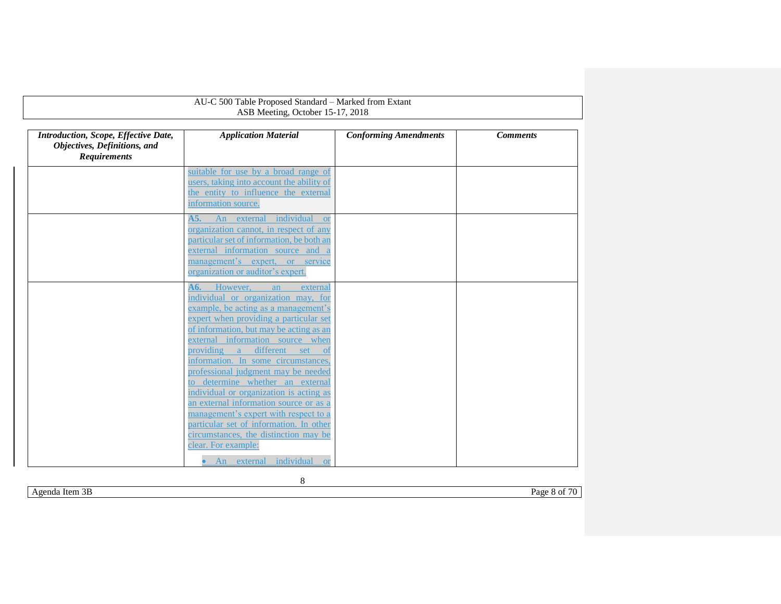<span id="page-7-0"></span>

| AU-C 500 Table Proposed Standard - Marked from Extant<br>ASB Meeting, October 15-17, 2018   |                                                                                                                                                                                                                                                                                                                                                                                                                                                                                                                                                                                                                                           |                              |                 |
|---------------------------------------------------------------------------------------------|-------------------------------------------------------------------------------------------------------------------------------------------------------------------------------------------------------------------------------------------------------------------------------------------------------------------------------------------------------------------------------------------------------------------------------------------------------------------------------------------------------------------------------------------------------------------------------------------------------------------------------------------|------------------------------|-----------------|
| Introduction, Scope, Effective Date,<br>Objectives, Definitions, and<br><b>Requirements</b> | <b>Application Material</b>                                                                                                                                                                                                                                                                                                                                                                                                                                                                                                                                                                                                               | <b>Conforming Amendments</b> | <b>Comments</b> |
|                                                                                             | suitable for use by a broad range of<br>users, taking into account the ability of<br>the entity to influence the external<br>information source.                                                                                                                                                                                                                                                                                                                                                                                                                                                                                          |                              |                 |
|                                                                                             | A5.<br>An external<br>individual<br><b>or</b><br>organization cannot, in respect of any<br>particular set of information, be both an<br>external information source and a<br>management's expert, or service<br>organization or auditor's expert.                                                                                                                                                                                                                                                                                                                                                                                         |                              |                 |
|                                                                                             | However,<br>A6.<br>an<br>external<br>individual or organization may, for<br>example, be acting as a management's<br>expert when providing a particular set<br>of information, but may be acting as an<br>external information source when<br>providing a different set<br>- of<br>information. In some circumstances,<br>professional judgment may be needed<br>to determine whether an external<br>individual or organization is acting as<br>an external information source or as a<br>management's expert with respect to a<br>particular set of information. In other<br>circumstances, the distinction may be<br>clear. For example: |                              |                 |
|                                                                                             | individual<br>An external<br><b>or</b>                                                                                                                                                                                                                                                                                                                                                                                                                                                                                                                                                                                                    |                              |                 |

Agenda Item 3B Page 8 of 70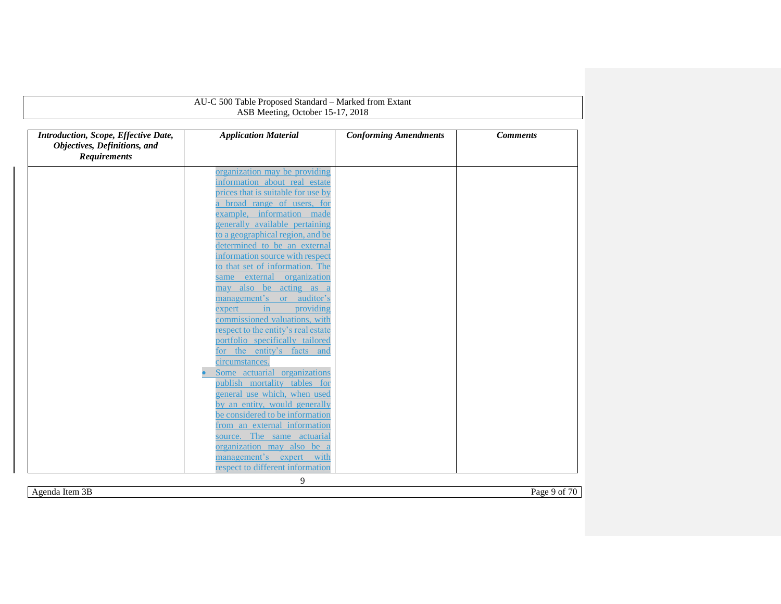|                                                                                             | AU-C 500 Table Proposed Standard - Marked from Extant<br>ASB Meeting, October 15-17, 2018 |                              |                 |
|---------------------------------------------------------------------------------------------|-------------------------------------------------------------------------------------------|------------------------------|-----------------|
| Introduction, Scope, Effective Date,<br>Objectives, Definitions, and<br><b>Requirements</b> | <b>Application Material</b>                                                               | <b>Conforming Amendments</b> | <b>Comments</b> |
|                                                                                             | organization may be providing                                                             |                              |                 |
|                                                                                             | information about real estate                                                             |                              |                 |
|                                                                                             | prices that is suitable for use by                                                        |                              |                 |
|                                                                                             | a broad range of users, for                                                               |                              |                 |
|                                                                                             | example, information made                                                                 |                              |                 |
|                                                                                             | generally available pertaining                                                            |                              |                 |
|                                                                                             | to a geographical region, and be                                                          |                              |                 |
|                                                                                             | determined to be an external                                                              |                              |                 |
|                                                                                             | information source with respect                                                           |                              |                 |
|                                                                                             | to that set of information. The                                                           |                              |                 |
|                                                                                             | same external organization                                                                |                              |                 |
|                                                                                             | may also be acting as a                                                                   |                              |                 |
|                                                                                             | management's or auditor's<br>providing<br>in<br>expert                                    |                              |                 |
|                                                                                             | commissioned valuations, with                                                             |                              |                 |
|                                                                                             | respect to the entity's real estate                                                       |                              |                 |
|                                                                                             | portfolio specifically tailored                                                           |                              |                 |
|                                                                                             | for the entity's facts and                                                                |                              |                 |
|                                                                                             | circumstances.                                                                            |                              |                 |
|                                                                                             | Some actuarial organizations                                                              |                              |                 |
|                                                                                             | publish mortality tables for                                                              |                              |                 |
|                                                                                             | general use which, when used                                                              |                              |                 |
|                                                                                             | by an entity, would generally                                                             |                              |                 |
|                                                                                             | be considered to be information                                                           |                              |                 |
|                                                                                             | from an external information                                                              |                              |                 |
|                                                                                             | source. The same actuarial                                                                |                              |                 |
|                                                                                             | organization may also be a                                                                |                              |                 |
|                                                                                             | management's expert with                                                                  |                              |                 |
|                                                                                             | respect to different information                                                          |                              |                 |

Agenda Item 3B Page 9 of 70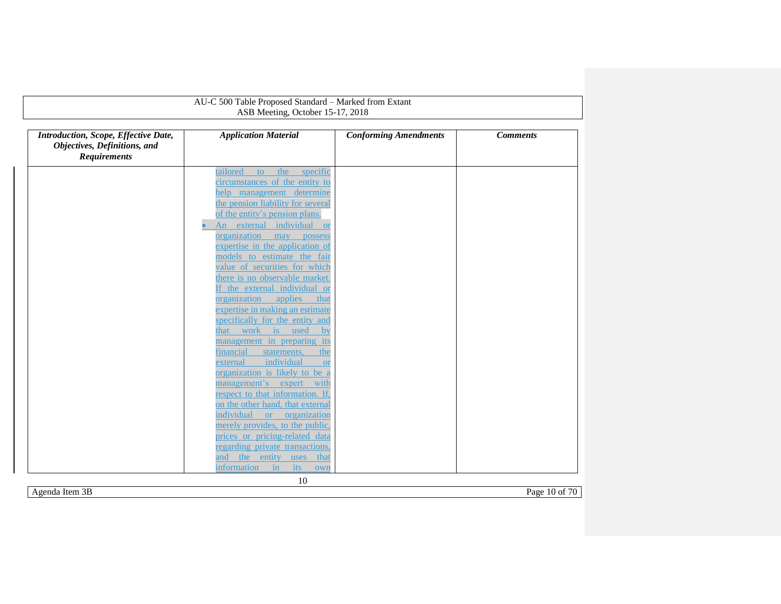|                                                                                             | AU-C 500 Table Proposed Standard - Marked from Extant                 |                              |                 |
|---------------------------------------------------------------------------------------------|-----------------------------------------------------------------------|------------------------------|-----------------|
|                                                                                             | ASB Meeting, October 15-17, 2018                                      |                              |                 |
| Introduction, Scope, Effective Date,<br>Objectives, Definitions, and<br><b>Requirements</b> | <b>Application Material</b>                                           | <b>Conforming Amendments</b> | <b>Comments</b> |
|                                                                                             |                                                                       |                              |                 |
|                                                                                             | tailored<br>the<br>specific<br>to                                     |                              |                 |
|                                                                                             | circumstances of the entity to                                        |                              |                 |
|                                                                                             | help management determine<br>the pension liability for several        |                              |                 |
|                                                                                             | of the entity's pension plans.                                        |                              |                 |
|                                                                                             | An external individual or                                             |                              |                 |
|                                                                                             | organization may possess                                              |                              |                 |
|                                                                                             | expertise in the application of                                       |                              |                 |
|                                                                                             | models to estimate the fair                                           |                              |                 |
|                                                                                             | value of securities for which                                         |                              |                 |
|                                                                                             | there is no observable market.                                        |                              |                 |
|                                                                                             | If the external individual or                                         |                              |                 |
|                                                                                             | organization applies<br>that                                          |                              |                 |
|                                                                                             | expertise in making an estimate                                       |                              |                 |
|                                                                                             | specifically for the entity and                                       |                              |                 |
|                                                                                             | that work is used<br>$\mathbf{b}$                                     |                              |                 |
|                                                                                             | management in preparing its                                           |                              |                 |
|                                                                                             | financial<br>statements,<br>the                                       |                              |                 |
|                                                                                             | individual<br>external<br><b>or</b><br>organization is likely to be a |                              |                 |
|                                                                                             | management's expert with                                              |                              |                 |
|                                                                                             | respect to that information. If,                                      |                              |                 |
|                                                                                             | on the other hand, that external                                      |                              |                 |
|                                                                                             | individual or organization                                            |                              |                 |
|                                                                                             | merely provides, to the public,                                       |                              |                 |
|                                                                                             | prices or pricing-related data                                        |                              |                 |
|                                                                                             | regarding private transactions,                                       |                              |                 |
|                                                                                             | the<br>entity<br>and<br>uses<br>that                                  |                              |                 |
|                                                                                             | information<br>in<br><i>its</i><br>own                                |                              |                 |

Agenda Item 3B Page 10 of 70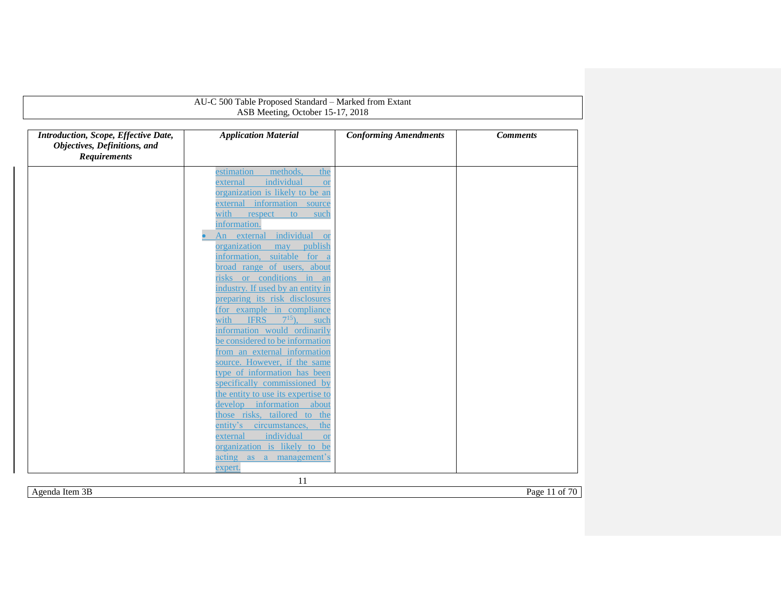|                                                                                             | AU-C 500 Table Proposed Standard - Marked from Extant                 |                              |                 |
|---------------------------------------------------------------------------------------------|-----------------------------------------------------------------------|------------------------------|-----------------|
|                                                                                             | ASB Meeting, October 15-17, 2018                                      |                              |                 |
| Introduction, Scope, Effective Date,<br>Objectives, Definitions, and<br><b>Requirements</b> | <b>Application Material</b>                                           | <b>Conforming Amendments</b> | <b>Comments</b> |
|                                                                                             | methods.<br>the<br>estimation                                         |                              |                 |
|                                                                                             | individual<br>external<br><b>or</b>                                   |                              |                 |
|                                                                                             | organization is likely to be an                                       |                              |                 |
|                                                                                             | external information source                                           |                              |                 |
|                                                                                             | with<br>respect<br>to<br>such                                         |                              |                 |
|                                                                                             | information.                                                          |                              |                 |
|                                                                                             | An external individual<br><b>or</b>                                   |                              |                 |
|                                                                                             | organization<br>publish<br>may                                        |                              |                 |
|                                                                                             | information, suitable for a                                           |                              |                 |
|                                                                                             | broad range of users, about                                           |                              |                 |
|                                                                                             | risks or conditions in an                                             |                              |                 |
|                                                                                             | industry. If used by an entity in                                     |                              |                 |
|                                                                                             | preparing its risk disclosures                                        |                              |                 |
|                                                                                             | (for example in compliance<br>$7^{15}$<br><b>IFRS</b><br>with<br>such |                              |                 |
|                                                                                             | information would ordinarily                                          |                              |                 |
|                                                                                             | be considered to be information                                       |                              |                 |
|                                                                                             | from an external information                                          |                              |                 |
|                                                                                             | source. However, if the same                                          |                              |                 |
|                                                                                             | type of information has been                                          |                              |                 |
|                                                                                             | specifically commissioned by                                          |                              |                 |
|                                                                                             | the entity to use its expertise to                                    |                              |                 |
|                                                                                             | information<br>develop<br>about                                       |                              |                 |
|                                                                                             | those risks, tailored to the                                          |                              |                 |
|                                                                                             | entity's<br>circumstances,<br>the                                     |                              |                 |
|                                                                                             | individual<br>external<br><b>or</b>                                   |                              |                 |
|                                                                                             | organization is likely to be                                          |                              |                 |
|                                                                                             | acting as a management's                                              |                              |                 |
|                                                                                             | expert.                                                               |                              |                 |

Agenda Item 3B Page 11 of 70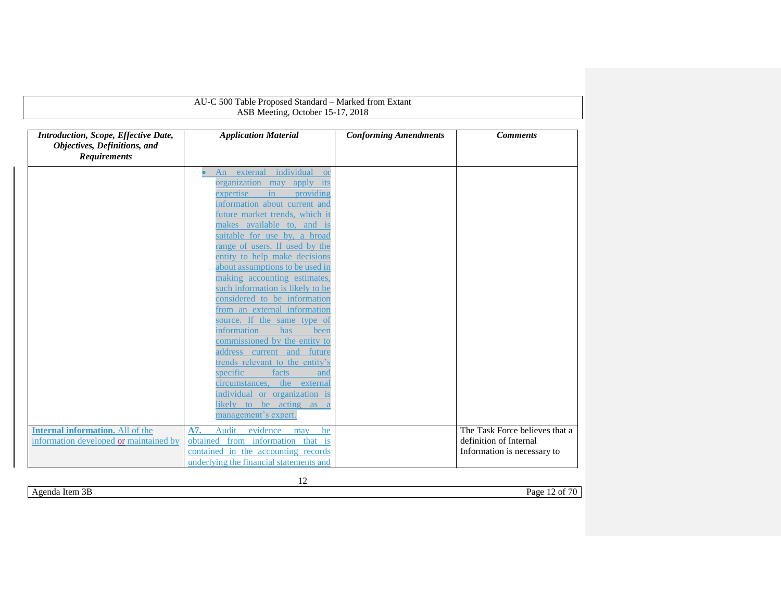|                                                                                             | AU-C 500 Table Proposed Standard - Marked from Extant                                                                                                                                                                                                                                                                                                                                                                                                                                                                                                                                                                                                                                                                                                                |                              |                                                                                         |  |  |  |
|---------------------------------------------------------------------------------------------|----------------------------------------------------------------------------------------------------------------------------------------------------------------------------------------------------------------------------------------------------------------------------------------------------------------------------------------------------------------------------------------------------------------------------------------------------------------------------------------------------------------------------------------------------------------------------------------------------------------------------------------------------------------------------------------------------------------------------------------------------------------------|------------------------------|-----------------------------------------------------------------------------------------|--|--|--|
|                                                                                             | ASB Meeting, October 15-17, 2018                                                                                                                                                                                                                                                                                                                                                                                                                                                                                                                                                                                                                                                                                                                                     |                              |                                                                                         |  |  |  |
| Introduction, Scope, Effective Date,<br>Objectives, Definitions, and<br><b>Requirements</b> | <b>Application Material</b>                                                                                                                                                                                                                                                                                                                                                                                                                                                                                                                                                                                                                                                                                                                                          | <b>Conforming Amendments</b> | <b>Comments</b>                                                                         |  |  |  |
|                                                                                             | An external individual<br><b>or</b><br>organization may apply its<br>in.<br>providing<br>expertise<br>information about current and<br>future market trends, which it<br>makes available to, and is<br>suitable for use by, a broad<br>range of users. If used by the<br>entity to help make decisions<br>about assumptions to be used in<br>making accounting estimates,<br>such information is likely to be<br>considered to be information<br>from an external information<br>source. If the same type of<br>information<br>has<br>been<br>commissioned by the entity to<br>address current and future<br>trends relevant to the entity's<br>specific<br>facts<br>and<br>circumstances, the external<br>individual or organization is<br>likely to be acting as a |                              |                                                                                         |  |  |  |
| <b>Internal information.</b> All of the<br>information developed or maintained by           | management's expert.<br>Audit<br>evidence<br>A7.<br>be<br>may<br>obtained from information that is<br>contained in the accounting records<br>underlying the financial statements and                                                                                                                                                                                                                                                                                                                                                                                                                                                                                                                                                                                 |                              | The Task Force believes that a<br>definition of Internal<br>Information is necessary to |  |  |  |

<span id="page-11-0"></span>12

Agenda Item 3B Page 12 of 70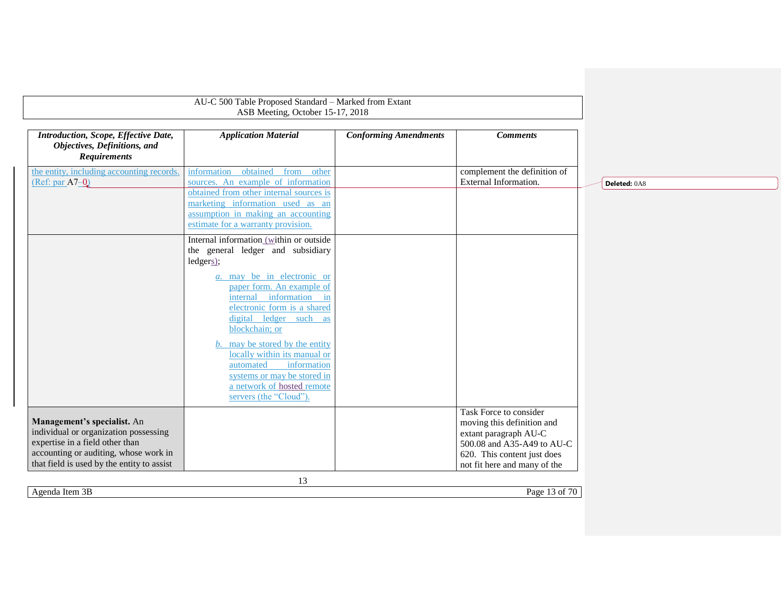<span id="page-12-0"></span>

| AU-C 500 Table Proposed Standard - Marked from Extant<br>ASB Meeting, October 15-17, 2018                                                        |                                                                                                                                                                                                                                                                                                                                                                                                    |                              |                                                                                                                                            |              |
|--------------------------------------------------------------------------------------------------------------------------------------------------|----------------------------------------------------------------------------------------------------------------------------------------------------------------------------------------------------------------------------------------------------------------------------------------------------------------------------------------------------------------------------------------------------|------------------------------|--------------------------------------------------------------------------------------------------------------------------------------------|--------------|
| Introduction, Scope, Effective Date,<br>Objectives, Definitions, and<br><b>Requirements</b>                                                      | <b>Application Material</b>                                                                                                                                                                                                                                                                                                                                                                        | <b>Conforming Amendments</b> | <b>Comments</b>                                                                                                                            |              |
| the entity, including accounting records.<br>$(Ref: par A7-0)$                                                                                   | information obtained from other<br>sources. An example of information<br>obtained from other internal sources is<br>marketing information used as an<br>assumption in making an accounting<br>estimate for a warranty provision.                                                                                                                                                                   |                              | complement the definition of<br>External Information.                                                                                      | Deleted: 0A8 |
|                                                                                                                                                  | Internal information (within or outside<br>the general ledger and subsidiary<br>ledgers);<br><i>a</i> . may be in electronic or<br>paper form. An example of<br>internal information in<br>electronic form is a shared<br>digital ledger such as<br>blockchain; or<br>may be stored by the entity<br>b.<br>locally within its manual or<br>information<br>automated<br>systems or may be stored in |                              |                                                                                                                                            |              |
| Management's specialist. An<br>individual or organization possessing<br>expertise in a field other than<br>accounting or auditing, whose work in | a network of hosted remote<br>servers (the "Cloud").                                                                                                                                                                                                                                                                                                                                               |                              | Task Force to consider<br>moving this definition and<br>extant paragraph AU-C<br>500.08 and A35-A49 to AU-C<br>620. This content just does |              |
| that field is used by the entity to assist                                                                                                       | 13                                                                                                                                                                                                                                                                                                                                                                                                 |                              | not fit here and many of the                                                                                                               |              |
| Agenda Item 3B                                                                                                                                   |                                                                                                                                                                                                                                                                                                                                                                                                    |                              | Page 13 of 70                                                                                                                              |              |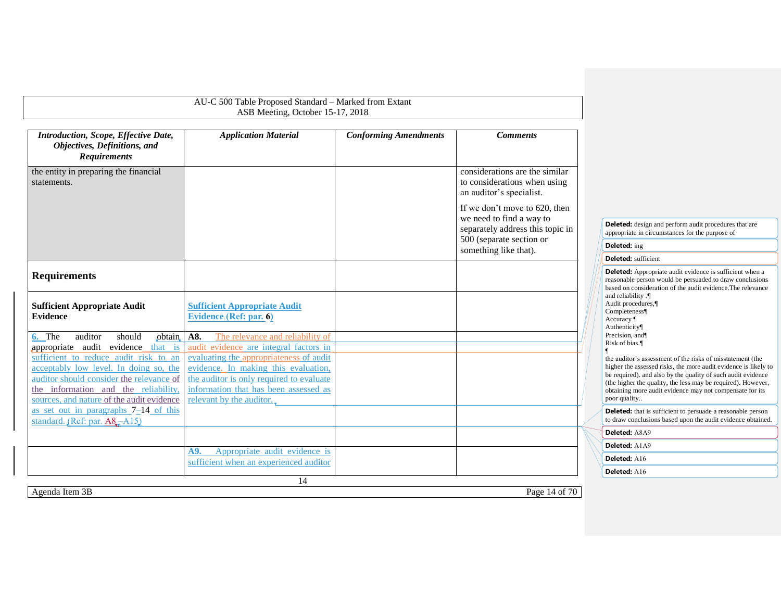<span id="page-13-2"></span><span id="page-13-1"></span><span id="page-13-0"></span>

|                                                                                                                                                                                                                                                                                                 | AU-C 500 Table Proposed Standard - Marked from Extant<br>ASB Meeting, October 15-17, 2018                                                                                                                                                                                             |                              |                                                                                                                                                    |                                                                                                                                                                                                                                                                                                                                                                              |
|-------------------------------------------------------------------------------------------------------------------------------------------------------------------------------------------------------------------------------------------------------------------------------------------------|---------------------------------------------------------------------------------------------------------------------------------------------------------------------------------------------------------------------------------------------------------------------------------------|------------------------------|----------------------------------------------------------------------------------------------------------------------------------------------------|------------------------------------------------------------------------------------------------------------------------------------------------------------------------------------------------------------------------------------------------------------------------------------------------------------------------------------------------------------------------------|
| Introduction, Scope, Effective Date,<br>Objectives, Definitions, and<br><b>Requirements</b>                                                                                                                                                                                                     | <b>Application Material</b>                                                                                                                                                                                                                                                           | <b>Conforming Amendments</b> | <b>Comments</b>                                                                                                                                    |                                                                                                                                                                                                                                                                                                                                                                              |
| the entity in preparing the financial<br>statements.                                                                                                                                                                                                                                            |                                                                                                                                                                                                                                                                                       |                              | considerations are the similar<br>to considerations when using<br>an auditor's specialist.                                                         |                                                                                                                                                                                                                                                                                                                                                                              |
|                                                                                                                                                                                                                                                                                                 |                                                                                                                                                                                                                                                                                       |                              | If we don't move to 620, then<br>we need to find a way to<br>separately address this topic in<br>500 (separate section or<br>something like that). | Deleted: design and perform audit procedures that are<br>appropriate in circumstances for the purpose of<br>Deleted: ing<br><b>Deleted:</b> sufficient                                                                                                                                                                                                                       |
| <b>Requirements</b>                                                                                                                                                                                                                                                                             |                                                                                                                                                                                                                                                                                       |                              |                                                                                                                                                    | <b>Deleted:</b> Appropriate audit evidence is sufficient when a<br>reasonable person would be persuaded to draw conclusions<br>based on consideration of the audit evidence. The relevance                                                                                                                                                                                   |
| <b>Sufficient Appropriate Audit</b><br><b>Evidence</b>                                                                                                                                                                                                                                          | <b>Sufficient Appropriate Audit</b><br><b>Evidence (Ref: par. 6)</b>                                                                                                                                                                                                                  |                              |                                                                                                                                                    | and reliability .¶<br>Audit procedures,¶<br>Completeness¶<br>Accuracy $\P$<br>Authenticity                                                                                                                                                                                                                                                                                   |
| should<br>6. The<br>auditor<br>obtain<br>appropriate audit evidence_that is<br>sufficient to reduce audit risk to an<br>acceptably low level. In doing so, the<br>auditor should consider the relevance of<br>the information and the reliability,<br>sources, and nature of the audit evidence | A8.<br>The relevance and reliability of<br>audit evidence are integral factors in<br>evaluating the appropriateness of audit<br>evidence. In making this evaluation,<br>the auditor is only required to evaluate<br>information that has been assessed as<br>relevant by the auditor. |                              |                                                                                                                                                    | Precision, and<br>Risk of bias.<br>the auditor's assessment of the risks of misstatement (the<br>higher the assessed risks, the more audit evidence is likely to<br>be required), and also by the quality of such audit evidence<br>(the higher the quality, the less may be required). However,<br>obtaining more audit evidence may not compensate for its<br>poor quality |
| as set out in paragraphs $7-14$ of this<br>standard. (Ref: par. A8-A15)                                                                                                                                                                                                                         |                                                                                                                                                                                                                                                                                       |                              |                                                                                                                                                    | <b>Deleted:</b> that is sufficient to persuade a reasonable person<br>to draw conclusions based upon the audit evidence obtained.                                                                                                                                                                                                                                            |
|                                                                                                                                                                                                                                                                                                 |                                                                                                                                                                                                                                                                                       |                              |                                                                                                                                                    | Deleted: A8A9                                                                                                                                                                                                                                                                                                                                                                |
|                                                                                                                                                                                                                                                                                                 | Appropriate audit evidence is<br>A9.                                                                                                                                                                                                                                                  |                              |                                                                                                                                                    | Deleted: A1A9                                                                                                                                                                                                                                                                                                                                                                |
|                                                                                                                                                                                                                                                                                                 | sufficient when an experienced auditor                                                                                                                                                                                                                                                |                              |                                                                                                                                                    | Deleted: A16                                                                                                                                                                                                                                                                                                                                                                 |
|                                                                                                                                                                                                                                                                                                 |                                                                                                                                                                                                                                                                                       |                              |                                                                                                                                                    | <b>Deleted: A16</b>                                                                                                                                                                                                                                                                                                                                                          |
| Agenda Item 3B                                                                                                                                                                                                                                                                                  | 14                                                                                                                                                                                                                                                                                    |                              | Page 14 of 70                                                                                                                                      |                                                                                                                                                                                                                                                                                                                                                                              |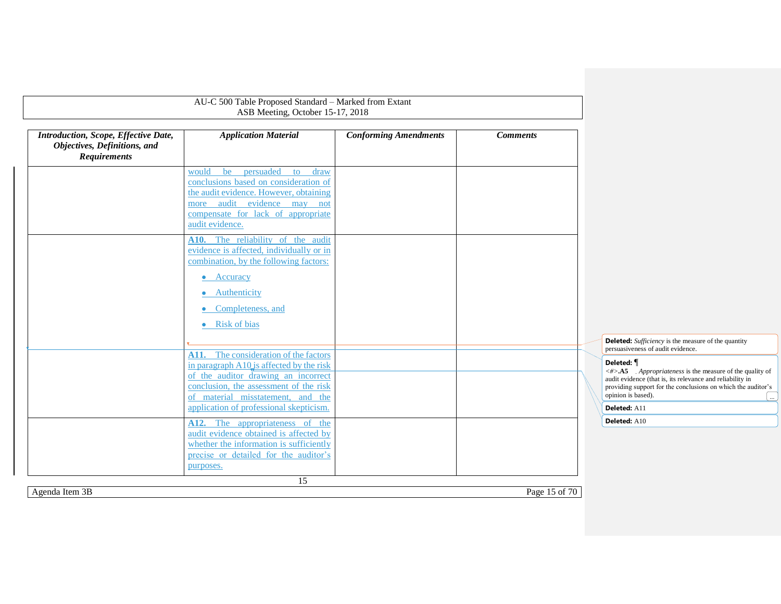<span id="page-14-0"></span>

|                                                                                             | AU-C 500 Table Proposed Standard - Marked from Extant                                                                                                                                                   |                              |                 |                                                                                                                                                                                                                                                          |
|---------------------------------------------------------------------------------------------|---------------------------------------------------------------------------------------------------------------------------------------------------------------------------------------------------------|------------------------------|-----------------|----------------------------------------------------------------------------------------------------------------------------------------------------------------------------------------------------------------------------------------------------------|
|                                                                                             | ASB Meeting, October 15-17, 2018                                                                                                                                                                        |                              |                 |                                                                                                                                                                                                                                                          |
| Introduction, Scope, Effective Date,<br>Objectives, Definitions, and<br><b>Requirements</b> | <b>Application Material</b>                                                                                                                                                                             | <b>Conforming Amendments</b> | <b>Comments</b> |                                                                                                                                                                                                                                                          |
|                                                                                             | persuaded<br>would<br>be<br>to<br>draw<br>conclusions based on consideration of<br>the audit evidence. However, obtaining<br>more audit evidence may not<br>compensate for lack of appropriate          |                              |                 |                                                                                                                                                                                                                                                          |
|                                                                                             | audit evidence.<br>A10. The reliability of the audit<br>evidence is affected, individually or in<br>combination, by the following factors:                                                              |                              |                 |                                                                                                                                                                                                                                                          |
|                                                                                             | Accuracy<br>$\bullet$<br>• Authenticity<br>Completeness, and<br>۰<br>• Risk of bias                                                                                                                     |                              |                 |                                                                                                                                                                                                                                                          |
|                                                                                             |                                                                                                                                                                                                         |                              |                 | <b>Deleted:</b> Sufficiency is the measure of the quantity<br>persuasiveness of audit evidence.                                                                                                                                                          |
|                                                                                             | A11. The consideration of the factors<br>in paragraph A10 is affected by the risk<br>of the auditor drawing an incorrect<br>conclusion, the assessment of the risk<br>of material misstatement, and the |                              |                 | Deleted: ¶<br>$\langle # \rangle$ . A5 . Appropriateness is the measure of the quality of<br>audit evidence (that is, its relevance and reliability in<br>providing support for the conclusions on which the auditor's<br>opinion is based).<br>$\ldots$ |
|                                                                                             | application of professional skepticism.<br>A12. The appropriateness of the                                                                                                                              |                              |                 | Deleted: A11<br>Deleted: A10                                                                                                                                                                                                                             |
|                                                                                             | audit evidence obtained is affected by<br>whether the information is sufficiently<br>precise or detailed for the auditor's<br>purposes.                                                                 |                              |                 |                                                                                                                                                                                                                                                          |
|                                                                                             | $\overline{15}$                                                                                                                                                                                         |                              |                 |                                                                                                                                                                                                                                                          |
| Agenda Item 3B                                                                              |                                                                                                                                                                                                         |                              | Page 15 of 70   |                                                                                                                                                                                                                                                          |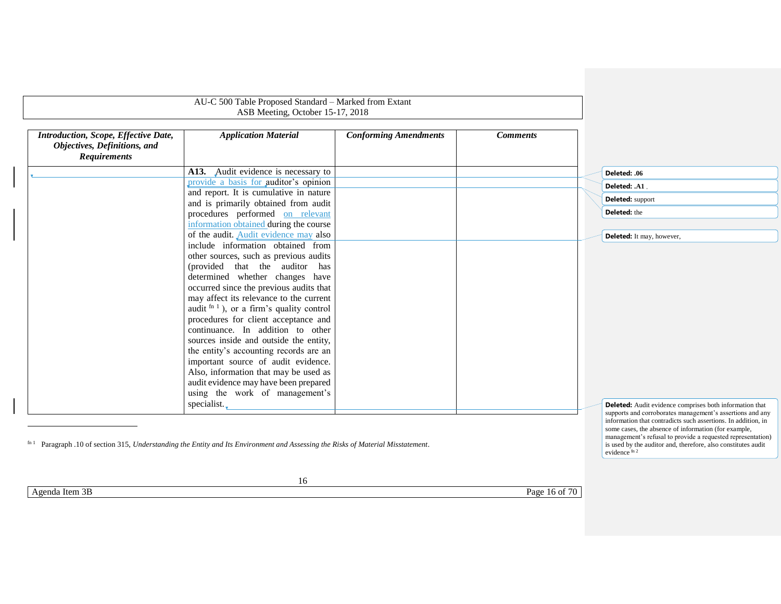|                                                                                             | AU-C 500 Table Proposed Standard - Marked from Extant<br>ASB Meeting, October 15-17, 2018                                                    |                              |                 |                                                                                                                                                                                                                                                                            |
|---------------------------------------------------------------------------------------------|----------------------------------------------------------------------------------------------------------------------------------------------|------------------------------|-----------------|----------------------------------------------------------------------------------------------------------------------------------------------------------------------------------------------------------------------------------------------------------------------------|
| Introduction, Scope, Effective Date,<br>Objectives, Definitions, and<br><b>Requirements</b> | <b>Application Material</b>                                                                                                                  | <b>Conforming Amendments</b> | <b>Comments</b> |                                                                                                                                                                                                                                                                            |
|                                                                                             | A13. Audit evidence is necessary to                                                                                                          |                              |                 | Deleted: .06                                                                                                                                                                                                                                                               |
|                                                                                             | provide a basis for auditor's opinion                                                                                                        |                              |                 | Deleted: .A1                                                                                                                                                                                                                                                               |
|                                                                                             | and report. It is cumulative in nature                                                                                                       |                              |                 | Deleted: support                                                                                                                                                                                                                                                           |
|                                                                                             | and is primarily obtained from audit                                                                                                         |                              |                 |                                                                                                                                                                                                                                                                            |
|                                                                                             | procedures performed on relevant                                                                                                             |                              |                 | Deleted: the                                                                                                                                                                                                                                                               |
|                                                                                             | information obtained during the course                                                                                                       |                              |                 |                                                                                                                                                                                                                                                                            |
|                                                                                             | of the audit. Audit evidence may also<br>include information obtained from                                                                   |                              |                 | Deleted: It may, however,                                                                                                                                                                                                                                                  |
|                                                                                             | other sources, such as previous audits                                                                                                       |                              |                 |                                                                                                                                                                                                                                                                            |
|                                                                                             | (provided that the auditor has                                                                                                               |                              |                 |                                                                                                                                                                                                                                                                            |
|                                                                                             | determined whether changes have                                                                                                              |                              |                 |                                                                                                                                                                                                                                                                            |
|                                                                                             | occurred since the previous audits that                                                                                                      |                              |                 |                                                                                                                                                                                                                                                                            |
|                                                                                             | may affect its relevance to the current                                                                                                      |                              |                 |                                                                                                                                                                                                                                                                            |
|                                                                                             | audit $fn 1$ , or a firm's quality control                                                                                                   |                              |                 |                                                                                                                                                                                                                                                                            |
|                                                                                             | procedures for client acceptance and                                                                                                         |                              |                 |                                                                                                                                                                                                                                                                            |
|                                                                                             | continuance. In addition to other                                                                                                            |                              |                 |                                                                                                                                                                                                                                                                            |
|                                                                                             | sources inside and outside the entity,                                                                                                       |                              |                 |                                                                                                                                                                                                                                                                            |
|                                                                                             | the entity's accounting records are an                                                                                                       |                              |                 |                                                                                                                                                                                                                                                                            |
|                                                                                             | important source of audit evidence.                                                                                                          |                              |                 |                                                                                                                                                                                                                                                                            |
|                                                                                             | Also, information that may be used as                                                                                                        |                              |                 |                                                                                                                                                                                                                                                                            |
|                                                                                             | audit evidence may have been prepared                                                                                                        |                              |                 |                                                                                                                                                                                                                                                                            |
|                                                                                             | using the work of management's                                                                                                               |                              |                 |                                                                                                                                                                                                                                                                            |
|                                                                                             | specialist.                                                                                                                                  |                              |                 | <b>Deleted:</b> Audit evidence comprises both information that<br>supports and corroborates management's assertions and any                                                                                                                                                |
|                                                                                             | <sup>fn 1</sup> Paragraph .10 of section 315, Understanding the Entity and Its Environment and Assessing the Risks of Material Misstatement. |                              |                 | information that contradicts such assertions. In addition, in<br>some cases, the absence of information (for example,<br>management's refusal to provide a requested representation)<br>is used by the auditor and, therefore, also constitutes audit<br>evidence $\sin^2$ |
|                                                                                             | 16                                                                                                                                           |                              |                 |                                                                                                                                                                                                                                                                            |
| Agenda Item 3B                                                                              |                                                                                                                                              |                              | Page 16 of 70   |                                                                                                                                                                                                                                                                            |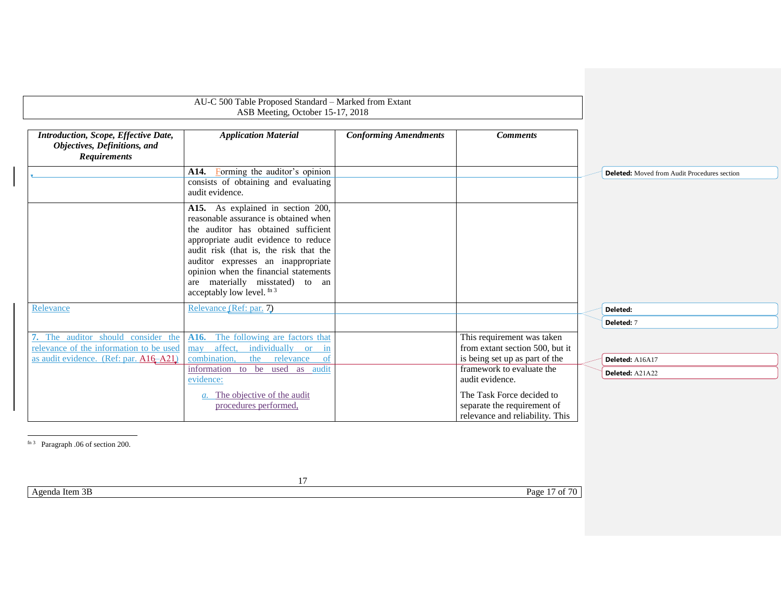<span id="page-16-1"></span>

| Introduction, Scope, Effective Date,<br><b>Application Material</b><br><b>Conforming Amendments</b><br><b>Comments</b><br>Objectives, Definitions, and<br><b>Requirements</b><br>Forming the auditor's opinion<br>A14.<br><b>Deleted:</b> Moved from Audit Procedures section<br>consists of obtaining and evaluating<br>audit evidence.<br>A15. As explained in section 200,<br>reasonable assurance is obtained when<br>the auditor has obtained sufficient<br>appropriate audit evidence to reduce<br>audit risk (that is, the risk that the<br>auditor expresses an inappropriate<br>opinion when the financial statements<br>are materially misstated) to an<br>acceptably low level. fn 3<br>Relevance (Ref: par. 7)<br>Relevance<br>Deleted:<br>Deleted: 7<br>7. The auditor should consider the<br>The following are factors that<br>This requirement was taken<br>A16.<br>relevance of the information to be used<br>affect, individually or<br>from extant section 500, but it<br>$\sin$<br>may<br>is being set up as part of the<br>as audit evidence. (Ref: par. A16-A21)<br>combination,<br>the<br>relevance<br><sub>of</sub><br>Deleted: A16A17<br>framework to evaluate the<br>information to be used as audit<br>Deleted: A21A22<br>audit evidence.<br>evidence:<br>The Task Force decided to<br>a. The objective of the audit | AU-C 500 Table Proposed Standard - Marked from Extant<br>ASB Meeting, October 15-17, 2018 |                             |  |
|------------------------------------------------------------------------------------------------------------------------------------------------------------------------------------------------------------------------------------------------------------------------------------------------------------------------------------------------------------------------------------------------------------------------------------------------------------------------------------------------------------------------------------------------------------------------------------------------------------------------------------------------------------------------------------------------------------------------------------------------------------------------------------------------------------------------------------------------------------------------------------------------------------------------------------------------------------------------------------------------------------------------------------------------------------------------------------------------------------------------------------------------------------------------------------------------------------------------------------------------------------------------------------------------------------------------------------------------|-------------------------------------------------------------------------------------------|-----------------------------|--|
|                                                                                                                                                                                                                                                                                                                                                                                                                                                                                                                                                                                                                                                                                                                                                                                                                                                                                                                                                                                                                                                                                                                                                                                                                                                                                                                                                |                                                                                           |                             |  |
|                                                                                                                                                                                                                                                                                                                                                                                                                                                                                                                                                                                                                                                                                                                                                                                                                                                                                                                                                                                                                                                                                                                                                                                                                                                                                                                                                |                                                                                           |                             |  |
|                                                                                                                                                                                                                                                                                                                                                                                                                                                                                                                                                                                                                                                                                                                                                                                                                                                                                                                                                                                                                                                                                                                                                                                                                                                                                                                                                |                                                                                           |                             |  |
|                                                                                                                                                                                                                                                                                                                                                                                                                                                                                                                                                                                                                                                                                                                                                                                                                                                                                                                                                                                                                                                                                                                                                                                                                                                                                                                                                |                                                                                           |                             |  |
|                                                                                                                                                                                                                                                                                                                                                                                                                                                                                                                                                                                                                                                                                                                                                                                                                                                                                                                                                                                                                                                                                                                                                                                                                                                                                                                                                |                                                                                           |                             |  |
|                                                                                                                                                                                                                                                                                                                                                                                                                                                                                                                                                                                                                                                                                                                                                                                                                                                                                                                                                                                                                                                                                                                                                                                                                                                                                                                                                |                                                                                           |                             |  |
|                                                                                                                                                                                                                                                                                                                                                                                                                                                                                                                                                                                                                                                                                                                                                                                                                                                                                                                                                                                                                                                                                                                                                                                                                                                                                                                                                |                                                                                           |                             |  |
|                                                                                                                                                                                                                                                                                                                                                                                                                                                                                                                                                                                                                                                                                                                                                                                                                                                                                                                                                                                                                                                                                                                                                                                                                                                                                                                                                |                                                                                           |                             |  |
|                                                                                                                                                                                                                                                                                                                                                                                                                                                                                                                                                                                                                                                                                                                                                                                                                                                                                                                                                                                                                                                                                                                                                                                                                                                                                                                                                |                                                                                           |                             |  |
|                                                                                                                                                                                                                                                                                                                                                                                                                                                                                                                                                                                                                                                                                                                                                                                                                                                                                                                                                                                                                                                                                                                                                                                                                                                                                                                                                |                                                                                           |                             |  |
| relevance and reliability. This                                                                                                                                                                                                                                                                                                                                                                                                                                                                                                                                                                                                                                                                                                                                                                                                                                                                                                                                                                                                                                                                                                                                                                                                                                                                                                                | procedures performed,                                                                     | separate the requirement of |  |

<span id="page-16-2"></span><span id="page-16-0"></span>fn 3 Paragraph .06 of section 200.

Agenda Item 3B Page 17 of 70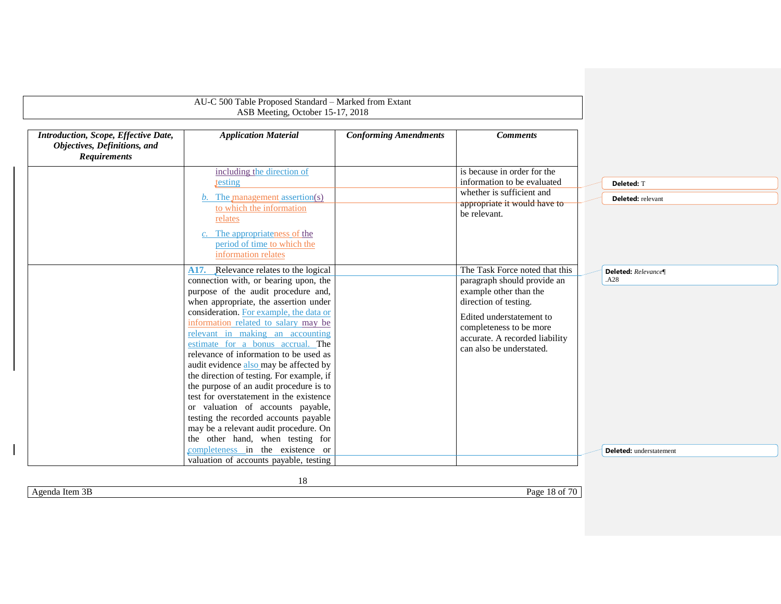|                                                                                             | AU-C 500 Table Proposed Standard - Marked from Extant<br>ASB Meeting, October 15-17, 2018                                                                                                          |                              |                                                                                                                                         |                                 |
|---------------------------------------------------------------------------------------------|----------------------------------------------------------------------------------------------------------------------------------------------------------------------------------------------------|------------------------------|-----------------------------------------------------------------------------------------------------------------------------------------|---------------------------------|
| Introduction, Scope, Effective Date,<br>Objectives, Definitions, and<br><b>Requirements</b> | <b>Application Material</b>                                                                                                                                                                        | <b>Conforming Amendments</b> | <b>Comments</b>                                                                                                                         |                                 |
|                                                                                             | including the direction of<br>testing<br>The management assertion(s)<br>b.<br>to which the information                                                                                             |                              | is because in order for the<br>information to be evaluated<br>whether is sufficient and<br>appropriate it would have to<br>be relevant. | Deleted: T<br>Deleted: relevant |
|                                                                                             | relates<br>The appropriateness of the<br>period of time to which the<br>information relates                                                                                                        |                              |                                                                                                                                         |                                 |
|                                                                                             | A17. Relevance relates to the logical<br>connection with, or bearing upon, the<br>purpose of the audit procedure and,<br>when appropriate, the assertion under                                     |                              | The Task Force noted that this<br>paragraph should provide an<br>example other than the<br>direction of testing.                        | Deleted: Relevance¶<br>.A28     |
|                                                                                             | consideration. For example, the data or<br>information related to salary may be<br>relevant in making an accounting<br>estimate for a bonus accrual. The<br>relevance of information to be used as |                              | Edited understatement to<br>completeness to be more<br>accurate. A recorded liability<br>can also be understated.                       |                                 |
|                                                                                             | audit evidence also may be affected by<br>the direction of testing. For example, if<br>the purpose of an audit procedure is to<br>test for overstatement in the existence                          |                              |                                                                                                                                         |                                 |
|                                                                                             | or valuation of accounts payable,<br>testing the recorded accounts payable<br>may be a relevant audit procedure. On<br>the other hand, when testing for                                            |                              |                                                                                                                                         |                                 |
|                                                                                             | completeness in the existence or<br>valuation of accounts payable, testing                                                                                                                         |                              |                                                                                                                                         | <b>Deleted:</b> understatement  |

Agenda Item 3B Page 18 of 70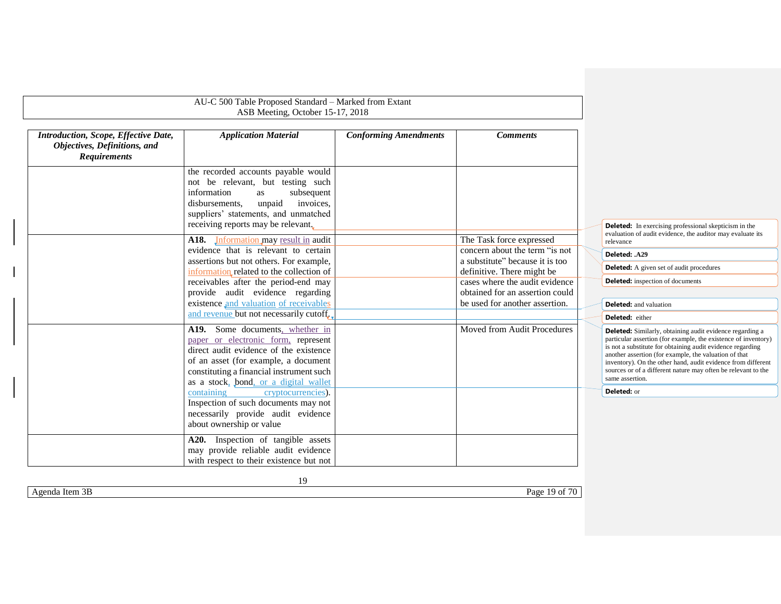|                                                                                             | AU-C 500 Table Proposed Standard - Marked from Extant<br>ASB Meeting, October 15-17, 2018                                                                                                                                                     |                              |                                                                   |                                                                                                                                                                                                                                                                                                                                                                                                              |
|---------------------------------------------------------------------------------------------|-----------------------------------------------------------------------------------------------------------------------------------------------------------------------------------------------------------------------------------------------|------------------------------|-------------------------------------------------------------------|--------------------------------------------------------------------------------------------------------------------------------------------------------------------------------------------------------------------------------------------------------------------------------------------------------------------------------------------------------------------------------------------------------------|
| Introduction, Scope, Effective Date,<br>Objectives, Definitions, and<br><b>Requirements</b> | <b>Application Material</b>                                                                                                                                                                                                                   | <b>Conforming Amendments</b> | <b>Comments</b>                                                   |                                                                                                                                                                                                                                                                                                                                                                                                              |
|                                                                                             | the recorded accounts payable would<br>not be relevant, but testing such<br>information<br>subsequent<br>as<br>unpaid<br>disbursements,<br>invoices.<br>suppliers' statements, and unmatched<br>receiving reports may be relevant.            |                              |                                                                   | <b>Deleted:</b> In exercising professional skepticism in the                                                                                                                                                                                                                                                                                                                                                 |
|                                                                                             | A18. Information may result in audit<br>evidence that is relevant to certain                                                                                                                                                                  |                              | The Task force expressed<br>concern about the term "is not        | evaluation of audit evidence, the auditor may evaluate its<br>relevance<br>Deleted: .A29                                                                                                                                                                                                                                                                                                                     |
|                                                                                             | assertions but not others. For example,<br>information related to the collection of                                                                                                                                                           |                              | a substitute" because it is too<br>definitive. There might be     | <b>Deleted:</b> A given set of audit procedures                                                                                                                                                                                                                                                                                                                                                              |
|                                                                                             | receivables after the period-end may                                                                                                                                                                                                          |                              | cases where the audit evidence                                    | <b>Deleted:</b> inspection of documents                                                                                                                                                                                                                                                                                                                                                                      |
|                                                                                             | provide audit evidence regarding<br>existence and valuation of receivables                                                                                                                                                                    |                              | obtained for an assertion could<br>be used for another assertion. | <b>Deleted:</b> and valuation                                                                                                                                                                                                                                                                                                                                                                                |
|                                                                                             | and revenue but not necessarily cutoff.                                                                                                                                                                                                       |                              |                                                                   | Deleted: either                                                                                                                                                                                                                                                                                                                                                                                              |
|                                                                                             | A19. Some documents, whether in<br>paper or electronic form, represent<br>direct audit evidence of the existence<br>of an asset (for example, a document<br>constituting a financial instrument such<br>as a stock, bond, or a digital wallet |                              | Moved from Audit Procedures                                       | <b>Deleted:</b> Similarly, obtaining audit evidence regarding a<br>particular assertion (for example, the existence of inventory)<br>is not a substitute for obtaining audit evidence regarding<br>another assertion (for example, the valuation of that<br>inventory). On the other hand, audit evidence from different<br>sources or of a different nature may often be relevant to the<br>same assertion. |
|                                                                                             | cryptocurrencies).<br>containing<br>Inspection of such documents may not<br>necessarily provide audit evidence<br>about ownership or value                                                                                                    |                              |                                                                   | Deleted: or                                                                                                                                                                                                                                                                                                                                                                                                  |
|                                                                                             | A20. Inspection of tangible assets<br>may provide reliable audit evidence<br>with respect to their existence but not                                                                                                                          |                              |                                                                   |                                                                                                                                                                                                                                                                                                                                                                                                              |

Agenda Item 3B Page 19 of 70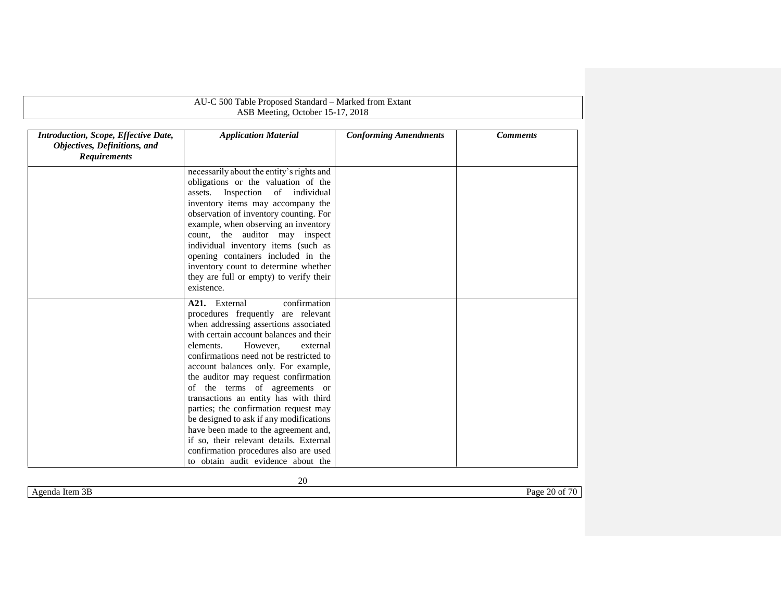| AU-C 500 Table Proposed Standard - Marked from Extant                                       |                                                                                                                                                                                                                                                                                                                                                                                                                                                                                                                                                                                                                                                        |                              |                 |  |  |
|---------------------------------------------------------------------------------------------|--------------------------------------------------------------------------------------------------------------------------------------------------------------------------------------------------------------------------------------------------------------------------------------------------------------------------------------------------------------------------------------------------------------------------------------------------------------------------------------------------------------------------------------------------------------------------------------------------------------------------------------------------------|------------------------------|-----------------|--|--|
|                                                                                             | ASB Meeting, October 15-17, 2018                                                                                                                                                                                                                                                                                                                                                                                                                                                                                                                                                                                                                       |                              |                 |  |  |
| Introduction, Scope, Effective Date,<br>Objectives, Definitions, and<br><b>Requirements</b> | <b>Application Material</b>                                                                                                                                                                                                                                                                                                                                                                                                                                                                                                                                                                                                                            | <b>Conforming Amendments</b> | <b>Comments</b> |  |  |
|                                                                                             | necessarily about the entity's rights and<br>obligations or the valuation of the<br>Inspection of individual<br>assets.<br>inventory items may accompany the<br>observation of inventory counting. For<br>example, when observing an inventory<br>count, the auditor may inspect<br>individual inventory items (such as<br>opening containers included in the<br>inventory count to determine whether<br>they are full or empty) to verify their<br>existence.                                                                                                                                                                                         |                              |                 |  |  |
|                                                                                             | A21. External<br>confirmation<br>procedures frequently are relevant<br>when addressing assertions associated<br>with certain account balances and their<br>However,<br>elements.<br>external<br>confirmations need not be restricted to<br>account balances only. For example,<br>the auditor may request confirmation<br>of the terms of agreements or<br>transactions an entity has with third<br>parties; the confirmation request may<br>be designed to ask if any modifications<br>have been made to the agreement and,<br>if so, their relevant details. External<br>confirmation procedures also are used<br>to obtain audit evidence about the |                              |                 |  |  |

<span id="page-19-0"></span>Agenda Item 3B Page 20 of 70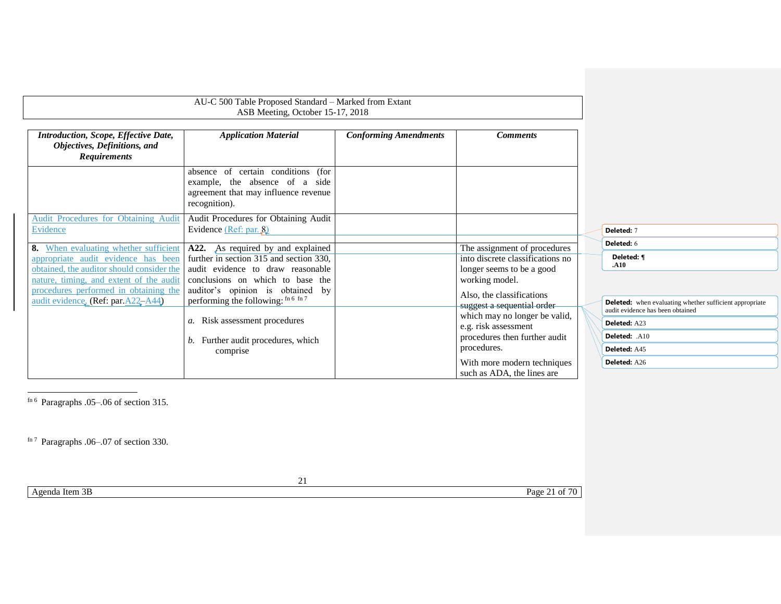| AU-C 500 Table Proposed Standard - Marked from Extant<br>ASB Meeting, October 15-17, 2018                                                                                                                                                           |                                                                                                                                                                                                                                  |                              |                                                                                                                                                                             |                                                                                                                                        |
|-----------------------------------------------------------------------------------------------------------------------------------------------------------------------------------------------------------------------------------------------------|----------------------------------------------------------------------------------------------------------------------------------------------------------------------------------------------------------------------------------|------------------------------|-----------------------------------------------------------------------------------------------------------------------------------------------------------------------------|----------------------------------------------------------------------------------------------------------------------------------------|
| Introduction, Scope, Effective Date,<br>Objectives, Definitions, and<br><b>Requirements</b>                                                                                                                                                         | <b>Application Material</b>                                                                                                                                                                                                      | <b>Conforming Amendments</b> | <b>Comments</b>                                                                                                                                                             |                                                                                                                                        |
|                                                                                                                                                                                                                                                     | absence of certain conditions (for<br>example, the absence of a side<br>agreement that may influence revenue<br>recognition).                                                                                                    |                              |                                                                                                                                                                             |                                                                                                                                        |
| <b>Audit Procedures for Obtaining Audit</b><br>Evidence                                                                                                                                                                                             | Audit Procedures for Obtaining Audit<br>Evidence (Ref: par. 8)                                                                                                                                                                   |                              |                                                                                                                                                                             | Deleted: 7                                                                                                                             |
| 8. When evaluating whether sufficient<br>appropriate audit evidence has been<br>obtained, the auditor should consider the<br>nature, timing, and extent of the audit<br>procedures performed in obtaining the<br>audit evidence, (Ref: par.A22-A44) | A22. As required by and explained<br>further in section 315 and section 330,<br>audit evidence to draw reasonable<br>conclusions on which to base the<br>auditor's opinion is obtained by<br>performing the following: fn 6 fn 7 |                              | The assignment of procedures<br>into discrete classifications no<br>longer seems to be a good<br>working model.<br>Also, the classifications<br>suggest a sequential order- | Deleted: 6<br>Deleted: ¶<br>.A10<br><b>Deleted:</b> when evaluating whether sufficient appropriate<br>audit evidence has been obtained |
|                                                                                                                                                                                                                                                     | a. Risk assessment procedures<br>b. Further audit procedures, which                                                                                                                                                              |                              | which may no longer be valid,<br>e.g. risk assessment<br>procedures then further audit<br>procedures.                                                                       | Deleted: A23<br>Deleted: .A10                                                                                                          |
|                                                                                                                                                                                                                                                     | comprise                                                                                                                                                                                                                         |                              | With more modern techniques<br>such as ADA, the lines are                                                                                                                   | Deleted: A45<br>Deleted: A26                                                                                                           |

f<sup>n 6</sup> Paragraphs .05–.06 of section 315.

fn 7 Paragraphs .06–.07 of section 330.

Agenda Item 3B Page 21 of 70

<span id="page-20-1"></span><span id="page-20-0"></span> $\overline{a}$ 

21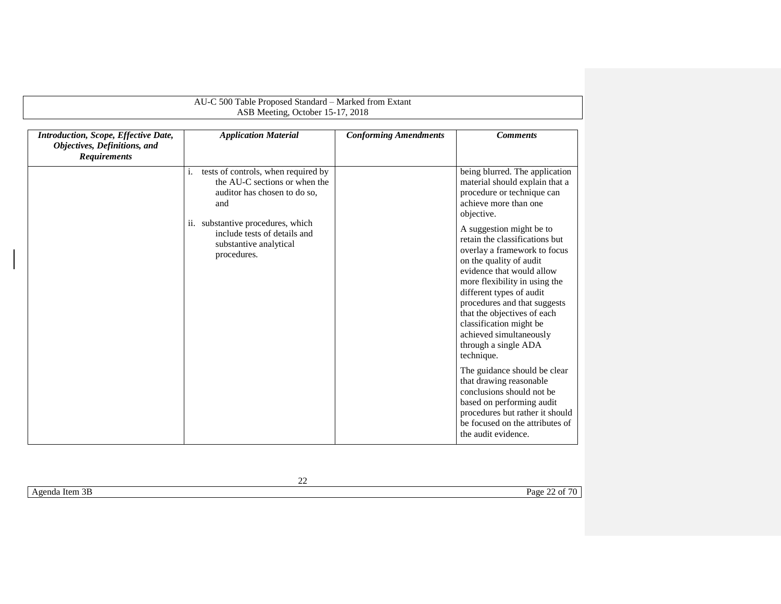|                                                                                             | AU-C 500 Table Proposed Standard - Marked from Extant<br>ASB Meeting, October 15-17, 2018                                                                                                                                       |                              |                                                                                                                                                                                                                                                                                                                                                                                                                                                                                                                                                                                                                                                                                                                                        |
|---------------------------------------------------------------------------------------------|---------------------------------------------------------------------------------------------------------------------------------------------------------------------------------------------------------------------------------|------------------------------|----------------------------------------------------------------------------------------------------------------------------------------------------------------------------------------------------------------------------------------------------------------------------------------------------------------------------------------------------------------------------------------------------------------------------------------------------------------------------------------------------------------------------------------------------------------------------------------------------------------------------------------------------------------------------------------------------------------------------------------|
| Introduction, Scope, Effective Date,<br>Objectives, Definitions, and<br><b>Requirements</b> | <b>Application Material</b>                                                                                                                                                                                                     | <b>Conforming Amendments</b> | <b>Comments</b>                                                                                                                                                                                                                                                                                                                                                                                                                                                                                                                                                                                                                                                                                                                        |
|                                                                                             | tests of controls, when required by<br>i.<br>the AU-C sections or when the<br>auditor has chosen to do so,<br>and<br>ii. substantive procedures, which<br>include tests of details and<br>substantive analytical<br>procedures. |                              | being blurred. The application<br>material should explain that a<br>procedure or technique can<br>achieve more than one<br>objective.<br>A suggestion might be to<br>retain the classifications but<br>overlay a framework to focus<br>on the quality of audit<br>evidence that would allow<br>more flexibility in using the<br>different types of audit<br>procedures and that suggests<br>that the objectives of each<br>classification might be<br>achieved simultaneously<br>through a single ADA<br>technique.<br>The guidance should be clear<br>that drawing reasonable<br>conclusions should not be.<br>based on performing audit<br>procedures but rather it should<br>be focused on the attributes of<br>the audit evidence. |

| Agenda Item 3B | Page 22 of 70 |
|----------------|---------------|
|                |               |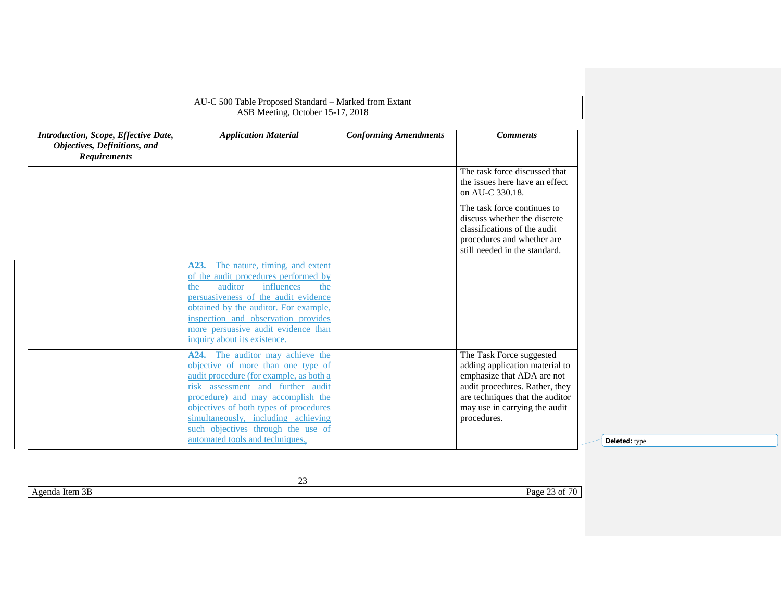|                                                                                             | AU-C 500 Table Proposed Standard - Marked from Extant<br>ASB Meeting, October 15-17, 2018                                                                                                                                                                                                                                                             |                              |                                                                                                                                                                                                               |
|---------------------------------------------------------------------------------------------|-------------------------------------------------------------------------------------------------------------------------------------------------------------------------------------------------------------------------------------------------------------------------------------------------------------------------------------------------------|------------------------------|---------------------------------------------------------------------------------------------------------------------------------------------------------------------------------------------------------------|
| Introduction, Scope, Effective Date,<br>Objectives, Definitions, and<br><b>Requirements</b> | <b>Application Material</b>                                                                                                                                                                                                                                                                                                                           | <b>Conforming Amendments</b> | <b>Comments</b>                                                                                                                                                                                               |
|                                                                                             |                                                                                                                                                                                                                                                                                                                                                       |                              | The task force discussed that<br>the issues here have an effect<br>on AU-C 330.18.                                                                                                                            |
|                                                                                             |                                                                                                                                                                                                                                                                                                                                                       |                              | The task force continues to<br>discuss whether the discrete<br>classifications of the audit<br>procedures and whether are<br>still needed in the standard.                                                    |
|                                                                                             | The nature, timing, and extent<br>A23.<br>of the audit procedures performed by<br>influences<br>auditor<br>the<br>the<br>persuasiveness of the audit evidence<br>obtained by the auditor. For example,<br>inspection and observation provides<br>more persuasive audit evidence than<br>inquiry about its existence.                                  |                              |                                                                                                                                                                                                               |
|                                                                                             | A24. The auditor may achieve the<br>objective of more than one type of<br>audit procedure (for example, as both a<br>risk assessment and further audit<br>procedure) and may accomplish the<br>objectives of both types of procedures<br>simultaneously, including achieving<br>such objectives through the use of<br>automated tools and techniques. |                              | The Task Force suggested<br>adding application material to<br>emphasize that ADA are not<br>audit procedures. Rather, they<br>are techniques that the auditor<br>may use in carrying the audit<br>procedures. |

**Deleted:** type

Agenda Item 3B Page 23 of 70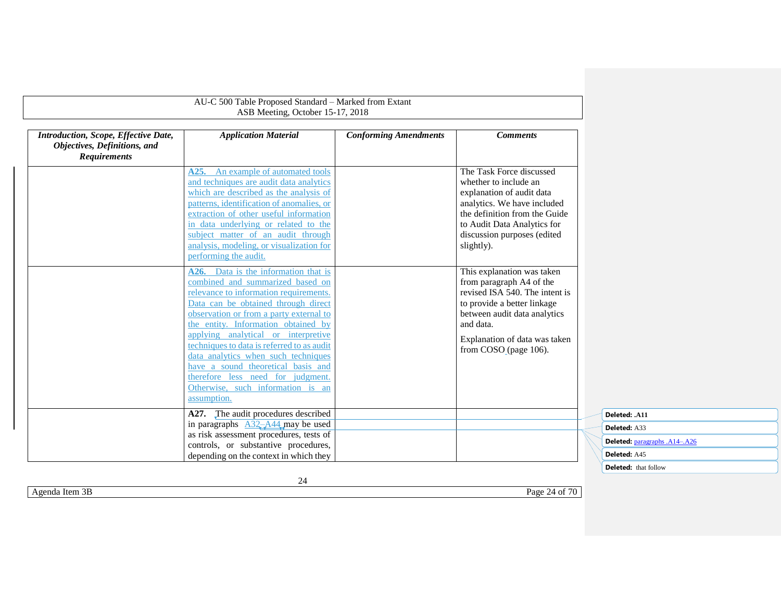| Introduction, Scope, Effective Date,<br>Objectives, Definitions, and<br><b>Requirements</b> | <b>Application Material</b>                                                                                                                                                                                                                                                                                                                                          | <b>Conforming Amendments</b> | <b>Comments</b>                                                                                                                                                                                                            |
|---------------------------------------------------------------------------------------------|----------------------------------------------------------------------------------------------------------------------------------------------------------------------------------------------------------------------------------------------------------------------------------------------------------------------------------------------------------------------|------------------------------|----------------------------------------------------------------------------------------------------------------------------------------------------------------------------------------------------------------------------|
|                                                                                             | An example of automated tools<br>A25.<br>and techniques are audit data analytics<br>which are described as the analysis of<br>patterns, identification of anomalies, or<br>extraction of other useful information<br>in data underlying or related to the<br>subject matter of an audit through<br>analysis, modeling, or visualization for<br>performing the audit. |                              | The Task Force discussed<br>whether to include an<br>explanation of audit data<br>analytics. We have included<br>the definition from the Guide<br>to Audit Data Analytics for<br>discussion purposes (edited<br>slightly). |
|                                                                                             | A26. Data is the information that is<br>combined and summarized based on<br>relevance to information requirements.<br>Data can be obtained through direct<br>observation or from a party external to<br>the entity. Information obtained by                                                                                                                          |                              | This explanation was taken<br>from paragraph A4 of the<br>revised ISA 540. The intent is<br>to provide a better linkage<br>between audit data analytics<br>and data.                                                       |
|                                                                                             | applying analytical or interpretive<br>techniques to data is referred to as audit<br>data analytics when such techniques<br>have a sound theoretical basis and<br>therefore less need for judgment.<br>Otherwise, such information is an<br>assumption.                                                                                                              |                              | Explanation of data was taken<br>from COSO <sub>_(page 106)</sub> .                                                                                                                                                        |
|                                                                                             | A27. The audit procedures described<br>in paragraphs $A32 - A44$ may be used<br>as risk assessment procedures, tests of<br>controls, or substantive procedures,<br>depending on the context in which they                                                                                                                                                            |                              |                                                                                                                                                                                                                            |

| Deleted: .A11                        |  |
|--------------------------------------|--|
| Deleted: A33                         |  |
| <b>Deleted:</b> paragraphs .A14-.A26 |  |
| Deleted: A45                         |  |
| Deleted: that follow                 |  |

Agenda Item 3B Page 24 of 70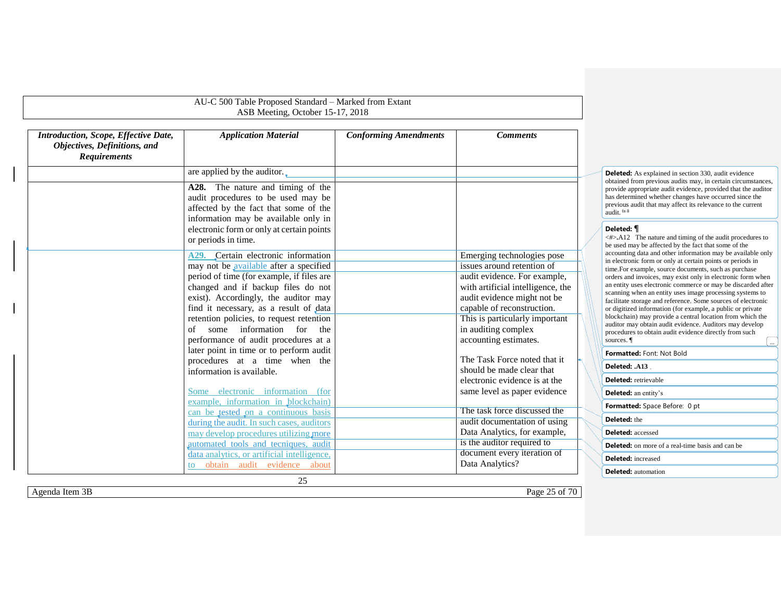|                                                                                             | AU-C 500 Table Proposed Standard - Marked from Extant<br>ASB Meeting, October 15-17, 2018                                                                                                                                    |                              |                                                                                                                                |
|---------------------------------------------------------------------------------------------|------------------------------------------------------------------------------------------------------------------------------------------------------------------------------------------------------------------------------|------------------------------|--------------------------------------------------------------------------------------------------------------------------------|
| Introduction, Scope, Effective Date,<br>Objectives, Definitions, and<br><b>Requirements</b> | <b>Application Material</b>                                                                                                                                                                                                  | <b>Conforming Amendments</b> | <b>Comments</b>                                                                                                                |
|                                                                                             | are applied by the auditor.                                                                                                                                                                                                  |                              |                                                                                                                                |
|                                                                                             | A28. The nature and timing of the<br>audit procedures to be used may be<br>affected by the fact that some of the<br>information may be available only in<br>electronic form or only at certain points<br>or periods in time. |                              |                                                                                                                                |
|                                                                                             | A29. Certain electronic information                                                                                                                                                                                          |                              | Emerging technologies pose                                                                                                     |
|                                                                                             | may not be available after a specified                                                                                                                                                                                       |                              | issues around retention of                                                                                                     |
|                                                                                             | period of time (for example, if files are<br>changed and if backup files do not<br>exist). Accordingly, the auditor may<br>find it necessary, as a result of data                                                            |                              | audit evidence. For example,<br>with artificial intelligence, the<br>audit evidence might not be<br>capable of reconstruction. |
|                                                                                             | retention policies, to request retention<br>some information for<br>of<br>the<br>performance of audit procedures at a                                                                                                        |                              | This is particularly important<br>in auditing complex<br>accounting estimates.                                                 |
|                                                                                             | later point in time or to perform audit<br>procedures at a time when the<br>information is available.                                                                                                                        |                              | The Task Force noted that it<br>should be made clear that<br>electronic evidence is at the                                     |
|                                                                                             | Some electronic information (for<br>example, information in blockchain)                                                                                                                                                      |                              | same level as paper evidence                                                                                                   |
|                                                                                             | can be tested on a continuous basis                                                                                                                                                                                          |                              | The task force discussed the                                                                                                   |
|                                                                                             | during the audit. In such cases, auditors<br>may develop procedures utilizing more                                                                                                                                           |                              | audit documentation of using<br>Data Analytics, for example,                                                                   |
|                                                                                             | automated tools and tecniques, audit                                                                                                                                                                                         |                              | is the auditor required to                                                                                                     |
|                                                                                             | data analytics, or artificial intelligence,<br>obtain audit evidence about<br>to.                                                                                                                                            |                              | document every iteration of<br>Data Analytics?                                                                                 |

**Deleted:** As explained in section 330, audit evidence obtained from previous audits may, in certain circumstances, provide appropriate audit evidence, provided that the auditor has determined whether changes have occurred since the previous audit that may affect its relevance to the current audit. fn 8

## **Deleted:** *¶*

<#>**.**A12 The nature and timing of the audit procedures to be used may be affected by the fact that some of the accounting data and other information may be available only in electronic form or only at certain points or periods in time.For example, source documents, such as purchase orders and invoices, may exist only in electronic form when an entity uses electronic commerce or may be discarded after scanning when an entity uses image processing systems to facilitate storage and reference. Some sources of electronic or digitized information (for example, a public or private blockchain) may provide a central location from which the auditor may obtain audit evidence. Auditors may develop procedures to obtain audit evidence directly from such  $\blacksquare$  sources.  $\blacksquare$ **Formatted:** Font: Not Bold **Deleted: .A13 Deleted:** retrievable **Deleted:** an entity's **Deleted:** the **Deleted:** accessed **Formatted:** Space Before: 0 pt

**Deleted:** on more of a real-time basis and can be

**Deleted:** increased

**Deleted:** automation

Agenda Item 3B Page 25 of 70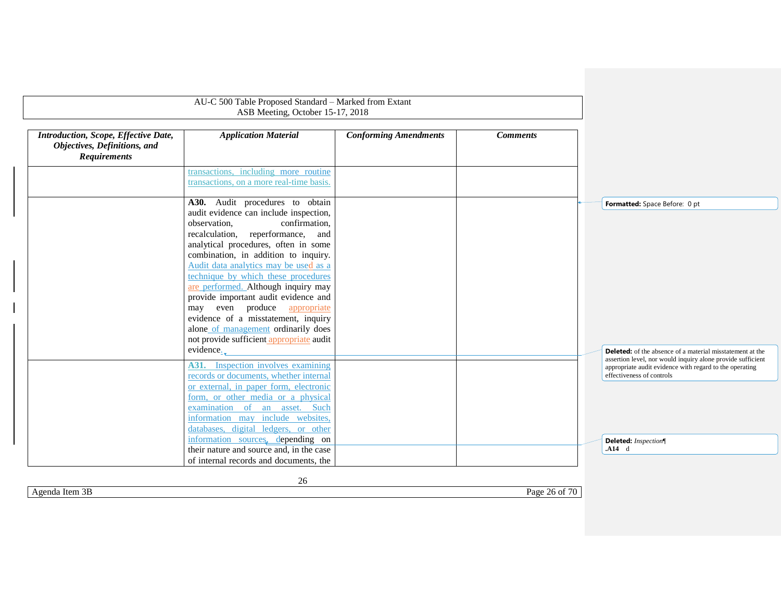|                                                                                             | AU-C 500 Table Proposed Standard - Marked from Extant<br>ASB Meeting, October 15-17, 2018                                                                                                                                                                                                                                                                                                                                                                                                                             |                              |                 |                                                                                                                                                                                                                                                 |
|---------------------------------------------------------------------------------------------|-----------------------------------------------------------------------------------------------------------------------------------------------------------------------------------------------------------------------------------------------------------------------------------------------------------------------------------------------------------------------------------------------------------------------------------------------------------------------------------------------------------------------|------------------------------|-----------------|-------------------------------------------------------------------------------------------------------------------------------------------------------------------------------------------------------------------------------------------------|
|                                                                                             |                                                                                                                                                                                                                                                                                                                                                                                                                                                                                                                       |                              |                 |                                                                                                                                                                                                                                                 |
| Introduction, Scope, Effective Date,<br>Objectives, Definitions, and<br><b>Requirements</b> | <b>Application Material</b>                                                                                                                                                                                                                                                                                                                                                                                                                                                                                           | <b>Conforming Amendments</b> | <b>Comments</b> |                                                                                                                                                                                                                                                 |
|                                                                                             | transactions, including more routine<br>transactions, on a more real-time basis.                                                                                                                                                                                                                                                                                                                                                                                                                                      |                              |                 |                                                                                                                                                                                                                                                 |
|                                                                                             | A30. Audit procedures to obtain                                                                                                                                                                                                                                                                                                                                                                                                                                                                                       |                              |                 | Formatted: Space Before: 0 pt                                                                                                                                                                                                                   |
|                                                                                             | audit evidence can include inspection,<br>confirmation,<br>observation,<br>recalculation, reperformance, and<br>analytical procedures, often in some<br>combination, in addition to inquiry.<br>Audit data analytics may be used as a<br>technique by which these procedures<br>are performed. Although inquiry may<br>provide important audit evidence and<br>may even produce appropriate<br>evidence of a misstatement, inquiry<br>alone of management ordinarily does<br>not provide sufficient appropriate audit |                              |                 |                                                                                                                                                                                                                                                 |
|                                                                                             | evidence <sub><math>\lambda</math></sub><br>Inspection involves examining<br>A31.<br>records or documents, whether internal<br>or external, in paper form, electronic<br>form, or other media or a physical<br>examination of an asset. Such<br>information may include websites.<br>databases, digital ledgers, or other<br>information sources, depending on                                                                                                                                                        |                              |                 | <b>Deleted:</b> of the absence of a material misstatement at the<br>assertion level, nor would inquiry alone provide sufficient<br>appropriate audit evidence with regard to the operating<br>effectiveness of controls<br>Deleted: Inspection¶ |
|                                                                                             | their nature and source and, in the case<br>of internal records and documents, the                                                                                                                                                                                                                                                                                                                                                                                                                                    |                              |                 | .A14 d                                                                                                                                                                                                                                          |

26

Agenda Item 3B Page 26 of 70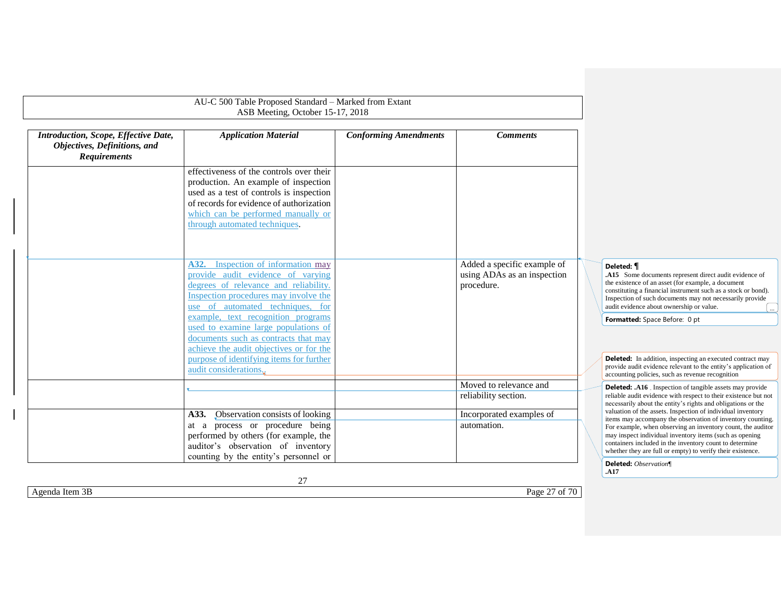<span id="page-26-0"></span>

|                                                                                             | AU-C 500 Table Proposed Standard - Marked from Extant<br>ASB Meeting, October 15-17, 2018                                                                                                                                                                                                                                                                      |                              |                                                                          |                                                                                                                                                                                                                                                                                                                                                                              |
|---------------------------------------------------------------------------------------------|----------------------------------------------------------------------------------------------------------------------------------------------------------------------------------------------------------------------------------------------------------------------------------------------------------------------------------------------------------------|------------------------------|--------------------------------------------------------------------------|------------------------------------------------------------------------------------------------------------------------------------------------------------------------------------------------------------------------------------------------------------------------------------------------------------------------------------------------------------------------------|
| Introduction, Scope, Effective Date,<br>Objectives, Definitions, and<br><b>Requirements</b> | <b>Application Material</b>                                                                                                                                                                                                                                                                                                                                    | <b>Conforming Amendments</b> | <b>Comments</b>                                                          |                                                                                                                                                                                                                                                                                                                                                                              |
|                                                                                             | effectiveness of the controls over their<br>production. An example of inspection<br>used as a test of controls is inspection<br>of records for evidence of authorization<br>which can be performed manually or<br>through automated techniques.                                                                                                                |                              |                                                                          |                                                                                                                                                                                                                                                                                                                                                                              |
|                                                                                             | A32. Inspection of information may<br>provide audit evidence of varying<br>degrees of relevance and reliability.<br>Inspection procedures may involve the<br>use of automated techniques, for<br>example, text recognition programs<br>used to examine large populations of<br>documents such as contracts that may<br>achieve the audit objectives or for the |                              | Added a specific example of<br>using ADAs as an inspection<br>procedure. | Deleted: <i>¶</i><br>.A15 Some documents represent direct audit evidence of<br>the existence of an asset (for example, a document<br>constituting a financial instrument such as a stock or bond).<br>Inspection of such documents may not necessarily provide<br>audit evidence about ownership or value.<br>Formatted: Space Before: 0 pt                                  |
|                                                                                             | purpose of identifying items for further<br>audit considerations.                                                                                                                                                                                                                                                                                              |                              |                                                                          | <b>Deleted:</b> In addition, inspecting an executed contract may<br>provide audit evidence relevant to the entity's application of<br>accounting policies, such as revenue recognition                                                                                                                                                                                       |
|                                                                                             |                                                                                                                                                                                                                                                                                                                                                                |                              | Moved to relevance and<br>reliability section.                           | <b>Deleted:</b> .A16 . Inspection of tangible assets may provide<br>reliable audit evidence with respect to their existence but not<br>necessarily about the entity's rights and obligations or the                                                                                                                                                                          |
|                                                                                             | A33. Observation consists of looking<br>at a process or procedure being<br>performed by others (for example, the<br>auditor's observation of inventory<br>counting by the entity's personnel or                                                                                                                                                                |                              | Incorporated examples of<br>automation.                                  | valuation of the assets. Inspection of individual inventory<br>items may accompany the observation of inventory counting.<br>For example, when observing an inventory count, the auditor<br>may inspect individual inventory items (such as opening<br>containers included in the inventory count to determine<br>whether they are full or empty) to verify their existence. |
|                                                                                             |                                                                                                                                                                                                                                                                                                                                                                |                              |                                                                          | Deleted: Observation<br>.A17                                                                                                                                                                                                                                                                                                                                                 |

Agenda Item 3B Page 27 of 70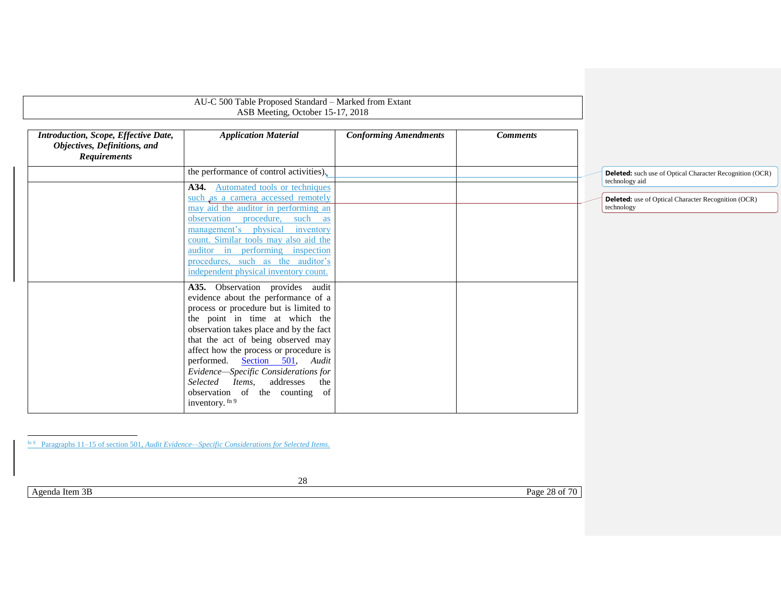|                                                                                             | AU-C 500 Table Proposed Standard - Marked from Extant<br>ASB Meeting, October 15-17, 2018                                                                |                              |                 |                                                                                   |
|---------------------------------------------------------------------------------------------|----------------------------------------------------------------------------------------------------------------------------------------------------------|------------------------------|-----------------|-----------------------------------------------------------------------------------|
| Introduction, Scope, Effective Date,<br>Objectives, Definitions, and<br><b>Requirements</b> | <b>Application Material</b>                                                                                                                              | <b>Conforming Amendments</b> | <b>Comments</b> |                                                                                   |
|                                                                                             | the performance of control activities).                                                                                                                  |                              |                 | <b>Deleted:</b> such use of Optical Character Recognition (OCR)<br>technology aid |
|                                                                                             | <b>A34.</b> Automated tools or techniques<br>such as a camera accessed remotely<br>may aid the auditor in performing an                                  |                              |                 | <b>Deleted:</b> use of Optical Character Recognition (OCR)<br>technology          |
|                                                                                             | observation procedure, such as<br>management's physical inventory<br>count. Similar tools may also aid the<br>auditor in performing inspection           |                              |                 |                                                                                   |
|                                                                                             | procedures, such as the auditor's<br>independent physical inventory count.                                                                               |                              |                 |                                                                                   |
|                                                                                             | A35. Observation provides audit<br>evidence about the performance of a<br>process or procedure but is limited to<br>the point in time at which the       |                              |                 |                                                                                   |
|                                                                                             | observation takes place and by the fact<br>that the act of being observed may<br>affect how the process or procedure is<br>performed. Section 501, Audit |                              |                 |                                                                                   |
|                                                                                             | Evidence-Specific Considerations for<br>Selected Items, addresses<br>the<br>observation of the counting of<br>inventory. fn 9                            |                              |                 |                                                                                   |

28

Agenda Item 3B Page 28 of 70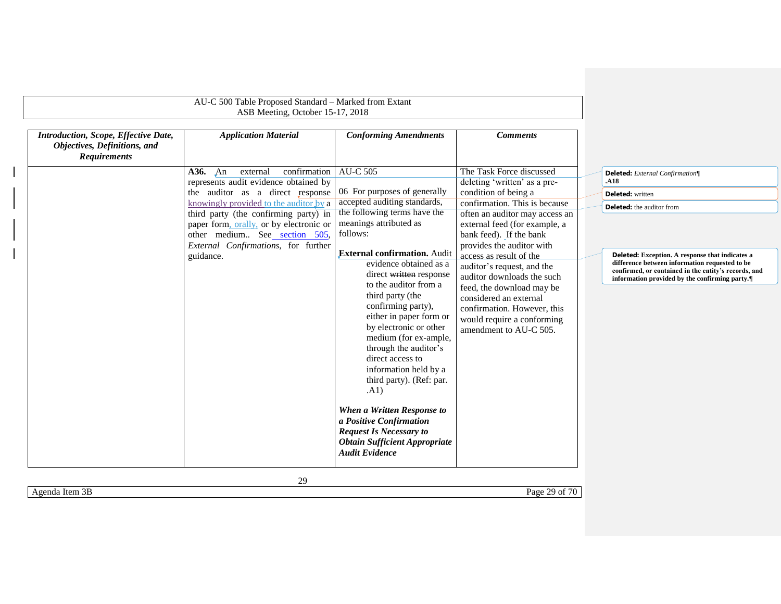|                                                                                             | AU-C 500 Table Proposed Standard - Marked from Extant<br>ASB Meeting, October 15-17, 2018 |                                                                                                                                                                                                                                                                                                                                                                                                                                                                                        |                                                                                                                                                                                                                                   |  |                                                                                                                                                                                                            |
|---------------------------------------------------------------------------------------------|-------------------------------------------------------------------------------------------|----------------------------------------------------------------------------------------------------------------------------------------------------------------------------------------------------------------------------------------------------------------------------------------------------------------------------------------------------------------------------------------------------------------------------------------------------------------------------------------|-----------------------------------------------------------------------------------------------------------------------------------------------------------------------------------------------------------------------------------|--|------------------------------------------------------------------------------------------------------------------------------------------------------------------------------------------------------------|
| Introduction, Scope, Effective Date,<br>Objectives, Definitions, and<br><b>Requirements</b> | <b>Application Material</b>                                                               | <b>Conforming Amendments</b>                                                                                                                                                                                                                                                                                                                                                                                                                                                           | <b>Comments</b>                                                                                                                                                                                                                   |  |                                                                                                                                                                                                            |
|                                                                                             | confirmation<br><b>A36.</b> An<br>external<br>represents audit evidence obtained by       | <b>AU-C 505</b>                                                                                                                                                                                                                                                                                                                                                                                                                                                                        | The Task Force discussed<br>deleting 'written' as a pre-                                                                                                                                                                          |  | Deleted: External Confirmation<br>.A18                                                                                                                                                                     |
|                                                                                             | the auditor as a direct response                                                          | 06 For purposes of generally                                                                                                                                                                                                                                                                                                                                                                                                                                                           | condition of being a                                                                                                                                                                                                              |  | <b>Deleted:</b> written                                                                                                                                                                                    |
|                                                                                             | knowingly provided to the auditor by a                                                    | accepted auditing standards,                                                                                                                                                                                                                                                                                                                                                                                                                                                           | confirmation. This is because                                                                                                                                                                                                     |  | <b>Deleted:</b> the auditor from                                                                                                                                                                           |
|                                                                                             | third party (the confirming party) in                                                     | the following terms have the                                                                                                                                                                                                                                                                                                                                                                                                                                                           | often an auditor may access an                                                                                                                                                                                                    |  |                                                                                                                                                                                                            |
|                                                                                             | paper form, orally, or by electronic or<br>other medium See section 505,                  | meanings attributed as<br>follows:                                                                                                                                                                                                                                                                                                                                                                                                                                                     | external feed (for example, a<br>bank feed). If the bank                                                                                                                                                                          |  |                                                                                                                                                                                                            |
|                                                                                             | External Confirmations, for further                                                       |                                                                                                                                                                                                                                                                                                                                                                                                                                                                                        | provides the auditor with                                                                                                                                                                                                         |  |                                                                                                                                                                                                            |
|                                                                                             | guidance.                                                                                 | <b>External confirmation.</b> Audit<br>evidence obtained as a<br>direct written response<br>to the auditor from a<br>third party (the<br>confirming party),<br>either in paper form or<br>by electronic or other<br>medium (for ex-ample,<br>through the auditor's<br>direct access to<br>information held by a<br>third party). (Ref: par.<br>(A1)<br>When a Written Response to<br>a Positive Confirmation<br><b>Request Is Necessary to</b><br><b>Obtain Sufficient Appropriate</b> | access as result of the<br>auditor's request, and the<br>auditor downloads the such<br>feed, the download may be<br>considered an external<br>confirmation. However, this<br>would require a conforming<br>amendment to AU-C 505. |  | Deleted: Exception. A response that indicates a<br>difference between information requested to be<br>confirmed, or contained in the entity's records, and<br>information provided by the confirming party. |

Agenda Item 3B Page 29 of 70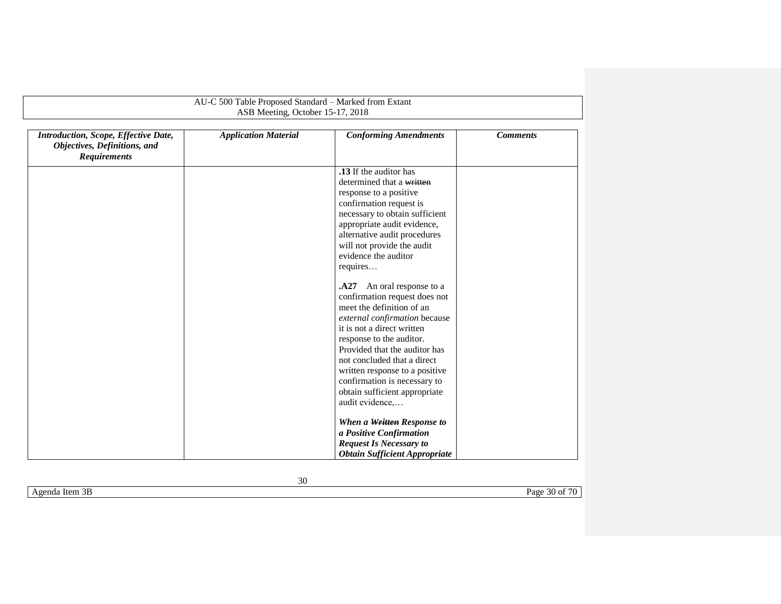<span id="page-29-0"></span>

|                                                                                             | AU-C 500 Table Proposed Standard - Marked from Extant |                                                                                                                                                                                                                                                                                                                                                                          |                 |
|---------------------------------------------------------------------------------------------|-------------------------------------------------------|--------------------------------------------------------------------------------------------------------------------------------------------------------------------------------------------------------------------------------------------------------------------------------------------------------------------------------------------------------------------------|-----------------|
|                                                                                             | ASB Meeting, October 15-17, 2018                      |                                                                                                                                                                                                                                                                                                                                                                          |                 |
| Introduction, Scope, Effective Date,<br>Objectives, Definitions, and<br><b>Requirements</b> | <b>Application Material</b>                           | <b>Conforming Amendments</b>                                                                                                                                                                                                                                                                                                                                             | <b>Comments</b> |
|                                                                                             |                                                       | .13 If the auditor has                                                                                                                                                                                                                                                                                                                                                   |                 |
|                                                                                             |                                                       | determined that a written                                                                                                                                                                                                                                                                                                                                                |                 |
|                                                                                             |                                                       | response to a positive                                                                                                                                                                                                                                                                                                                                                   |                 |
|                                                                                             |                                                       | confirmation request is                                                                                                                                                                                                                                                                                                                                                  |                 |
|                                                                                             |                                                       | necessary to obtain sufficient                                                                                                                                                                                                                                                                                                                                           |                 |
|                                                                                             |                                                       | appropriate audit evidence,                                                                                                                                                                                                                                                                                                                                              |                 |
|                                                                                             |                                                       | alternative audit procedures                                                                                                                                                                                                                                                                                                                                             |                 |
|                                                                                             |                                                       | will not provide the audit                                                                                                                                                                                                                                                                                                                                               |                 |
|                                                                                             |                                                       | evidence the auditor                                                                                                                                                                                                                                                                                                                                                     |                 |
|                                                                                             |                                                       | requires                                                                                                                                                                                                                                                                                                                                                                 |                 |
|                                                                                             |                                                       | A27 An oral response to a<br>confirmation request does not<br>meet the definition of an<br>external confirmation because<br>it is not a direct written<br>response to the auditor.<br>Provided that the auditor has<br>not concluded that a direct<br>written response to a positive<br>confirmation is necessary to<br>obtain sufficient appropriate<br>audit evidence, |                 |
|                                                                                             |                                                       | When a Written Response to<br>a Positive Confirmation<br><b>Request Is Necessary to</b>                                                                                                                                                                                                                                                                                  |                 |
|                                                                                             |                                                       | <b>Obtain Sufficient Appropriate</b>                                                                                                                                                                                                                                                                                                                                     |                 |

Agenda Item 3B Page 30 of 70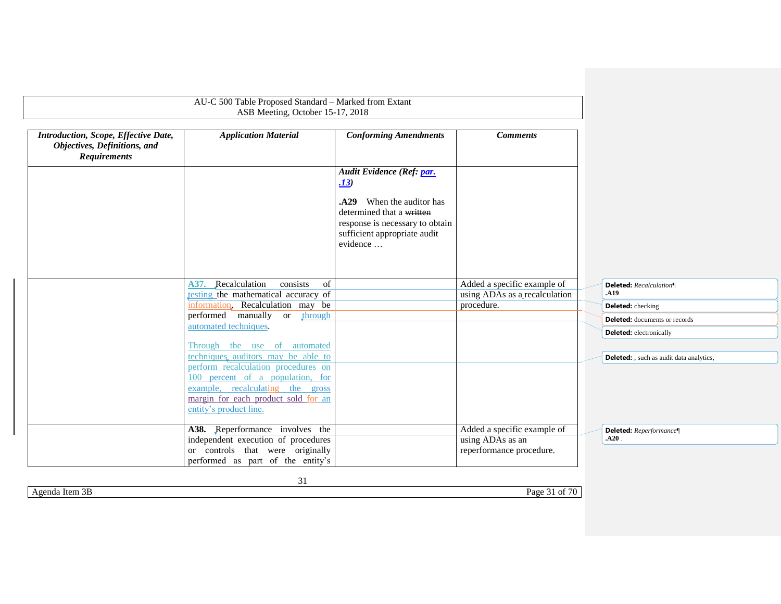|                                                                                             | AU-C 500 Table Proposed Standard - Marked from Extant<br>ASB Meeting, October 15-17, 2018                                                                                                                          |                                                                                                                                       |                                                                             |                                                 |
|---------------------------------------------------------------------------------------------|--------------------------------------------------------------------------------------------------------------------------------------------------------------------------------------------------------------------|---------------------------------------------------------------------------------------------------------------------------------------|-----------------------------------------------------------------------------|-------------------------------------------------|
| Introduction, Scope, Effective Date,<br>Objectives, Definitions, and<br><b>Requirements</b> | <b>Application Material</b>                                                                                                                                                                                        | <b>Conforming Amendments</b>                                                                                                          | <b>Comments</b>                                                             |                                                 |
|                                                                                             |                                                                                                                                                                                                                    | Audit Evidence (Ref: par.<br><u>.13</u>                                                                                               |                                                                             |                                                 |
|                                                                                             |                                                                                                                                                                                                                    | .A29 When the auditor has<br>determined that a written<br>response is necessary to obtain<br>sufficient appropriate audit<br>evidence |                                                                             |                                                 |
|                                                                                             | A37. Recalculation<br>consists<br>of<br>testing the mathematical accuracy of                                                                                                                                       |                                                                                                                                       | Added a specific example of<br>using ADAs as a recalculation                | Deleted: Recalculation¶<br>.A19                 |
|                                                                                             | information. Recalculation may be                                                                                                                                                                                  |                                                                                                                                       | procedure.                                                                  | Deleted: checking                               |
|                                                                                             | performed manually or through                                                                                                                                                                                      |                                                                                                                                       |                                                                             | <b>Deleted:</b> documents or records            |
|                                                                                             | automated techniques.<br>Through the use of automated                                                                                                                                                              |                                                                                                                                       |                                                                             | <b>Deleted:</b> electronically                  |
|                                                                                             | techniques auditors may be able to<br>perform recalculation procedures on<br>100 percent of a population, for<br>example, recalculating the gross<br>margin for each product sold for an<br>entity's product line. |                                                                                                                                       |                                                                             | <b>Deleted:</b> , such as audit data analytics, |
|                                                                                             | A38. Reperformance involves the<br>independent execution of procedures<br>or controls that were originally<br>performed as part of the entity's                                                                    |                                                                                                                                       | Added a specific example of<br>using ADAs as an<br>reperformance procedure. | Deleted: Reperformance<br>.A20.                 |

Agenda Item 3B Page 31 of 70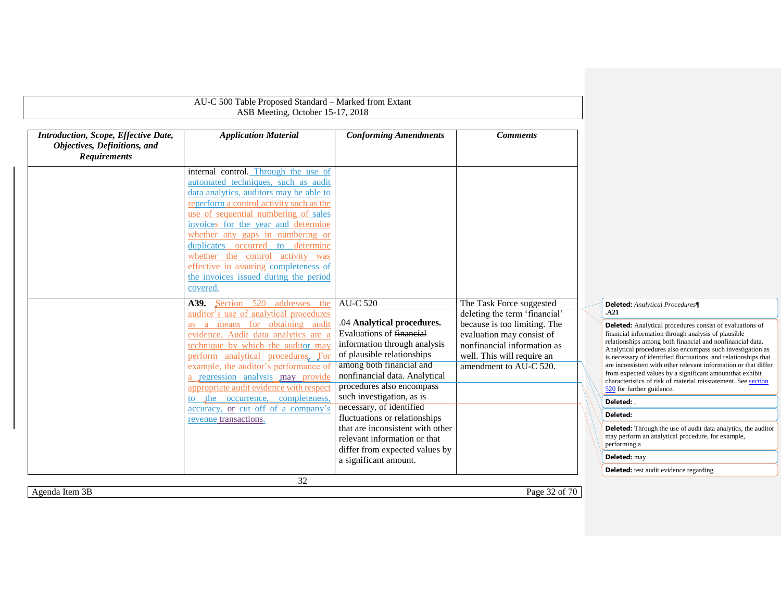|                                                                                             | AU-C 500 Table Proposed Standard - Marked from Extant<br>ASB Meeting, October 15-17, 2018                                                                                                                                                                                                                                                                                                                                                                   |                                                                                                                                                                                                                |                                                                                                                                                  |                                                                                                                                                                                                                                                                                                                                                                                                                                                                                                                                                   |
|---------------------------------------------------------------------------------------------|-------------------------------------------------------------------------------------------------------------------------------------------------------------------------------------------------------------------------------------------------------------------------------------------------------------------------------------------------------------------------------------------------------------------------------------------------------------|----------------------------------------------------------------------------------------------------------------------------------------------------------------------------------------------------------------|--------------------------------------------------------------------------------------------------------------------------------------------------|---------------------------------------------------------------------------------------------------------------------------------------------------------------------------------------------------------------------------------------------------------------------------------------------------------------------------------------------------------------------------------------------------------------------------------------------------------------------------------------------------------------------------------------------------|
|                                                                                             |                                                                                                                                                                                                                                                                                                                                                                                                                                                             |                                                                                                                                                                                                                |                                                                                                                                                  |                                                                                                                                                                                                                                                                                                                                                                                                                                                                                                                                                   |
| Introduction, Scope, Effective Date,<br>Objectives, Definitions, and<br><b>Requirements</b> | <b>Application Material</b>                                                                                                                                                                                                                                                                                                                                                                                                                                 | <b>Conforming Amendments</b>                                                                                                                                                                                   | <b>Comments</b>                                                                                                                                  |                                                                                                                                                                                                                                                                                                                                                                                                                                                                                                                                                   |
|                                                                                             | internal control. Through the use of<br>automated techniques, such as audit<br>data analytics, auditors may be able to<br>reperform a control activity such as the<br>use of sequential numbering of sales<br>invoices for the year and determine<br>whether any gaps in numbering or<br>duplicates occurred to determine<br>whether the control activity was<br>effective in assuring completeness of<br>the invoices issued during the period<br>covered. |                                                                                                                                                                                                                |                                                                                                                                                  |                                                                                                                                                                                                                                                                                                                                                                                                                                                                                                                                                   |
|                                                                                             | A39. Section 520 addresses<br>the<br>auditor's use of analytical procedures                                                                                                                                                                                                                                                                                                                                                                                 | <b>AU-C 520</b>                                                                                                                                                                                                | The Task Force suggested<br>deleting the term 'financial'                                                                                        | Deleted: Analytical Procedures<br>.A21                                                                                                                                                                                                                                                                                                                                                                                                                                                                                                            |
|                                                                                             | as a means for obtaining audit<br>evidence. Audit data analytics are a<br>technique by which the auditor may<br>perform analytical procedures. For<br>example, the auditor's performance of<br>a regression analysis may provide<br>appropriate audit evidence with respect                                                                                                                                                                                 | .04 Analytical procedures.<br>Evaluations of financial<br>information through analysis<br>of plausible relationships<br>among both financial and<br>nonfinancial data. Analytical<br>procedures also encompass | because is too limiting. The<br>evaluation may consist of<br>nonfinancial information as<br>well. This will require an<br>amendment to AU-C 520. | <b>Deleted:</b> Analytical procedures consist of evaluations of<br>financial information through analysis of plausible<br>relationships among both financial and nonfinancial data.<br>Analytical procedures also encompass such investigation as<br>is necessary of identified fluctuations and relationships that<br>are inconsistent with other relevant information or that differ<br>from expected values by a significant amount that exhibit<br>characteristics of risk of material misstatement. See section<br>520 for further guidance. |
|                                                                                             | to the occurrence, completeness.<br>accuracy, or cut off of a company's                                                                                                                                                                                                                                                                                                                                                                                     | such investigation, as is<br>necessary, of identified                                                                                                                                                          |                                                                                                                                                  | Deleted:                                                                                                                                                                                                                                                                                                                                                                                                                                                                                                                                          |
|                                                                                             | revenue transactions.                                                                                                                                                                                                                                                                                                                                                                                                                                       | fluctuations or relationships                                                                                                                                                                                  |                                                                                                                                                  | Deleted:                                                                                                                                                                                                                                                                                                                                                                                                                                                                                                                                          |
|                                                                                             |                                                                                                                                                                                                                                                                                                                                                                                                                                                             | that are inconsistent with other<br>relevant information or that                                                                                                                                               |                                                                                                                                                  | <b>Deleted:</b> Through the use of audit data analytics, the auditor<br>may perform an analytical procedure, for example,<br>performing a                                                                                                                                                                                                                                                                                                                                                                                                         |
|                                                                                             |                                                                                                                                                                                                                                                                                                                                                                                                                                                             | differ from expected values by<br>a significant amount.                                                                                                                                                        |                                                                                                                                                  | Deleted: may                                                                                                                                                                                                                                                                                                                                                                                                                                                                                                                                      |
|                                                                                             |                                                                                                                                                                                                                                                                                                                                                                                                                                                             |                                                                                                                                                                                                                |                                                                                                                                                  | <b>Deleted:</b> test audit evidence regarding                                                                                                                                                                                                                                                                                                                                                                                                                                                                                                     |
|                                                                                             | 32                                                                                                                                                                                                                                                                                                                                                                                                                                                          |                                                                                                                                                                                                                |                                                                                                                                                  |                                                                                                                                                                                                                                                                                                                                                                                                                                                                                                                                                   |
| Agenda Item 3B                                                                              |                                                                                                                                                                                                                                                                                                                                                                                                                                                             |                                                                                                                                                                                                                | Page 32 of 70                                                                                                                                    |                                                                                                                                                                                                                                                                                                                                                                                                                                                                                                                                                   |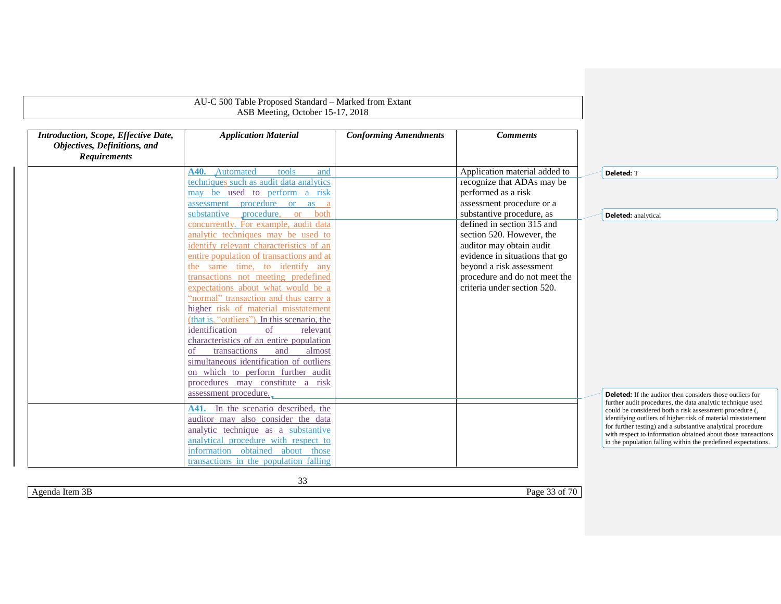|                                                                                             | AU-C 500 Table Proposed Standard - Marked from Extant<br>ASB Meeting, October 15-17, 2018                                                                                                                                                                                                                                                                                                                                                                                                                                                                                           |                              |                                                                                                                                                                                                                   |                                                                                                                                                                                                                                                                                                                                                                                                                                                            |
|---------------------------------------------------------------------------------------------|-------------------------------------------------------------------------------------------------------------------------------------------------------------------------------------------------------------------------------------------------------------------------------------------------------------------------------------------------------------------------------------------------------------------------------------------------------------------------------------------------------------------------------------------------------------------------------------|------------------------------|-------------------------------------------------------------------------------------------------------------------------------------------------------------------------------------------------------------------|------------------------------------------------------------------------------------------------------------------------------------------------------------------------------------------------------------------------------------------------------------------------------------------------------------------------------------------------------------------------------------------------------------------------------------------------------------|
| Introduction, Scope, Effective Date,<br>Objectives, Definitions, and<br><b>Requirements</b> | <b>Application Material</b>                                                                                                                                                                                                                                                                                                                                                                                                                                                                                                                                                         | <b>Conforming Amendments</b> | <b>Comments</b>                                                                                                                                                                                                   |                                                                                                                                                                                                                                                                                                                                                                                                                                                            |
|                                                                                             | A40. Automated<br>tools<br>and                                                                                                                                                                                                                                                                                                                                                                                                                                                                                                                                                      |                              | Application material added to                                                                                                                                                                                     | Deleted: T                                                                                                                                                                                                                                                                                                                                                                                                                                                 |
|                                                                                             | techniques such as audit data analytics<br>may be used to perform a risk<br>procedure or as a<br>assessment                                                                                                                                                                                                                                                                                                                                                                                                                                                                         |                              | recognize that ADAs may be<br>performed as a risk<br>assessment procedure or a                                                                                                                                    |                                                                                                                                                                                                                                                                                                                                                                                                                                                            |
|                                                                                             | substantive procedure, or<br>both                                                                                                                                                                                                                                                                                                                                                                                                                                                                                                                                                   |                              | substantive procedure, as                                                                                                                                                                                         | <b>Deleted:</b> analytical                                                                                                                                                                                                                                                                                                                                                                                                                                 |
|                                                                                             | concurrently. For example, audit data<br>analytic techniques may be used to<br>identify relevant characteristics of an<br>entire population of transactions and at<br>the same time, to identify any<br>transactions not meeting predefined<br>expectations about what would be a<br>"normal" transaction and thus carry a<br>higher risk of material misstatement<br>(that is, "outliers"). In this scenario, the<br>identification<br>of<br>relevant<br>characteristics of an entire population<br>transactions<br>almost<br>and<br>of<br>simultaneous identification of outliers |                              | defined in section 315 and<br>section 520. However, the<br>auditor may obtain audit<br>evidence in situations that go<br>beyond a risk assessment<br>procedure and do not meet the<br>criteria under section 520. |                                                                                                                                                                                                                                                                                                                                                                                                                                                            |
|                                                                                             | on which to perform further audit<br>procedures may constitute a risk<br>assessment procedure.<br>A41. In the scenario described, the<br>auditor may also consider the data<br>analytic technique as a substantive<br>analytical procedure with respect to                                                                                                                                                                                                                                                                                                                          |                              |                                                                                                                                                                                                                   | <b>Deleted:</b> If the auditor then considers those outliers for<br>further audit procedures, the data analytic technique used<br>could be considered both a risk assessment procedure (,<br>identifying outliers of higher risk of material misstatement<br>for further testing) and a substantive analytical procedure<br>with respect to information obtained about those transactions<br>in the population falling within the predefined expectations. |
|                                                                                             | information obtained about those<br>transactions in the population falling                                                                                                                                                                                                                                                                                                                                                                                                                                                                                                          |                              |                                                                                                                                                                                                                   |                                                                                                                                                                                                                                                                                                                                                                                                                                                            |

Agenda Item 3B Page 33 of 70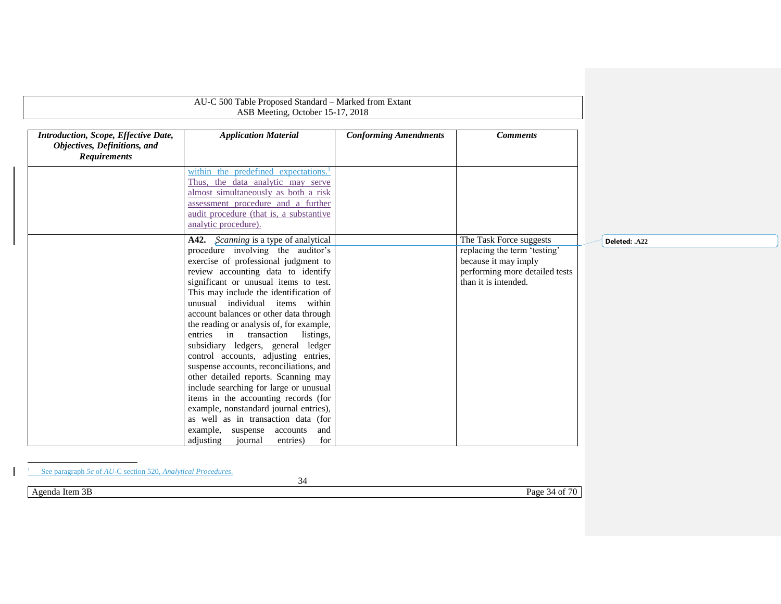| Introduction, Scope, Effective Date,<br>Objectives, Definitions, and<br><b>Requirements</b> | <b>Application Material</b>                                                                                                                                                                                                                                                                                                                                                                                                                                                                                                                                                                                                                                                                                                                                                                                                  | <b>Conforming Amendments</b> | <b>Comments</b>                                                                                                                           |               |
|---------------------------------------------------------------------------------------------|------------------------------------------------------------------------------------------------------------------------------------------------------------------------------------------------------------------------------------------------------------------------------------------------------------------------------------------------------------------------------------------------------------------------------------------------------------------------------------------------------------------------------------------------------------------------------------------------------------------------------------------------------------------------------------------------------------------------------------------------------------------------------------------------------------------------------|------------------------------|-------------------------------------------------------------------------------------------------------------------------------------------|---------------|
|                                                                                             | within the predefined expectations. <sup>1</sup><br>Thus, the data analytic may serve<br>almost simultaneously as both a risk<br>assessment procedure and a further<br>audit procedure (that is, a substantive<br>analytic procedure).                                                                                                                                                                                                                                                                                                                                                                                                                                                                                                                                                                                       |                              |                                                                                                                                           |               |
|                                                                                             | A42. Scanning is a type of analytical<br>procedure involving the auditor's<br>exercise of professional judgment to<br>review accounting data to identify<br>significant or unusual items to test.<br>This may include the identification of<br>unusual individual items within<br>account balances or other data through<br>the reading or analysis of, for example,<br>entries in transaction<br>listings,<br>subsidiary ledgers, general ledger<br>control accounts, adjusting entries,<br>suspense accounts, reconciliations, and<br>other detailed reports. Scanning may<br>include searching for large or unusual<br>items in the accounting records (for<br>example, nonstandard journal entries),<br>as well as in transaction data (for<br>example, suspense accounts and<br>journal<br>adjusting<br>entries)<br>for |                              | The Task Force suggests<br>replacing the term 'testing'<br>because it may imply<br>performing more detailed tests<br>than it is intended. | Deleted: .A22 |
| See paragraph 5c of AU-C section 520, Analytical Procedures.<br>Agenda Item 3B              | 34                                                                                                                                                                                                                                                                                                                                                                                                                                                                                                                                                                                                                                                                                                                                                                                                                           |                              | Page 34 of 70                                                                                                                             |               |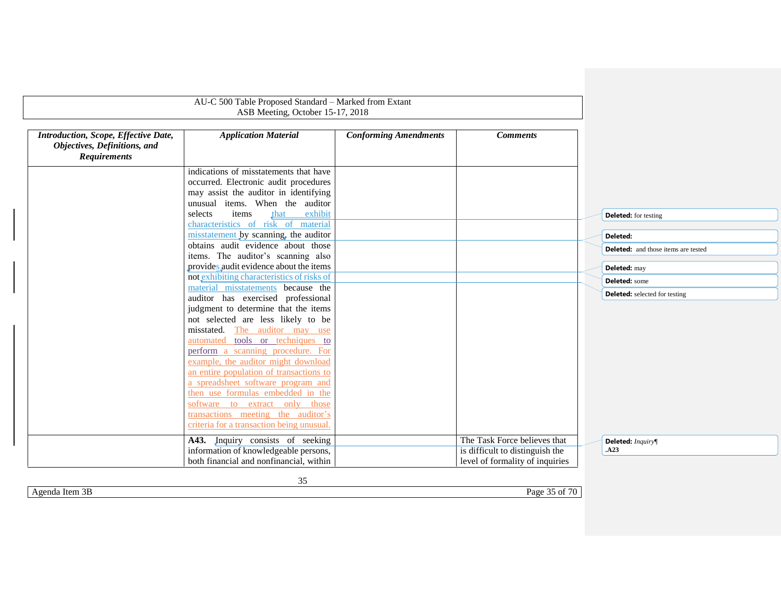|                                                                                             | AU-C 500 Table Proposed Standard - Marked from Extant<br>ASB Meeting, October 15-17, 2018                                                                   |                              |                                                                                                    |                                            |
|---------------------------------------------------------------------------------------------|-------------------------------------------------------------------------------------------------------------------------------------------------------------|------------------------------|----------------------------------------------------------------------------------------------------|--------------------------------------------|
| Introduction, Scope, Effective Date,<br>Objectives, Definitions, and<br><b>Requirements</b> | <b>Application Material</b>                                                                                                                                 | <b>Conforming Amendments</b> | <b>Comments</b>                                                                                    |                                            |
|                                                                                             | indications of misstatements that have<br>occurred. Electronic audit procedures<br>may assist the auditor in identifying<br>unusual items. When the auditor |                              |                                                                                                    |                                            |
|                                                                                             | items<br>selects<br>that<br>exhibit<br>characteristics of risk of material<br>misstatement by scanning, the auditor                                         |                              |                                                                                                    | <b>Deleted:</b> for testing<br>Deleted:    |
|                                                                                             | obtains audit evidence about those<br>items. The auditor's scanning also                                                                                    |                              |                                                                                                    | <b>Deleted:</b> and those items are tested |
|                                                                                             | provides audit evidence about the items<br>not exhibiting characteristics of risks of                                                                       |                              |                                                                                                    | Deleted: may<br>Deleted: some              |
|                                                                                             | material misstatements because the<br>auditor has exercised professional<br>judgment to determine that the items<br>not selected are less likely to be      |                              |                                                                                                    | <b>Deleted:</b> selected for testing       |
|                                                                                             | misstated. The auditor may use<br>automated tools or techniques to<br>perform a scanning procedure. For                                                     |                              |                                                                                                    |                                            |
|                                                                                             | example, the auditor might download<br>an entire population of transactions to                                                                              |                              |                                                                                                    |                                            |
|                                                                                             | a spreadsheet software program and<br>then use formulas embedded in the<br>software to extract only those                                                   |                              |                                                                                                    |                                            |
|                                                                                             | transactions meeting the auditor's<br>criteria for a transaction being unusual.                                                                             |                              |                                                                                                    |                                            |
|                                                                                             | A43. Inquiry consists of seeking<br>information of knowledgeable persons,<br>both financial and nonfinancial, within                                        |                              | The Task Force believes that<br>is difficult to distinguish the<br>level of formality of inquiries | Deleted: Inquiry¶<br>.A23                  |

Agenda Item 3B Page 35 of 70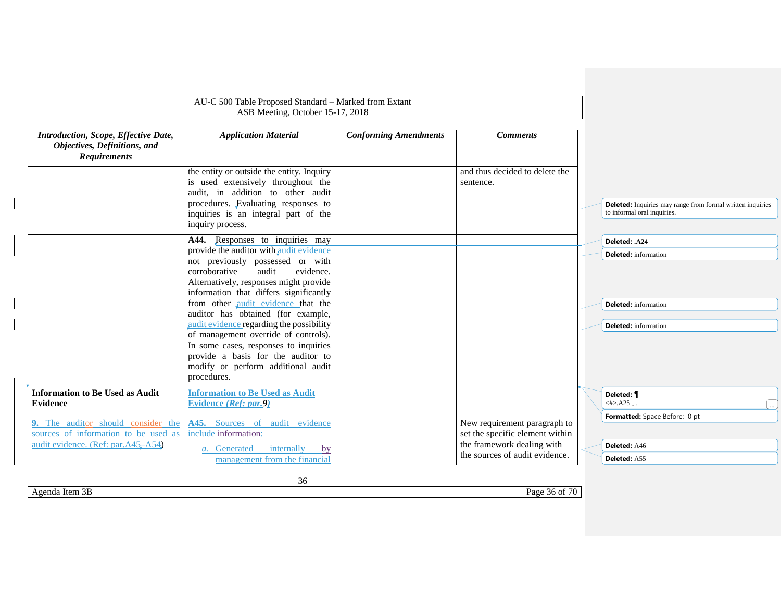<span id="page-35-0"></span>

|                                                                                                                                         | AU-C 500 Table Proposed Standard - Marked from Extant<br>ASB Meeting, October 15-17, 2018                                                                                                                                                                                                                                                                                                                                                                                                |                              |                                                                 |                                                                                                            |
|-----------------------------------------------------------------------------------------------------------------------------------------|------------------------------------------------------------------------------------------------------------------------------------------------------------------------------------------------------------------------------------------------------------------------------------------------------------------------------------------------------------------------------------------------------------------------------------------------------------------------------------------|------------------------------|-----------------------------------------------------------------|------------------------------------------------------------------------------------------------------------|
| Introduction, Scope, Effective Date,<br>Objectives, Definitions, and<br><b>Requirements</b>                                             | <b>Application Material</b>                                                                                                                                                                                                                                                                                                                                                                                                                                                              | <b>Conforming Amendments</b> | <b>Comments</b>                                                 |                                                                                                            |
|                                                                                                                                         | the entity or outside the entity. Inquiry<br>is used extensively throughout the<br>audit, in addition to other audit<br>procedures. Evaluating responses to<br>inquiries is an integral part of the<br>inquiry process.                                                                                                                                                                                                                                                                  |                              | and thus decided to delete the<br>sentence.                     | <b>Deleted:</b> Inquiries may range from formal written inquiries<br>to informal oral inquiries.           |
|                                                                                                                                         | A44. Responses to inquiries may<br>provide the auditor with audit evidence<br>not previously possessed or with<br>audit<br>evidence.<br>corroborative<br>Alternatively, responses might provide<br>information that differs significantly<br>from other audit evidence that the<br>auditor has obtained (for example,<br>audit evidence regarding the possibility<br>of management override of controls).<br>In some cases, responses to inquiries<br>provide a basis for the auditor to |                              |                                                                 | Deleted: .A24<br><b>Deleted:</b> information<br><b>Deleted:</b> information<br><b>Deleted:</b> information |
| <b>Information to Be Used as Audit</b><br><b>Evidence</b><br>9. The auditor should consider the<br>sources of information to be used as | modify or perform additional audit<br>procedures.<br><b>Information to Be Used as Audit</b><br>Evidence (Ref: par.9)<br>A45. Sources of audit evidence<br>include information:                                                                                                                                                                                                                                                                                                           |                              | New requirement paragraph to<br>set the specific element within | Deleted: <i>¶</i><br>$\langle 4 \rangle$ .A25<br>$\ddotsc$<br>Formatted: Space Before: 0 pt                |
| audit evidence. (Ref: par.A45-A54)                                                                                                      | $a.$ Generated internally by<br>management from the financial                                                                                                                                                                                                                                                                                                                                                                                                                            |                              | the framework dealing with<br>the sources of audit evidence.    | Deleted: A46<br>Deleted: A55                                                                               |

<span id="page-35-2"></span><span id="page-35-1"></span>Agenda Item 3B Page 36 of 70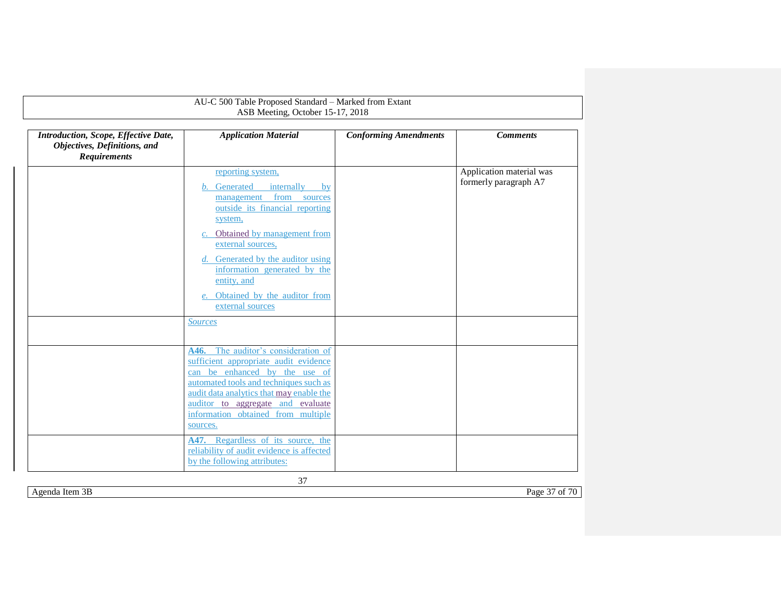| AU-C 500 Table Proposed Standard - Marked from Extant<br>ASB Meeting, October 15-17, 2018   |                                                                                                                                                                                                                                                                                                                                                                                                               |                              |                                                   |  |
|---------------------------------------------------------------------------------------------|---------------------------------------------------------------------------------------------------------------------------------------------------------------------------------------------------------------------------------------------------------------------------------------------------------------------------------------------------------------------------------------------------------------|------------------------------|---------------------------------------------------|--|
| Introduction, Scope, Effective Date,<br>Objectives, Definitions, and<br><b>Requirements</b> | <b>Application Material</b>                                                                                                                                                                                                                                                                                                                                                                                   | <b>Conforming Amendments</b> | <b>Comments</b>                                   |  |
|                                                                                             | reporting system,<br>Generated<br>internally<br>by<br>from sources<br>management<br>outside its financial reporting<br>system,<br>Obtained by management from<br>external sources,<br>Generated by the auditor using<br>d.<br>information generated by the<br>entity, and<br>Obtained by the auditor from<br>external sources<br><b>Sources</b>                                                               |                              | Application material was<br>formerly paragraph A7 |  |
|                                                                                             | A46. The auditor's consideration of<br>sufficient appropriate audit evidence<br>can be enhanced by the use of<br>automated tools and techniques such as<br>audit data analytics that may enable the<br>auditor to aggregate and evaluate<br>information obtained from multiple<br>sources.<br>A47. Regardless of its source, the<br>reliability of audit evidence is affected<br>by the following attributes: |                              |                                                   |  |

Agenda Item 3B Page 37 of 70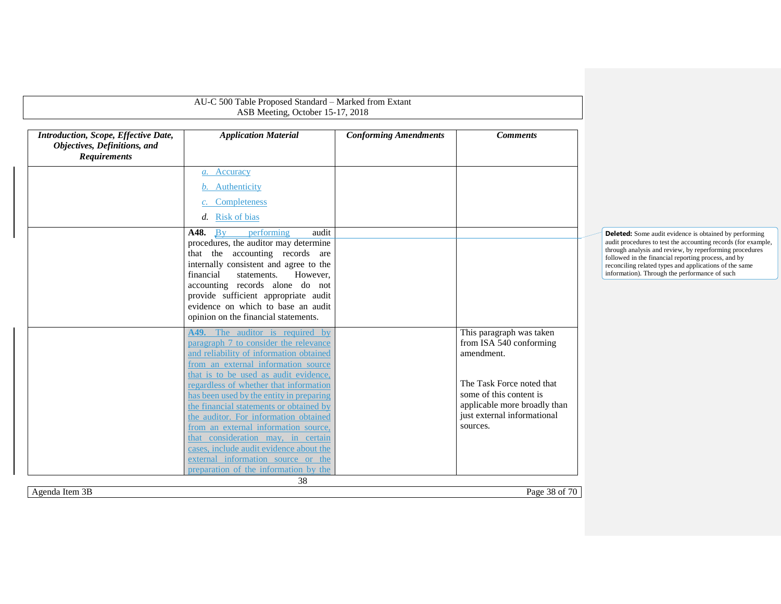|                                                                                             | AU-C 500 Table Proposed Standard - Marked from Extant<br>ASB Meeting, October 15-17, 2018                                                                                                                                                                                                                                                                                                                             |                              |                                                                                                                                                                                                      |                                                                                                                                                                                                                                                                                                                                                             |
|---------------------------------------------------------------------------------------------|-----------------------------------------------------------------------------------------------------------------------------------------------------------------------------------------------------------------------------------------------------------------------------------------------------------------------------------------------------------------------------------------------------------------------|------------------------------|------------------------------------------------------------------------------------------------------------------------------------------------------------------------------------------------------|-------------------------------------------------------------------------------------------------------------------------------------------------------------------------------------------------------------------------------------------------------------------------------------------------------------------------------------------------------------|
| Introduction, Scope, Effective Date,<br>Objectives, Definitions, and<br><b>Requirements</b> | <b>Application Material</b>                                                                                                                                                                                                                                                                                                                                                                                           | <b>Conforming Amendments</b> | <b>Comments</b>                                                                                                                                                                                      |                                                                                                                                                                                                                                                                                                                                                             |
|                                                                                             | a. Accuracy<br>b. Authenticity<br>c. Completeness<br>d. Risk of bias                                                                                                                                                                                                                                                                                                                                                  |                              |                                                                                                                                                                                                      |                                                                                                                                                                                                                                                                                                                                                             |
|                                                                                             | A48.<br>Bv<br>performing<br>audit<br>procedures, the auditor may determine<br>that the accounting records are<br>internally consistent and agree to the<br>financial<br>statements.<br>However.<br>accounting records alone do not<br>provide sufficient appropriate audit<br>evidence on which to base an audit<br>opinion on the financial statements.                                                              |                              |                                                                                                                                                                                                      | <b>Deleted:</b> Some audit evidence is obtained by performing<br>audit procedures to test the accounting records (for example,<br>through analysis and review, by reperforming procedures<br>followed in the financial reporting process, and by<br>reconciling related types and applications of the same<br>information). Through the performance of such |
|                                                                                             | A49. The auditor is required by<br>paragraph 7 to consider the relevance<br>and reliability of information obtained<br>from an external information source<br>that is to be used as audit evidence,<br>regardless of whether that information<br>has been used by the entity in preparing<br>the financial statements or obtained by<br>the auditor. For information obtained<br>from an external information source, |                              | This paragraph was taken<br>from ISA 540 conforming<br>amendment.<br>The Task Force noted that<br>some of this content is<br>applicable more broadly than<br>just external informational<br>sources. |                                                                                                                                                                                                                                                                                                                                                             |
| Agenda Item 3B                                                                              | that consideration may, in certain<br>cases, include audit evidence about the<br>external information source or the<br>preparation of the information by the<br>38                                                                                                                                                                                                                                                    |                              | Page 38 of 70                                                                                                                                                                                        |                                                                                                                                                                                                                                                                                                                                                             |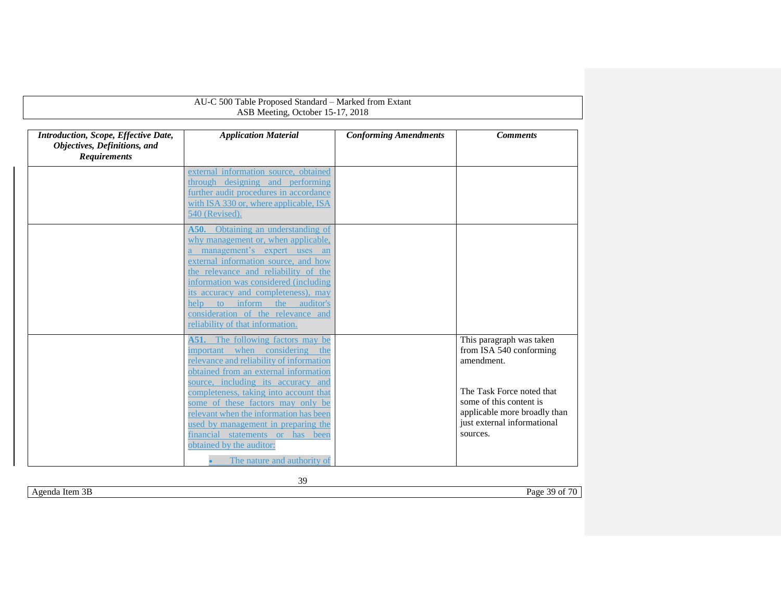| AU-C 500 Table Proposed Standard - Marked from Extant<br>ASB Meeting, October 15-17, 2018                                                                                                                                                                                                                                                                                                                                                |                              |                                                                                                                                                                                                      |  |  |  |
|------------------------------------------------------------------------------------------------------------------------------------------------------------------------------------------------------------------------------------------------------------------------------------------------------------------------------------------------------------------------------------------------------------------------------------------|------------------------------|------------------------------------------------------------------------------------------------------------------------------------------------------------------------------------------------------|--|--|--|
| <b>Application Material</b>                                                                                                                                                                                                                                                                                                                                                                                                              | <b>Conforming Amendments</b> | <b>Comments</b>                                                                                                                                                                                      |  |  |  |
| external information source, obtained<br>through designing and performing<br>further audit procedures in accordance<br>with ISA 330 or, where applicable, ISA<br>540 (Revised).                                                                                                                                                                                                                                                          |                              |                                                                                                                                                                                                      |  |  |  |
| Obtaining an understanding of<br>A50.<br>why management or, when applicable,<br>a management's expert uses an<br>external information source, and how<br>the relevance and reliability of the<br>information was considered (including<br>its accuracy and completeness), may<br>help<br>inform<br>the auditor's<br>$\overline{\mathbf{t}}$<br>consideration of the relevance and<br>reliability of that information.                    |                              |                                                                                                                                                                                                      |  |  |  |
| <b>A51.</b> The following factors may be<br>important when considering<br>the<br>relevance and reliability of information<br>obtained from an external information<br>source, including its accuracy and<br>completeness, taking into account that<br>some of these factors may only be<br>relevant when the information has been<br>used by management in preparing the<br>financial statements or has been<br>obtained by the auditor: |                              | This paragraph was taken<br>from ISA 540 conforming<br>amendment.<br>The Task Force noted that<br>some of this content is<br>applicable more broadly than<br>just external informational<br>sources. |  |  |  |
|                                                                                                                                                                                                                                                                                                                                                                                                                                          | The nature and authority of  |                                                                                                                                                                                                      |  |  |  |

Agenda Item 3B Page 39 of 70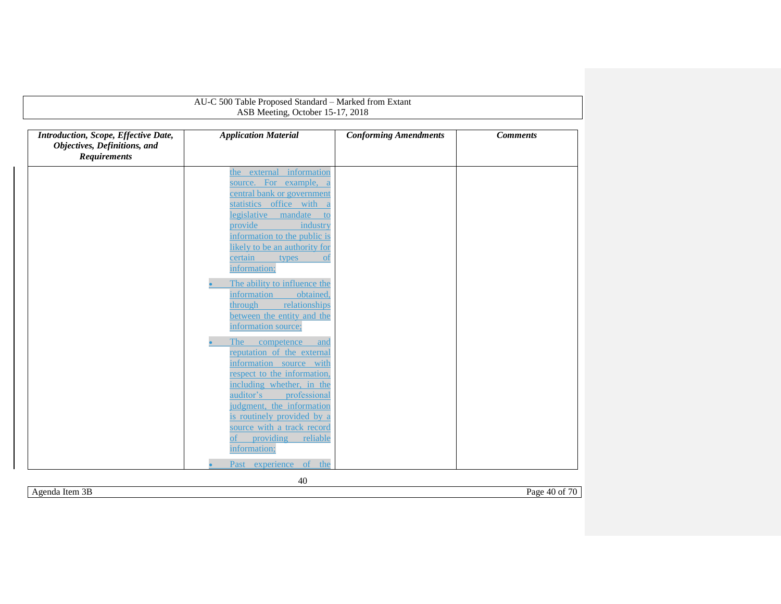| AU-C 500 Table Proposed Standard - Marked from Extant<br>ASB Meeting, October 15-17, 2018   |                                                        |                              |                 |  |  |
|---------------------------------------------------------------------------------------------|--------------------------------------------------------|------------------------------|-----------------|--|--|
| Introduction, Scope, Effective Date,<br>Objectives, Definitions, and<br><b>Requirements</b> | <b>Application Material</b>                            | <b>Conforming Amendments</b> | <b>Comments</b> |  |  |
|                                                                                             | the external information                               |                              |                 |  |  |
|                                                                                             | source. For example, a                                 |                              |                 |  |  |
|                                                                                             | central bank or government                             |                              |                 |  |  |
|                                                                                             | statistics office with a<br>legislative<br>mandate     |                              |                 |  |  |
|                                                                                             | to<br>provide<br>industry                              |                              |                 |  |  |
|                                                                                             | information to the public is                           |                              |                 |  |  |
|                                                                                             | likely to be an authority for                          |                              |                 |  |  |
|                                                                                             | certain<br>types<br><sub>ot</sub>                      |                              |                 |  |  |
|                                                                                             | information;                                           |                              |                 |  |  |
|                                                                                             | The ability to influence the                           |                              |                 |  |  |
|                                                                                             | information<br>obtained.                               |                              |                 |  |  |
|                                                                                             | relationships<br>through                               |                              |                 |  |  |
|                                                                                             | between the entity and the                             |                              |                 |  |  |
|                                                                                             | information source;                                    |                              |                 |  |  |
|                                                                                             | The<br>competence<br>and                               |                              |                 |  |  |
|                                                                                             | reputation of the external                             |                              |                 |  |  |
|                                                                                             | information source with<br>respect to the information, |                              |                 |  |  |
|                                                                                             | including whether, in the                              |                              |                 |  |  |
|                                                                                             | auditor's<br>professional                              |                              |                 |  |  |
|                                                                                             | judgment, the information                              |                              |                 |  |  |
|                                                                                             | is routinely provided by a                             |                              |                 |  |  |
|                                                                                             | source with a track record                             |                              |                 |  |  |
|                                                                                             | $\sigma$ f<br>providing<br>reliable<br>information;    |                              |                 |  |  |
|                                                                                             |                                                        |                              |                 |  |  |
|                                                                                             | Past experience of the                                 |                              |                 |  |  |

Agenda Item 3B Page 40 of 70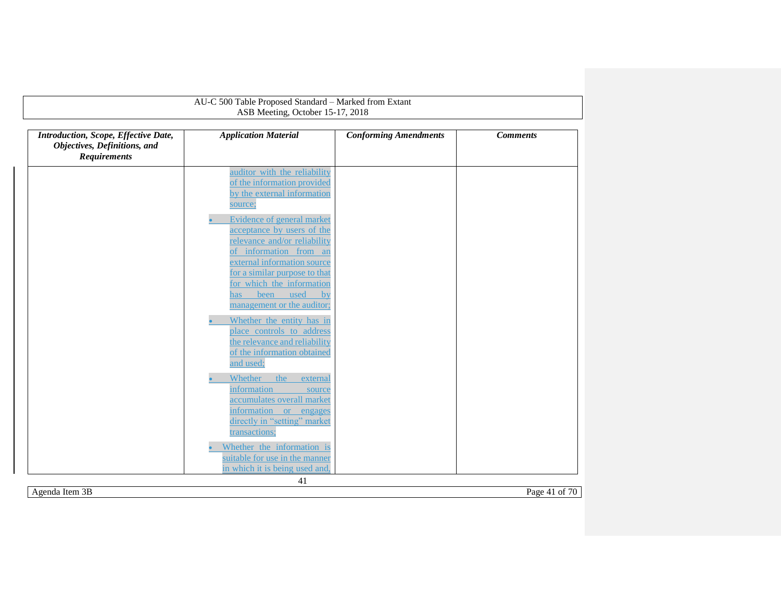| Introduction, Scope, Effective Date,<br>Objectives, Definitions, and<br><b>Requirements</b> | <b>Application Material</b>                                                                                                                                  | <b>Conforming Amendments</b> | <b>Comments</b> |
|---------------------------------------------------------------------------------------------|--------------------------------------------------------------------------------------------------------------------------------------------------------------|------------------------------|-----------------|
|                                                                                             | auditor with the reliability<br>of the information provided<br>by the external information<br>source;                                                        |                              |                 |
|                                                                                             | Evidence of general market<br>acceptance by users of the<br>relevance and/or reliability<br>of information from an                                           |                              |                 |
|                                                                                             | external information source<br>for a similar purpose to that<br>for which the information<br>been used<br>by<br>has<br>management or the auditor;            |                              |                 |
|                                                                                             | Whether the entity has in<br>place controls to address<br>the relevance and reliability<br>of the information obtained<br>and used;                          |                              |                 |
|                                                                                             | Whether<br>the<br>external<br>information<br>source<br>accumulates overall market<br>information or engages<br>directly in "setting" market<br>transactions; |                              |                 |
|                                                                                             | Whether the information is<br>suitable for use in the manner<br>in which it is being used and,                                                               |                              |                 |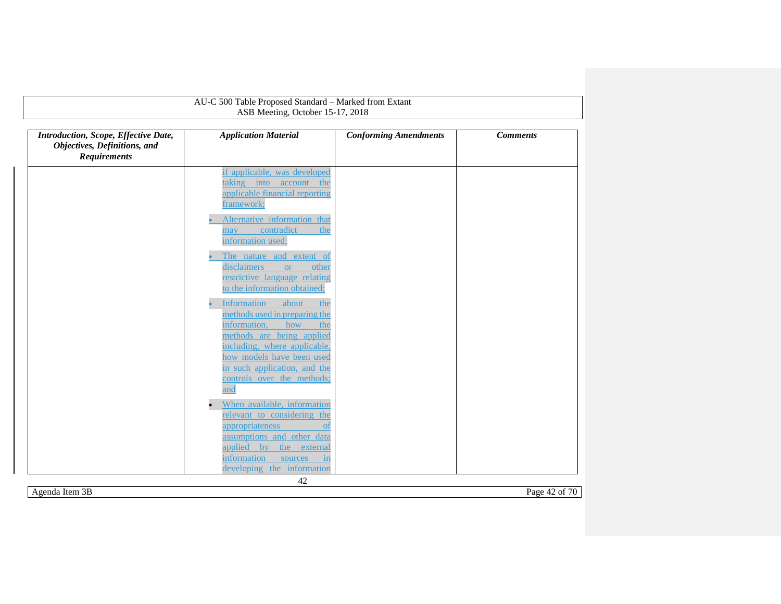|                                                                                             | AU-C 500 Table Proposed Standard - Marked from Extant<br>ASB Meeting, October 15-17, 2018                                                                                                                            |                              |                 |
|---------------------------------------------------------------------------------------------|----------------------------------------------------------------------------------------------------------------------------------------------------------------------------------------------------------------------|------------------------------|-----------------|
| Introduction, Scope, Effective Date,<br>Objectives, Definitions, and<br><b>Requirements</b> | <b>Application Material</b>                                                                                                                                                                                          | <b>Conforming Amendments</b> | <b>Comments</b> |
|                                                                                             | if applicable, was developed<br>taking into account<br>the<br>applicable financial reporting<br>framework;                                                                                                           |                              |                 |
|                                                                                             | Alternative information that<br>contradict<br>the<br>may<br>information used;                                                                                                                                        |                              |                 |
|                                                                                             | The nature and extent of<br>disclaimers<br>other<br><b>or</b><br>restrictive language relating<br>to the information obtained;                                                                                       |                              |                 |
|                                                                                             | Information<br>about<br>the<br>methods used in preparing the<br>information,<br>how<br>the<br>methods are being applied<br>including, where applicable,<br>how models have been used<br>in such application, and the |                              |                 |
|                                                                                             | controls over the methods;<br>and<br>When available, information<br>relevant to considering the                                                                                                                      |                              |                 |
|                                                                                             | appropriateness<br><sub>ot</sub><br>assumptions and other data<br>applied by<br>the external<br>information<br>sources<br>$\mathbf{in}$<br>developing the information                                                |                              |                 |

Agenda Item 3B Page 42 of 70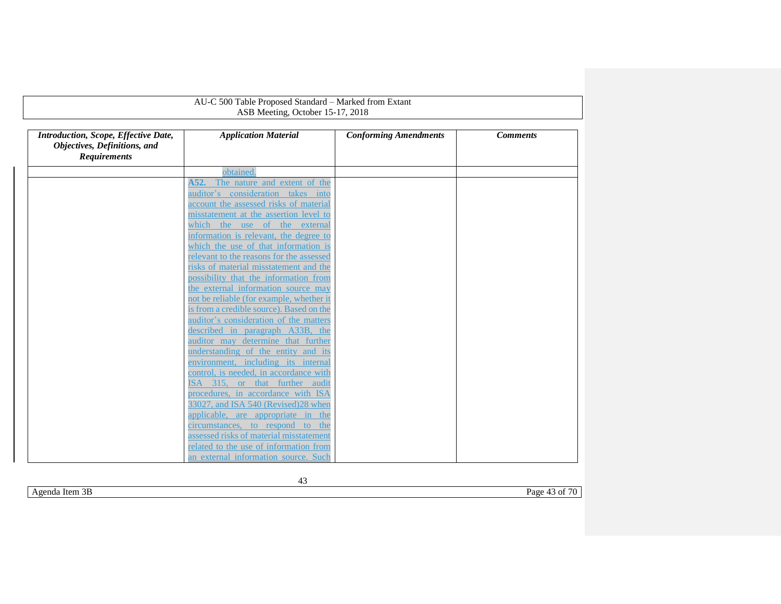| ASB Meeting, October 15-17, 2018                                                            |                                                                               |                              |                 |  |
|---------------------------------------------------------------------------------------------|-------------------------------------------------------------------------------|------------------------------|-----------------|--|
| Introduction, Scope, Effective Date,<br>Objectives, Definitions, and<br><b>Requirements</b> | <b>Application Material</b>                                                   | <b>Conforming Amendments</b> | <b>Comments</b> |  |
|                                                                                             | obtained.                                                                     |                              |                 |  |
|                                                                                             | The nature and extent of the<br>A52.                                          |                              |                 |  |
|                                                                                             | auditor's consideration takes into                                            |                              |                 |  |
|                                                                                             | account the assessed risks of material                                        |                              |                 |  |
|                                                                                             | misstatement at the assertion level to                                        |                              |                 |  |
|                                                                                             | which the use of the external                                                 |                              |                 |  |
|                                                                                             | information is relevant, the degree to                                        |                              |                 |  |
|                                                                                             | which the use of that information is                                          |                              |                 |  |
|                                                                                             | relevant to the reasons for the assessed                                      |                              |                 |  |
|                                                                                             | risks of material misstatement and the                                        |                              |                 |  |
|                                                                                             | possibility that the information from                                         |                              |                 |  |
|                                                                                             | the external information source may                                           |                              |                 |  |
|                                                                                             | not be reliable (for example, whether it                                      |                              |                 |  |
|                                                                                             | is from a credible source). Based on the                                      |                              |                 |  |
|                                                                                             | auditor's consideration of the matters                                        |                              |                 |  |
|                                                                                             | described in paragraph A33B, the                                              |                              |                 |  |
|                                                                                             | auditor may determine that further                                            |                              |                 |  |
|                                                                                             | understanding of the entity and its                                           |                              |                 |  |
|                                                                                             | environment, including its internal<br>control, is needed, in accordance with |                              |                 |  |
|                                                                                             | ISA 315, or that further audit                                                |                              |                 |  |
|                                                                                             | procedures, in accordance with ISA                                            |                              |                 |  |
|                                                                                             | 33027, and ISA 540 (Revised) 28 when                                          |                              |                 |  |
|                                                                                             | applicable, are appropriate in the                                            |                              |                 |  |
|                                                                                             | circumstances, to respond to the                                              |                              |                 |  |
|                                                                                             | assessed risks of material misstatement                                       |                              |                 |  |
|                                                                                             | related to the use of information from                                        |                              |                 |  |
|                                                                                             | an external information source. Such                                          |                              |                 |  |

Agenda Item 3B Page 43 of 70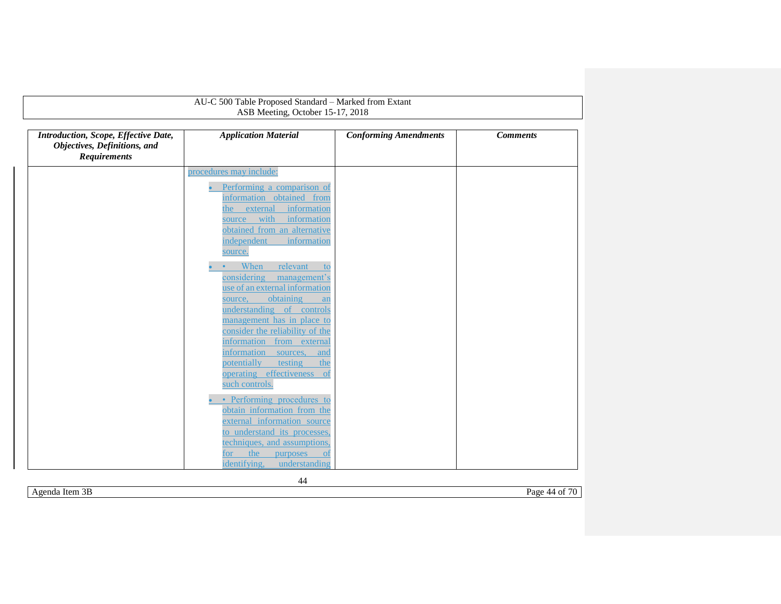|                                                                                             | ASB Meeting, October 15-17, 2018                                                                                                                                                           |                              |                 |
|---------------------------------------------------------------------------------------------|--------------------------------------------------------------------------------------------------------------------------------------------------------------------------------------------|------------------------------|-----------------|
| Introduction, Scope, Effective Date,<br>Objectives, Definitions, and<br><b>Requirements</b> | <b>Application Material</b>                                                                                                                                                                | <b>Conforming Amendments</b> | <b>Comments</b> |
|                                                                                             | procedures may include:                                                                                                                                                                    |                              |                 |
|                                                                                             | Performing a comparison of<br>information obtained from<br>information<br>external<br>the<br>source with<br>information<br>obtained from an alternative<br>independent<br>information      |                              |                 |
|                                                                                             | source.<br>When<br>relevant<br>to<br>considering<br>management's<br>use of an external information<br>obtaining<br>source,<br>an                                                           |                              |                 |
|                                                                                             | understanding of controls<br>management has in place to<br>consider the reliability of the<br>information from external<br>information<br>sources,<br>and<br>potentially<br>testing<br>the |                              |                 |
|                                                                                             | operating effectiveness of<br>such controls.<br>• Performing procedures to<br>obtain information from the                                                                                  |                              |                 |
|                                                                                             | external information source<br>to understand its processes,<br>techniques, and assumptions.<br>the<br>purposes<br>for<br><sub>ot</sub><br>identifying,<br>understanding                    |                              |                 |

44

Agenda Item 3B Page 44 of 70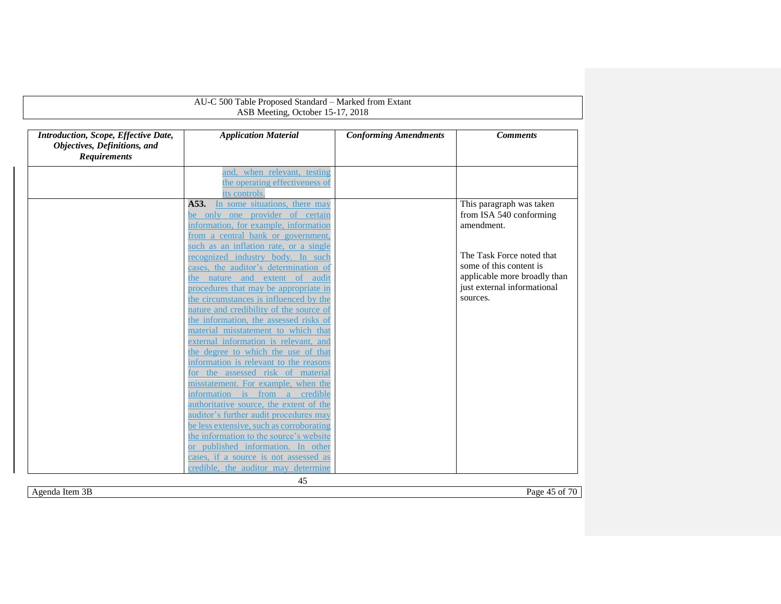|                                                                                             | AU-C 500 Table Proposed Standard - Marked from Extant                                                                                                                                           |                              |                                                                                                                     |
|---------------------------------------------------------------------------------------------|-------------------------------------------------------------------------------------------------------------------------------------------------------------------------------------------------|------------------------------|---------------------------------------------------------------------------------------------------------------------|
|                                                                                             | ASB Meeting, October 15-17, 2018                                                                                                                                                                |                              |                                                                                                                     |
| Introduction, Scope, Effective Date,<br>Objectives, Definitions, and<br><b>Requirements</b> | <b>Application Material</b>                                                                                                                                                                     | <b>Conforming Amendments</b> | <b>Comments</b>                                                                                                     |
|                                                                                             | and, when relevant, testing<br>the operating effectiveness of<br>its controls.                                                                                                                  |                              |                                                                                                                     |
|                                                                                             | A53.<br>In some situations, there may<br>be only one provider of certain<br>information, for example, information<br>from a central bank or government,                                         |                              | This paragraph was taken<br>from ISA 540 conforming<br>amendment.                                                   |
|                                                                                             | such as an inflation rate, or a single<br>recognized industry body. In such<br>cases, the auditor's determination of<br>the nature and extent of audit<br>procedures that may be appropriate in |                              | The Task Force noted that<br>some of this content is<br>applicable more broadly than<br>just external informational |
|                                                                                             | the circumstances is influenced by the<br>nature and credibility of the source of<br>the information, the assessed risks of<br>material misstatement to which that                              |                              | sources.                                                                                                            |
|                                                                                             | external information is relevant, and<br>the degree to which the use of that<br>information is relevant to the reasons<br>for the assessed risk of material                                     |                              |                                                                                                                     |
|                                                                                             | misstatement. For example, when the<br>information is from a credible<br>authoritative source, the extent of the<br>auditor's further audit procedures may                                      |                              |                                                                                                                     |
|                                                                                             | be less extensive, such as corroborating<br>the information to the source's website<br>or published information. In other                                                                       |                              |                                                                                                                     |
|                                                                                             | cases, if a source is not assessed as<br>credible, the auditor may determine<br>45                                                                                                              |                              |                                                                                                                     |

Agenda Item 3B Page 45 of 70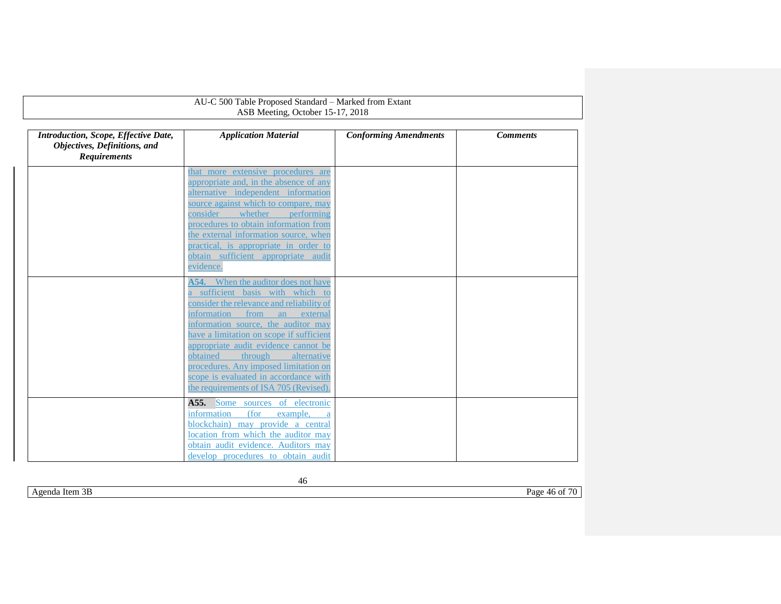| AU-C 500 Table Proposed Standard - Marked from Extant<br>ASB Meeting, October 15-17, 2018          |                                                                                 |                              |                 |  |
|----------------------------------------------------------------------------------------------------|---------------------------------------------------------------------------------|------------------------------|-----------------|--|
| <b>Introduction, Scope, Effective Date,</b><br>Objectives, Definitions, and<br><b>Requirements</b> | <b>Application Material</b>                                                     | <b>Conforming Amendments</b> | <b>Comments</b> |  |
|                                                                                                    | that more extensive procedures are                                              |                              |                 |  |
|                                                                                                    | appropriate and, in the absence of any                                          |                              |                 |  |
|                                                                                                    | alternative independent information                                             |                              |                 |  |
|                                                                                                    | source against which to compare, may<br>consider                                |                              |                 |  |
|                                                                                                    | whether<br>performing<br>procedures to obtain information from                  |                              |                 |  |
|                                                                                                    | the external information source, when                                           |                              |                 |  |
|                                                                                                    | practical, is appropriate in order to                                           |                              |                 |  |
|                                                                                                    | obtain sufficient appropriate audit                                             |                              |                 |  |
|                                                                                                    | evidence.                                                                       |                              |                 |  |
|                                                                                                    | When the auditor does not have<br>A54.                                          |                              |                 |  |
|                                                                                                    | sufficient basis with which to                                                  |                              |                 |  |
|                                                                                                    | consider the relevance and reliability of                                       |                              |                 |  |
|                                                                                                    | information<br>from<br>an<br>external                                           |                              |                 |  |
|                                                                                                    | information source, the auditor may<br>have a limitation on scope if sufficient |                              |                 |  |
|                                                                                                    | appropriate audit evidence cannot be                                            |                              |                 |  |
|                                                                                                    | obtained<br>through<br>alternative                                              |                              |                 |  |
|                                                                                                    | procedures. Any imposed limitation on                                           |                              |                 |  |
|                                                                                                    | scope is evaluated in accordance with                                           |                              |                 |  |
|                                                                                                    | the requirements of ISA 705 (Revised).                                          |                              |                 |  |
|                                                                                                    | A55. Some sources of electronic                                                 |                              |                 |  |
|                                                                                                    | information<br>(for<br>example,                                                 |                              |                 |  |
|                                                                                                    | blockchain) may provide a central                                               |                              |                 |  |
|                                                                                                    | location from which the auditor may                                             |                              |                 |  |
|                                                                                                    | obtain audit evidence. Auditors may                                             |                              |                 |  |
|                                                                                                    | develop procedures to obtain audit                                              |                              |                 |  |

<span id="page-45-0"></span>AU-C 500 Table Proposed Standard – Marked from Extant

Agenda Item 3B Page 46 of 70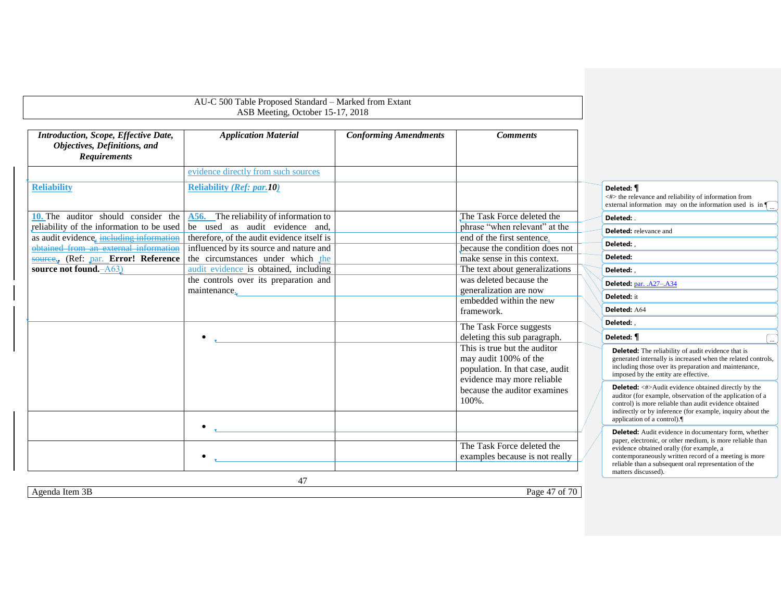<span id="page-46-0"></span>

|                                                                                             | AU-C 500 Table Proposed Standard - Marked from Extant<br>ASB Meeting, October 15-17, 2018 |                              |                                                                                                                        |                                                                                                                                                                                                                                                                               |  |
|---------------------------------------------------------------------------------------------|-------------------------------------------------------------------------------------------|------------------------------|------------------------------------------------------------------------------------------------------------------------|-------------------------------------------------------------------------------------------------------------------------------------------------------------------------------------------------------------------------------------------------------------------------------|--|
|                                                                                             |                                                                                           |                              |                                                                                                                        |                                                                                                                                                                                                                                                                               |  |
| Introduction, Scope, Effective Date,<br>Objectives, Definitions, and<br><b>Requirements</b> | <b>Application Material</b>                                                               | <b>Conforming Amendments</b> | <b>Comments</b>                                                                                                        |                                                                                                                                                                                                                                                                               |  |
|                                                                                             | evidence directly from such sources                                                       |                              |                                                                                                                        |                                                                                                                                                                                                                                                                               |  |
| <b>Reliability</b>                                                                          | <b>Reliability (Ref: par.10)</b>                                                          |                              |                                                                                                                        | Deleted: <i>¶</i><br><#> the relevance and reliability of information from<br>external information may on the information used is in $\sqrt{\phantom{a}}$                                                                                                                     |  |
| 10. The auditor should consider the                                                         | A56. The reliability of information to                                                    |                              | The Task Force deleted the                                                                                             | Deleted:                                                                                                                                                                                                                                                                      |  |
| reliability of the information to be used                                                   | be used as audit evidence and,                                                            |                              | phrase "when relevant" at the                                                                                          | <b>Deleted:</b> relevance and                                                                                                                                                                                                                                                 |  |
| as audit evidence, including information                                                    | therefore, of the audit evidence itself is                                                |                              | end of the first sentence.                                                                                             | Deleted:                                                                                                                                                                                                                                                                      |  |
| obtained from an external information                                                       | influenced by its source and nature and<br>the circumstances under which the              |                              | because the condition does not<br>make sense in this context.                                                          | Deleted:                                                                                                                                                                                                                                                                      |  |
| source., (Ref: par. Error! Reference<br>source not found. - A63)                            | audit evidence is obtained, including                                                     |                              | The text about generalizations                                                                                         | Deleted:                                                                                                                                                                                                                                                                      |  |
|                                                                                             | the controls over its preparation and                                                     |                              | was deleted because the                                                                                                |                                                                                                                                                                                                                                                                               |  |
|                                                                                             | maintenance.                                                                              |                              | generalization are now                                                                                                 | Deleted: par. .A27-.A34                                                                                                                                                                                                                                                       |  |
|                                                                                             |                                                                                           |                              | embedded within the new                                                                                                | Deleted: it                                                                                                                                                                                                                                                                   |  |
|                                                                                             |                                                                                           |                              | framework.                                                                                                             | Deleted: A64                                                                                                                                                                                                                                                                  |  |
|                                                                                             |                                                                                           |                              | The Task Force suggests                                                                                                | Deleted: .                                                                                                                                                                                                                                                                    |  |
|                                                                                             |                                                                                           |                              | deleting this sub paragraph.                                                                                           | Deleted: ¶                                                                                                                                                                                                                                                                    |  |
|                                                                                             |                                                                                           |                              | This is true but the auditor<br>may audit 100% of the<br>population. In that case, audit<br>evidence may more reliable | <b>Deleted:</b> The reliability of audit evidence that is<br>generated internally is increased when the related controls,<br>including those over its preparation and maintenance,<br>imposed by the entity are effective.                                                    |  |
|                                                                                             |                                                                                           |                              | because the auditor examines<br>100%.                                                                                  | <b>Deleted:</b> <#>Audit evidence obtained directly by the<br>auditor (for example, observation of the application of a<br>control) is more reliable than audit evidence obtained<br>indirectly or by inference (for example, inquiry about the<br>application of a control). |  |
|                                                                                             | $\bullet$                                                                                 |                              |                                                                                                                        | <b>Deleted:</b> Audit evidence in documentary form, whether                                                                                                                                                                                                                   |  |
|                                                                                             |                                                                                           |                              | The Task Force deleted the                                                                                             | paper, electronic, or other medium, is more reliable than<br>evidence obtained orally (for example, a                                                                                                                                                                         |  |
|                                                                                             | $\bullet$                                                                                 |                              | examples because is not really                                                                                         | contemporaneously written record of a meeting is more<br>reliable than a subsequent oral representation of the<br>matters discussed).                                                                                                                                         |  |
|                                                                                             | 47                                                                                        |                              |                                                                                                                        |                                                                                                                                                                                                                                                                               |  |
| Agenda Item $3B$                                                                            |                                                                                           |                              | Page 47 of 70                                                                                                          |                                                                                                                                                                                                                                                                               |  |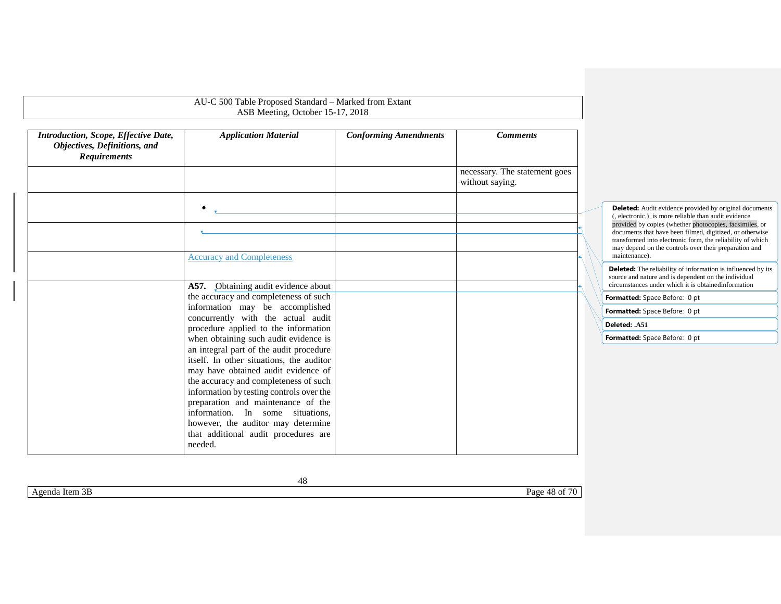|                                                                                             | AU-C 500 Table Proposed Standard - Marked from Extant<br>ASB Meeting, October 15-17, 2018                                                                                                                                                                                                                                                                                                                                   |                              |                                                  |                                                                                                                                                                                                                                                                                                                                                                                      |
|---------------------------------------------------------------------------------------------|-----------------------------------------------------------------------------------------------------------------------------------------------------------------------------------------------------------------------------------------------------------------------------------------------------------------------------------------------------------------------------------------------------------------------------|------------------------------|--------------------------------------------------|--------------------------------------------------------------------------------------------------------------------------------------------------------------------------------------------------------------------------------------------------------------------------------------------------------------------------------------------------------------------------------------|
| Introduction, Scope, Effective Date,<br>Objectives, Definitions, and<br><b>Requirements</b> | <b>Application Material</b>                                                                                                                                                                                                                                                                                                                                                                                                 | <b>Conforming Amendments</b> | <b>Comments</b>                                  |                                                                                                                                                                                                                                                                                                                                                                                      |
|                                                                                             |                                                                                                                                                                                                                                                                                                                                                                                                                             |                              | necessary. The statement goes<br>without saying. |                                                                                                                                                                                                                                                                                                                                                                                      |
|                                                                                             | $\bullet$<br><b>Accuracy and Completeness</b>                                                                                                                                                                                                                                                                                                                                                                               |                              |                                                  | <b>Deleted:</b> Audit evidence provided by original documents<br>(, electronic,) is more reliable than audit evidence<br>provided by copies (whether photocopies, facsimiles, or<br>documents that have been filmed, digitized, or otherwise<br>transformed into electronic form, the reliability of which<br>may depend on the controls over their preparation and<br>maintenance). |
|                                                                                             | A57. Obtaining audit evidence about                                                                                                                                                                                                                                                                                                                                                                                         |                              |                                                  | <b>Deleted:</b> The reliability of information is influenced by its<br>source and nature and is dependent on the individual<br>circumstances under which it is obtained information                                                                                                                                                                                                  |
|                                                                                             | the accuracy and completeness of such                                                                                                                                                                                                                                                                                                                                                                                       |                              |                                                  | Formatted: Space Before: 0 pt                                                                                                                                                                                                                                                                                                                                                        |
|                                                                                             | information may be accomplished                                                                                                                                                                                                                                                                                                                                                                                             |                              |                                                  | Formatted: Space Before: 0 pt                                                                                                                                                                                                                                                                                                                                                        |
|                                                                                             | concurrently with the actual audit<br>procedure applied to the information                                                                                                                                                                                                                                                                                                                                                  |                              |                                                  | Deleted: .A51                                                                                                                                                                                                                                                                                                                                                                        |
|                                                                                             | when obtaining such audit evidence is<br>an integral part of the audit procedure<br>itself. In other situations, the auditor<br>may have obtained audit evidence of<br>the accuracy and completeness of such<br>information by testing controls over the<br>preparation and maintenance of the<br>information. In some situations,<br>however, the auditor may determine<br>that additional audit procedures are<br>needed. |                              |                                                  | Formatted: Space Before: 0 pt                                                                                                                                                                                                                                                                                                                                                        |

Agenda Item 3B Page 48 of 70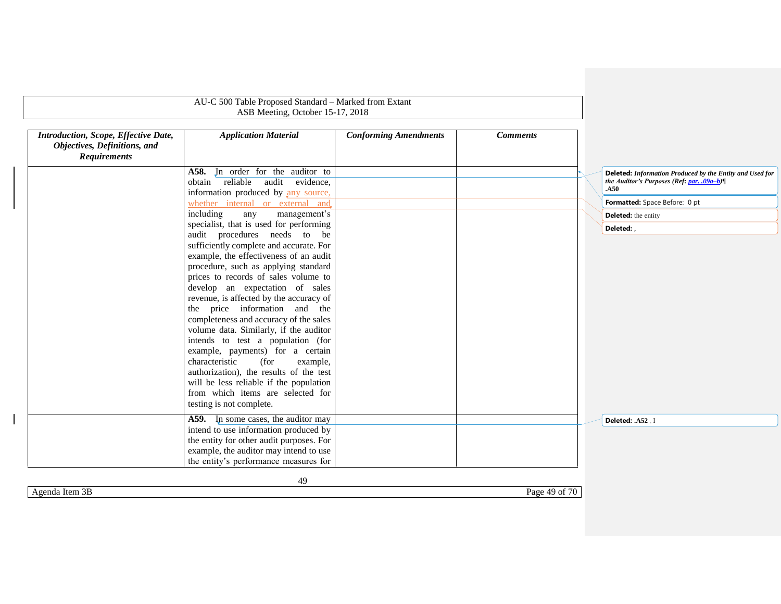| Introduction, Scope, Effective Date,<br>Objectives, Definitions, and<br><b>Requirements</b> | <b>Application Material</b>                                                                                                                                                                                                                                                                                                                                                                                                                                                                                                                                                                                                                                                                                       | <b>Conforming Amendments</b> | <b>Comments</b> |                                                                                                               |
|---------------------------------------------------------------------------------------------|-------------------------------------------------------------------------------------------------------------------------------------------------------------------------------------------------------------------------------------------------------------------------------------------------------------------------------------------------------------------------------------------------------------------------------------------------------------------------------------------------------------------------------------------------------------------------------------------------------------------------------------------------------------------------------------------------------------------|------------------------------|-----------------|---------------------------------------------------------------------------------------------------------------|
|                                                                                             | A58. In order for the auditor to<br>obtain reliable<br>audit evidence,<br>information produced by any source,                                                                                                                                                                                                                                                                                                                                                                                                                                                                                                                                                                                                     |                              |                 | Deleted: Information Produced by the Entity and Used for<br>the Auditor's Purposes (Ref: par. .09a-b)<br>.A50 |
|                                                                                             | whether internal or external and                                                                                                                                                                                                                                                                                                                                                                                                                                                                                                                                                                                                                                                                                  |                              |                 | Formatted: Space Before: 0 pt                                                                                 |
|                                                                                             | including<br>management's<br>any                                                                                                                                                                                                                                                                                                                                                                                                                                                                                                                                                                                                                                                                                  |                              |                 | <b>Deleted:</b> the entity                                                                                    |
|                                                                                             | specialist, that is used for performing                                                                                                                                                                                                                                                                                                                                                                                                                                                                                                                                                                                                                                                                           |                              |                 | Deleted:                                                                                                      |
|                                                                                             | audit procedures needs to be<br>sufficiently complete and accurate. For<br>example, the effectiveness of an audit<br>procedure, such as applying standard<br>prices to records of sales volume to<br>develop an expectation of sales<br>revenue, is affected by the accuracy of<br>the price information and the<br>completeness and accuracy of the sales<br>volume data. Similarly, if the auditor<br>intends to test a population (for<br>example, payments) for a certain<br>characteristic<br>(for<br>example,<br>authorization), the results of the test<br>will be less reliable if the population<br>from which items are selected for<br>testing is not complete.<br>A59. In some cases, the auditor may |                              |                 |                                                                                                               |
|                                                                                             | intend to use information produced by<br>the entity for other audit purposes. For<br>example, the auditor may intend to use<br>the entity's performance measures for                                                                                                                                                                                                                                                                                                                                                                                                                                                                                                                                              |                              |                 | Deleted: .A52 . I                                                                                             |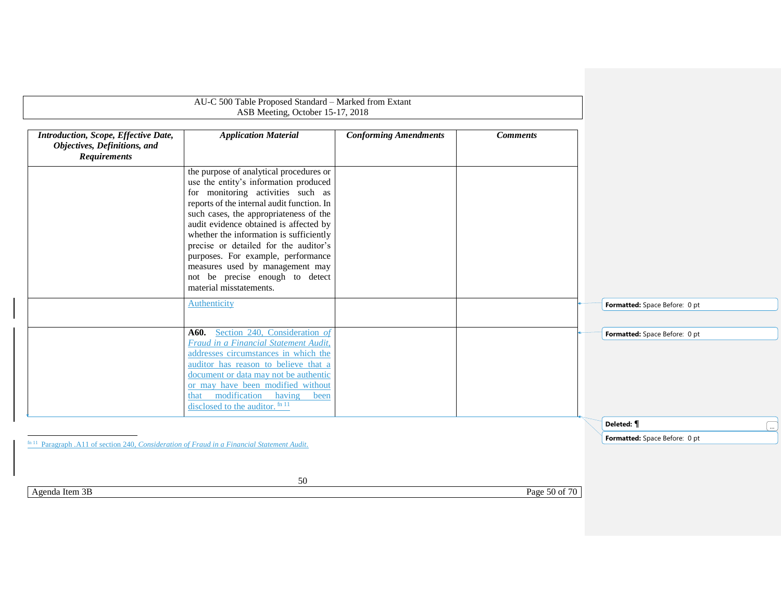|                                                                                                               | AU-C 500 Table Proposed Standard - Marked from Extant<br>ASB Meeting, October 15-17, 2018                                                                                                                                                                                                                                                                                                                                                                                          |                              |                 |                               |  |
|---------------------------------------------------------------------------------------------------------------|------------------------------------------------------------------------------------------------------------------------------------------------------------------------------------------------------------------------------------------------------------------------------------------------------------------------------------------------------------------------------------------------------------------------------------------------------------------------------------|------------------------------|-----------------|-------------------------------|--|
| Introduction, Scope, Effective Date,<br>Objectives, Definitions, and<br><b>Requirements</b>                   | <b>Application Material</b>                                                                                                                                                                                                                                                                                                                                                                                                                                                        | <b>Conforming Amendments</b> | <b>Comments</b> |                               |  |
|                                                                                                               | the purpose of analytical procedures or<br>use the entity's information produced<br>for monitoring activities such as<br>reports of the internal audit function. In<br>such cases, the appropriateness of the<br>audit evidence obtained is affected by<br>whether the information is sufficiently<br>precise or detailed for the auditor's<br>purposes. For example, performance<br>measures used by management may<br>not be precise enough to detect<br>material misstatements. |                              |                 |                               |  |
|                                                                                                               | Authenticity                                                                                                                                                                                                                                                                                                                                                                                                                                                                       |                              |                 | Formatted: Space Before: 0 pt |  |
|                                                                                                               | A60. Section 240, Consideration of<br>Fraud in a Financial Statement Audit,<br>addresses circumstances in which the<br>auditor has reason to believe that a<br>document or data may not be authentic<br>or may have been modified without<br>that modification having<br>been<br>disclosed to the auditor. fn 11                                                                                                                                                                   |                              |                 | Formatted: Space Before: 0 pt |  |
|                                                                                                               |                                                                                                                                                                                                                                                                                                                                                                                                                                                                                    |                              |                 | Deleted: ¶                    |  |
| <sup>fn 11</sup> Paragraph .A11 of section 240, <i>Consideration of Fraud in a Financial Statement Audit.</i> |                                                                                                                                                                                                                                                                                                                                                                                                                                                                                    |                              |                 | Formatted: Space Before: 0 pt |  |

Agenda Item 3B Page 50 of 70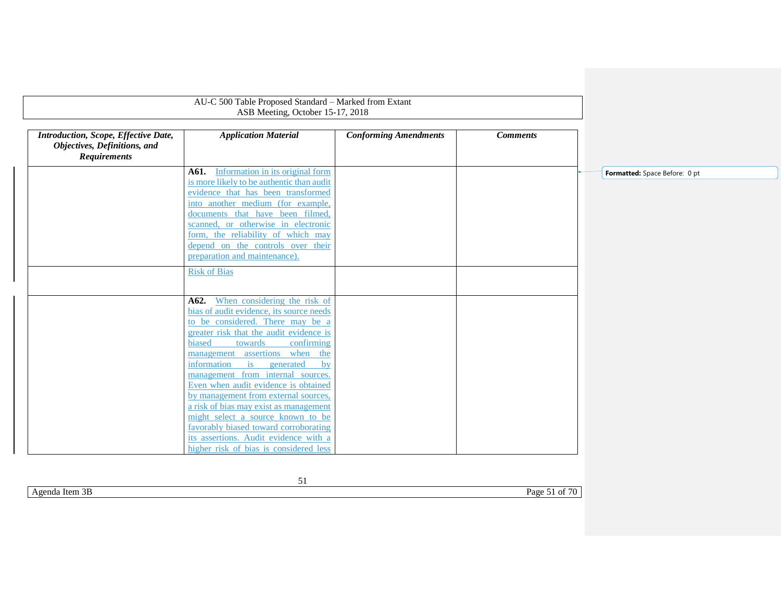| Introduction, Scope, Effective Date,<br>Objectives, Definitions, and<br><b>Requirements</b> | <b>Application Material</b>                                                                                                                                   | <b>Conforming Amendments</b> | <b>Comments</b> |                               |
|---------------------------------------------------------------------------------------------|---------------------------------------------------------------------------------------------------------------------------------------------------------------|------------------------------|-----------------|-------------------------------|
|                                                                                             | Information in its original form<br>A61.                                                                                                                      |                              |                 | Formatted: Space Before: 0 pt |
|                                                                                             | is more likely to be authentic than audit<br>evidence that has been transformed                                                                               |                              |                 |                               |
|                                                                                             | into another medium (for example,                                                                                                                             |                              |                 |                               |
|                                                                                             | documents that have been filmed,                                                                                                                              |                              |                 |                               |
|                                                                                             | scanned, or otherwise in electronic                                                                                                                           |                              |                 |                               |
|                                                                                             | form, the reliability of which may                                                                                                                            |                              |                 |                               |
|                                                                                             | depend on the controls over their                                                                                                                             |                              |                 |                               |
|                                                                                             | preparation and maintenance).                                                                                                                                 |                              |                 |                               |
|                                                                                             | <b>Risk of Bias</b>                                                                                                                                           |                              |                 |                               |
|                                                                                             |                                                                                                                                                               |                              |                 |                               |
|                                                                                             | A62. When considering the risk of                                                                                                                             |                              |                 |                               |
|                                                                                             | bias of audit evidence, its source needs                                                                                                                      |                              |                 |                               |
|                                                                                             | to be considered. There may be a                                                                                                                              |                              |                 |                               |
|                                                                                             | greater risk that the audit evidence is                                                                                                                       |                              |                 |                               |
|                                                                                             | biased<br>towards<br>confirming<br>management assertions when<br>the                                                                                          |                              |                 |                               |
|                                                                                             | $\frac{1}{1}$<br>information<br>generated<br>hy                                                                                                               |                              |                 |                               |
|                                                                                             | management from internal sources.                                                                                                                             |                              |                 |                               |
|                                                                                             | Even when audit evidence is obtained                                                                                                                          |                              |                 |                               |
|                                                                                             | by management from external sources,                                                                                                                          |                              |                 |                               |
|                                                                                             | a risk of bias may exist as management                                                                                                                        |                              |                 |                               |
|                                                                                             |                                                                                                                                                               |                              |                 |                               |
|                                                                                             |                                                                                                                                                               |                              |                 |                               |
|                                                                                             |                                                                                                                                                               |                              |                 |                               |
|                                                                                             | might select a source known to be<br>favorably biased toward corroborating<br>its assertions. Audit evidence with a<br>higher risk of bias is considered less |                              |                 |                               |

51 Agenda Item 3B Page 51 of 70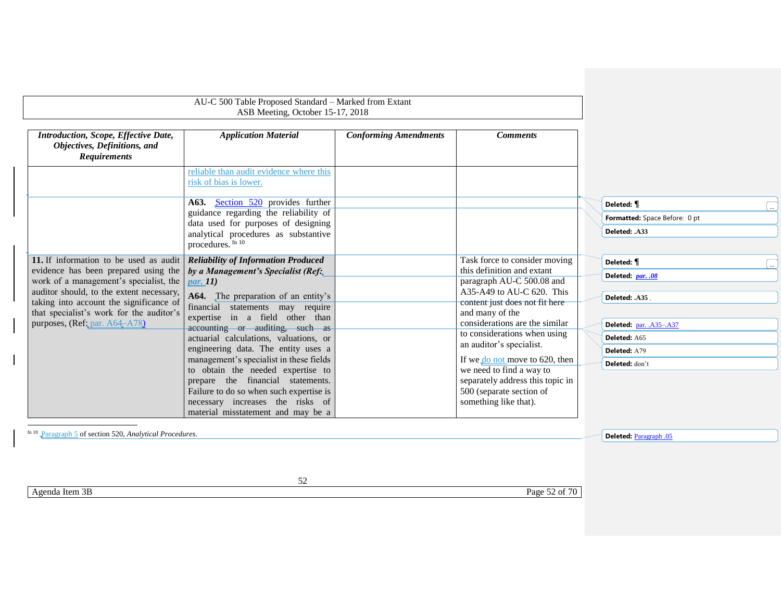<span id="page-51-2"></span><span id="page-51-0"></span>

|                                                                                             | AU-C 500 Table Proposed Standard - Marked from Extant<br>ASB Meeting, October 15-17, 2018 |                              |                                                              |                               |  |
|---------------------------------------------------------------------------------------------|-------------------------------------------------------------------------------------------|------------------------------|--------------------------------------------------------------|-------------------------------|--|
| Introduction, Scope, Effective Date,<br>Objectives, Definitions, and<br><b>Requirements</b> | <b>Application Material</b>                                                               | <b>Conforming Amendments</b> | <b>Comments</b>                                              |                               |  |
|                                                                                             | reliable than audit evidence where this<br>risk of bias is lower.                         |                              |                                                              |                               |  |
|                                                                                             | A63. Section 520 provides further<br>guidance regarding the reliability of                |                              |                                                              | Deleted: ¶                    |  |
|                                                                                             | data used for purposes of designing                                                       |                              |                                                              | Formatted: Space Before: 0 pt |  |
|                                                                                             | analytical procedures as substantive<br>procedures. fn 10                                 |                              |                                                              | Deleted: .A33                 |  |
| 11. If information to be used as audit                                                      | <b>Reliability of Information Produced</b>                                                |                              | Task force to consider moving                                | Deleted: ¶                    |  |
| evidence has been prepared using the                                                        | by a Management's Specialist (Ref.                                                        |                              | this definition and extant                                   | Deleted: par. .08             |  |
| work of a management's specialist, the<br>auditor should, to the extent necessary,          | $par.$ [1]                                                                                |                              | paragraph AU-C 500.08 and<br>$A35-A49$ to AU-C 620. This     |                               |  |
| taking into account the significance of                                                     | A64. The preparation of an entity's                                                       |                              | content just does not fit here                               | Deleted: .A35                 |  |
| that specialist's work for the auditor's                                                    | financial statements may require<br>expertise in a field other than                       |                              | and many of the                                              |                               |  |
| purposes, (Ref: par. A64-A78)                                                               | accounting or auditing, such as                                                           |                              | considerations are the similar                               | Deleted: par. .A35-.A37       |  |
|                                                                                             | actuarial calculations, valuations, or                                                    |                              | to considerations when using                                 | Deleted: A65                  |  |
|                                                                                             | engineering data. The entity uses a                                                       |                              | an auditor's specialist.                                     | Deleted: A79                  |  |
|                                                                                             | management's specialist in these fields                                                   |                              | If we do not move to 620, then                               | Deleted: don't                |  |
|                                                                                             | to obtain the needed expertise to<br>prepare the financial statements.                    |                              | we need to find a way to<br>separately address this topic in |                               |  |
|                                                                                             | Failure to do so when such expertise is                                                   |                              | 500 (separate section of                                     |                               |  |
|                                                                                             | necessary increases the risks of                                                          |                              | something like that).                                        |                               |  |
|                                                                                             | material misstatement and may be a                                                        |                              |                                                              |                               |  |

<span id="page-51-1"></span>Agenda Item 3B Page 52 of 70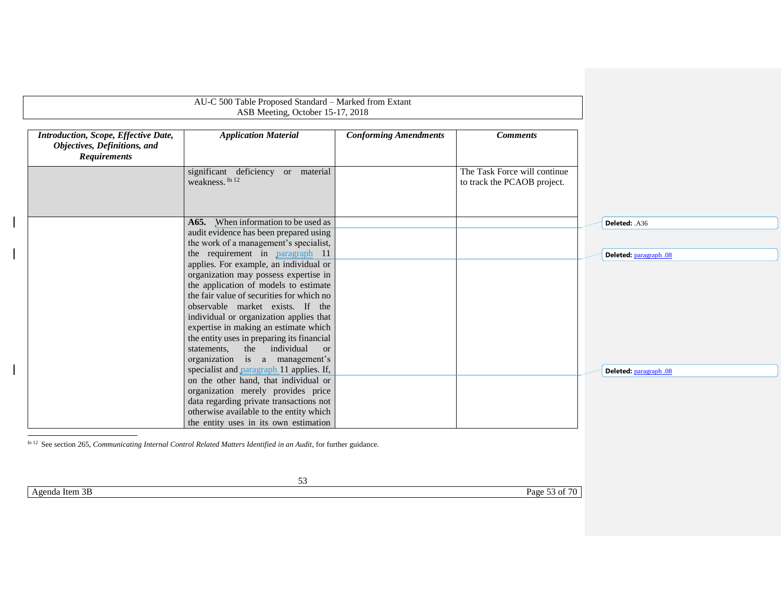|                        | <b>Comments</b>                                             | <b>Conforming Amendments</b> | <b>Application Material</b>                                               | Introduction, Scope, Effective Date,<br>Objectives, Definitions, and<br><b>Requirements</b> |
|------------------------|-------------------------------------------------------------|------------------------------|---------------------------------------------------------------------------|---------------------------------------------------------------------------------------------|
|                        | The Task Force will continue<br>to track the PCAOB project. |                              | significant deficiency or material<br>weakness. fn 12                     |                                                                                             |
| Deleted: .A36          |                                                             |                              | A65. When information to be used as                                       |                                                                                             |
|                        |                                                             |                              | audit evidence has been prepared using                                    |                                                                                             |
| Deleted: paragraph .08 |                                                             |                              | the work of a management's specialist,<br>the requirement in paragraph 11 |                                                                                             |
|                        |                                                             |                              | applies. For example, an individual or                                    |                                                                                             |
|                        |                                                             |                              | organization may possess expertise in                                     |                                                                                             |
|                        |                                                             |                              | the application of models to estimate                                     |                                                                                             |
|                        |                                                             |                              | the fair value of securities for which no                                 |                                                                                             |
|                        |                                                             |                              | observable market exists. If the                                          |                                                                                             |
|                        |                                                             |                              | individual or organization applies that                                   |                                                                                             |
|                        |                                                             |                              | expertise in making an estimate which                                     |                                                                                             |
|                        |                                                             |                              | the entity uses in preparing its financial<br>the individual              |                                                                                             |
|                        |                                                             |                              | statements,<br><sub>or</sub><br>organization is a management's            |                                                                                             |
| Deleted: paragraph .08 |                                                             |                              | specialist and paragraph 11 applies. If,                                  |                                                                                             |
|                        |                                                             |                              | on the other hand, that individual or                                     |                                                                                             |
|                        |                                                             |                              | organization merely provides price                                        |                                                                                             |
|                        |                                                             |                              | data regarding private transactions not                                   |                                                                                             |
|                        |                                                             |                              | otherwise available to the entity which                                   |                                                                                             |
|                        |                                                             |                              | the entity uses in its own estimation                                     |                                                                                             |

Agenda Item 3B Page 53 of 70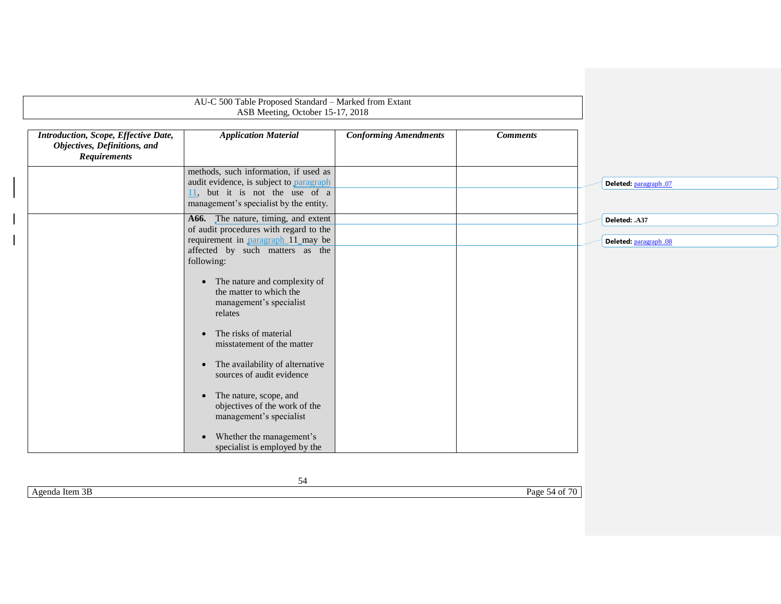|                                                                                             | ASB Meeting, October 15-17, 2018                                                                                                                             |                              |                 |                                         |
|---------------------------------------------------------------------------------------------|--------------------------------------------------------------------------------------------------------------------------------------------------------------|------------------------------|-----------------|-----------------------------------------|
| Introduction, Scope, Effective Date,<br>Objectives, Definitions, and<br><b>Requirements</b> | <b>Application Material</b>                                                                                                                                  | <b>Conforming Amendments</b> | <b>Comments</b> |                                         |
|                                                                                             | methods, such information, if used as<br>audit evidence, is subject to paragraph<br>11, but it is not the use of a<br>management's specialist by the entity. |                              |                 | Deleted: paragraph .07                  |
|                                                                                             | A66. The nature, timing, and extent<br>of audit procedures with regard to the<br>requirement in <b>paragraph</b> 11 may be                                   |                              |                 | Deleted: .A37<br>Deleted: paragraph .08 |
|                                                                                             | affected by such matters as the<br>following:<br>• The nature and complexity of<br>the matter to which the<br>management's specialist                        |                              |                 |                                         |
|                                                                                             | relates<br>The risks of material<br>$\bullet$<br>misstatement of the matter                                                                                  |                              |                 |                                         |
|                                                                                             | The availability of alternative<br>$\bullet$<br>sources of audit evidence                                                                                    |                              |                 |                                         |
|                                                                                             | The nature, scope, and<br>$\bullet$<br>objectives of the work of the<br>management's specialist                                                              |                              |                 |                                         |
|                                                                                             | Whether the management's<br>$\bullet$<br>specialist is employed by the                                                                                       |                              |                 |                                         |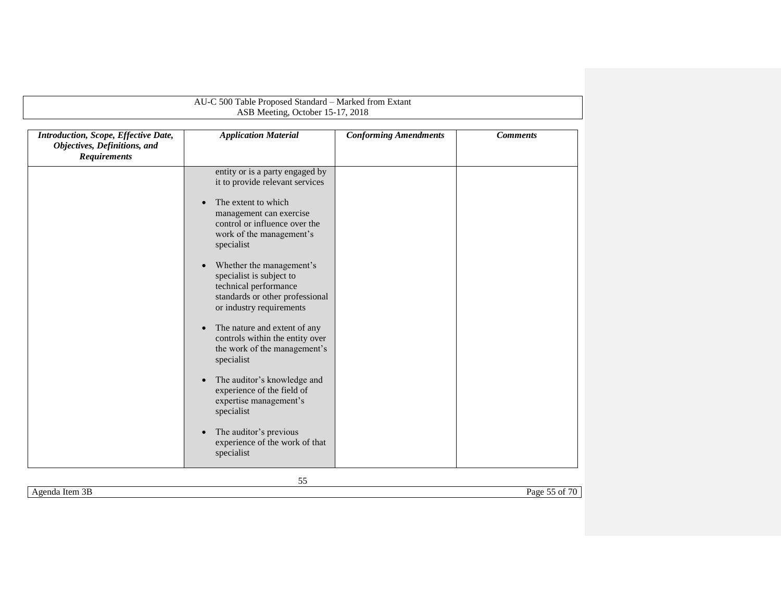|                                                                                             | AU-C 500 Table Proposed Standard - Marked from Extant<br>ASB Meeting, October 15-17, 2018                                                                                                                                                                                                                                                                                                                                                                                                                                                                                                                                                                    |                              |                 |
|---------------------------------------------------------------------------------------------|--------------------------------------------------------------------------------------------------------------------------------------------------------------------------------------------------------------------------------------------------------------------------------------------------------------------------------------------------------------------------------------------------------------------------------------------------------------------------------------------------------------------------------------------------------------------------------------------------------------------------------------------------------------|------------------------------|-----------------|
| Introduction, Scope, Effective Date,<br>Objectives, Definitions, and<br><b>Requirements</b> | <b>Application Material</b>                                                                                                                                                                                                                                                                                                                                                                                                                                                                                                                                                                                                                                  | <b>Conforming Amendments</b> | <b>Comments</b> |
|                                                                                             | entity or is a party engaged by<br>it to provide relevant services<br>The extent to which<br>management can exercise<br>control or influence over the<br>work of the management's<br>specialist<br>Whether the management's<br>specialist is subject to<br>technical performance<br>standards or other professional<br>or industry requirements<br>The nature and extent of any<br>controls within the entity over<br>the work of the management's<br>specialist<br>The auditor's knowledge and<br>$\bullet$<br>experience of the field of<br>expertise management's<br>specialist<br>The auditor's previous<br>experience of the work of that<br>specialist |                              |                 |

55

Agenda Item 3B Page 55 of 70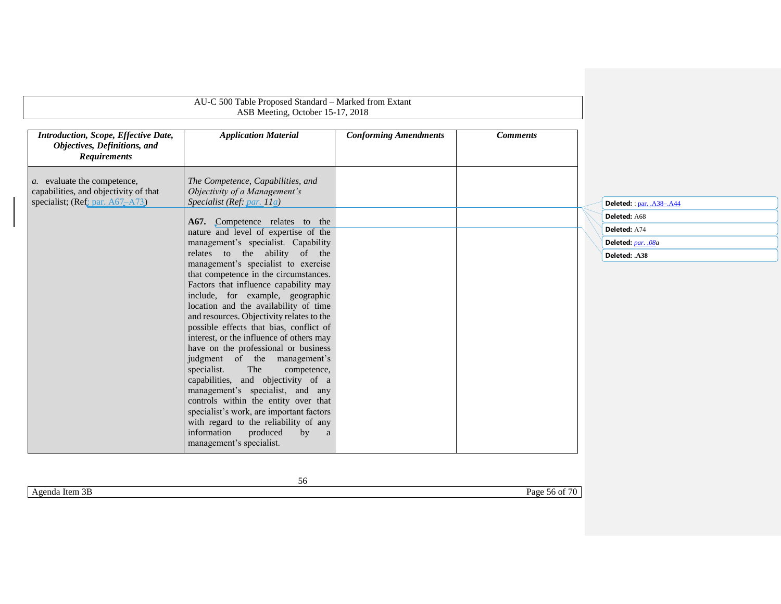<span id="page-55-1"></span><span id="page-55-0"></span>

| AU-C 500 Table Proposed Standard - Marked from Extant<br>ASB Meeting, October 15-17, 2018                       |                                                                                                     |                              |                 |                           |
|-----------------------------------------------------------------------------------------------------------------|-----------------------------------------------------------------------------------------------------|------------------------------|-----------------|---------------------------|
| Introduction, Scope, Effective Date,<br>Objectives, Definitions, and<br><b>Requirements</b>                     | <b>Application Material</b>                                                                         | <b>Conforming Amendments</b> | <b>Comments</b> |                           |
| <i>a</i> . evaluate the competence,<br>capabilities, and objectivity of that<br>specialist; (Ref; par. A67-A73) | The Competence, Capabilities, and<br>Objectivity of a Management's<br>Specialist (Ref: par. $11a$ ) |                              |                 | Deleted: : par. .A38-.A44 |
|                                                                                                                 |                                                                                                     |                              |                 | Deleted: A68              |
|                                                                                                                 | A67. Competence relates to the<br>nature and level of expertise of the                              |                              |                 | Deleted: A74              |
|                                                                                                                 | management's specialist. Capability                                                                 |                              |                 | Deleted: par. .08a        |
|                                                                                                                 | relates to the ability of the                                                                       |                              |                 | Deleted: .A38             |
|                                                                                                                 | management's specialist to exercise                                                                 |                              |                 |                           |
|                                                                                                                 | that competence in the circumstances.<br>Factors that influence capability may                      |                              |                 |                           |
|                                                                                                                 | include, for example, geographic                                                                    |                              |                 |                           |
|                                                                                                                 | location and the availability of time                                                               |                              |                 |                           |
|                                                                                                                 | and resources. Objectivity relates to the                                                           |                              |                 |                           |
|                                                                                                                 | possible effects that bias, conflict of                                                             |                              |                 |                           |
|                                                                                                                 | interest, or the influence of others may<br>have on the professional or business                    |                              |                 |                           |
|                                                                                                                 | judgment of the management's                                                                        |                              |                 |                           |
|                                                                                                                 | The<br>specialist.<br>competence,                                                                   |                              |                 |                           |
|                                                                                                                 | capabilities, and objectivity of a                                                                  |                              |                 |                           |
|                                                                                                                 | management's specialist, and any                                                                    |                              |                 |                           |
|                                                                                                                 | controls within the entity over that                                                                |                              |                 |                           |
|                                                                                                                 | specialist's work, are important factors<br>with regard to the reliability of any                   |                              |                 |                           |
|                                                                                                                 | information<br>produced<br>by<br>a                                                                  |                              |                 |                           |
|                                                                                                                 | management's specialist.                                                                            |                              |                 |                           |
|                                                                                                                 |                                                                                                     |                              |                 |                           |

Agenda Item 3B Page 56 of 70

56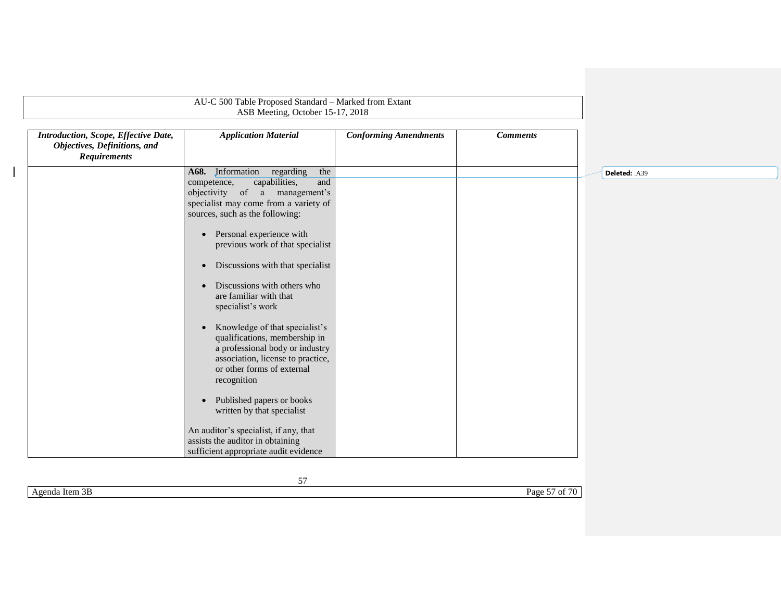|                                                                                             | AU-C 500 Table Proposed Standard - Marked from Extant<br>ASB Meeting, October 15-17, 2018                                                                                                                                                                                                                                                                                                                                                                                                                                                                                                                                                                                                                                                                                        |                              |                 |               |
|---------------------------------------------------------------------------------------------|----------------------------------------------------------------------------------------------------------------------------------------------------------------------------------------------------------------------------------------------------------------------------------------------------------------------------------------------------------------------------------------------------------------------------------------------------------------------------------------------------------------------------------------------------------------------------------------------------------------------------------------------------------------------------------------------------------------------------------------------------------------------------------|------------------------------|-----------------|---------------|
| Introduction, Scope, Effective Date,<br>Objectives, Definitions, and<br><b>Requirements</b> | <b>Application Material</b>                                                                                                                                                                                                                                                                                                                                                                                                                                                                                                                                                                                                                                                                                                                                                      | <b>Conforming Amendments</b> | <b>Comments</b> |               |
|                                                                                             | A68. Information<br>regarding<br>the<br>capabilities,<br>and<br>competence,<br>objectivity of a<br>management's<br>specialist may come from a variety of<br>sources, such as the following:<br>Personal experience with<br>$\bullet$<br>previous work of that specialist<br>Discussions with that specialist<br>$\bullet$<br>Discussions with others who<br>are familiar with that<br>specialist's work<br>Knowledge of that specialist's<br>qualifications, membership in<br>a professional body or industry<br>association, license to practice,<br>or other forms of external<br>recognition<br>Published papers or books<br>written by that specialist<br>An auditor's specialist, if any, that<br>assists the auditor in obtaining<br>sufficient appropriate audit evidence |                              |                 | Deleted: .A39 |

Agenda Item 3B Page 57 of 70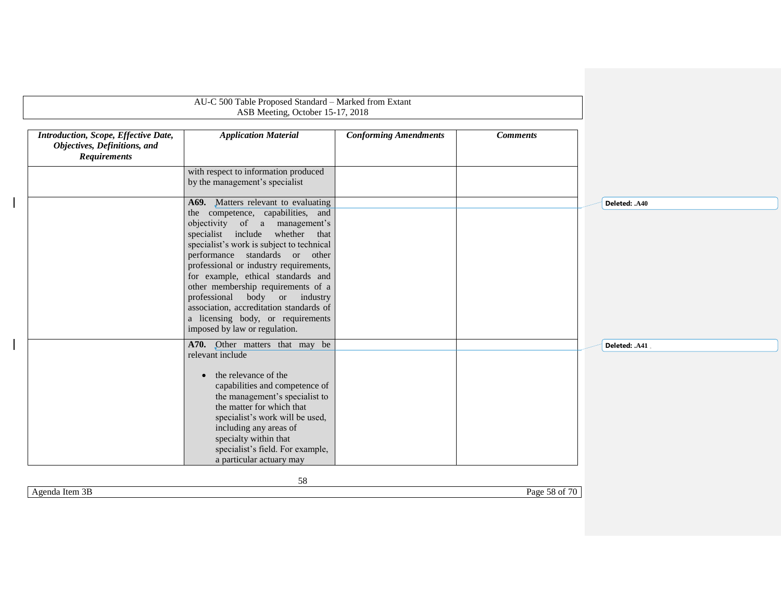|                                                                                             | ASB Meeting, October 15-17, 2018                                                                                                                                                                                                                                                                                                                                                                                                                             |                              |                 |               |
|---------------------------------------------------------------------------------------------|--------------------------------------------------------------------------------------------------------------------------------------------------------------------------------------------------------------------------------------------------------------------------------------------------------------------------------------------------------------------------------------------------------------------------------------------------------------|------------------------------|-----------------|---------------|
| Introduction, Scope, Effective Date,<br>Objectives, Definitions, and<br><b>Requirements</b> | <b>Application Material</b>                                                                                                                                                                                                                                                                                                                                                                                                                                  | <b>Conforming Amendments</b> | <b>Comments</b> |               |
|                                                                                             | with respect to information produced<br>by the management's specialist                                                                                                                                                                                                                                                                                                                                                                                       |                              |                 |               |
|                                                                                             | A69. Matters relevant to evaluating                                                                                                                                                                                                                                                                                                                                                                                                                          |                              |                 | Deleted: .A40 |
|                                                                                             | the competence, capabilities, and<br>objectivity of a management's<br>specialist include whether that<br>specialist's work is subject to technical<br>performance standards or other<br>professional or industry requirements,<br>for example, ethical standards and<br>other membership requirements of a<br>professional body or industry<br>association, accreditation standards of<br>a licensing body, or requirements<br>imposed by law or regulation. |                              |                 |               |
|                                                                                             | A70. Other matters that may be<br>relevant include<br>the relevance of the<br>$\bullet$<br>capabilities and competence of<br>the management's specialist to<br>the matter for which that<br>specialist's work will be used,<br>including any areas of<br>specialty within that<br>specialist's field. For example,<br>a particular actuary may                                                                                                               |                              |                 | Deleted: .A41 |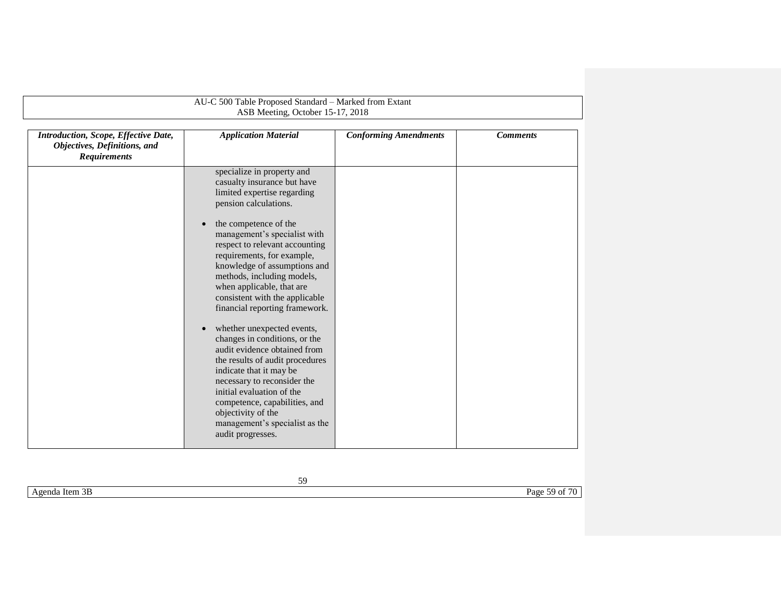| Introduction, Scope, Effective Date,<br>Objectives, Definitions, and<br><b>Requirements</b> | <b>Application Material</b>                                                                                                                                                                                                                                                                                                                                                                                                                                                                                                                                                                                                                                  | <b>Conforming Amendments</b> | <b>Comments</b> |
|---------------------------------------------------------------------------------------------|--------------------------------------------------------------------------------------------------------------------------------------------------------------------------------------------------------------------------------------------------------------------------------------------------------------------------------------------------------------------------------------------------------------------------------------------------------------------------------------------------------------------------------------------------------------------------------------------------------------------------------------------------------------|------------------------------|-----------------|
|                                                                                             | specialize in property and<br>casualty insurance but have<br>limited expertise regarding<br>pension calculations.<br>the competence of the<br>$\bullet$<br>management's specialist with<br>respect to relevant accounting<br>requirements, for example,<br>knowledge of assumptions and<br>methods, including models,<br>when applicable, that are<br>consistent with the applicable<br>financial reporting framework.<br>whether unexpected events,<br>$\bullet$<br>changes in conditions, or the<br>audit evidence obtained from<br>the results of audit procedures<br>indicate that it may be<br>necessary to reconsider the<br>initial evaluation of the |                              |                 |
|                                                                                             | competence, capabilities, and<br>objectivity of the<br>management's specialist as the<br>audit progresses.                                                                                                                                                                                                                                                                                                                                                                                                                                                                                                                                                   |                              |                 |

Agenda Item 3B Page 59 of 70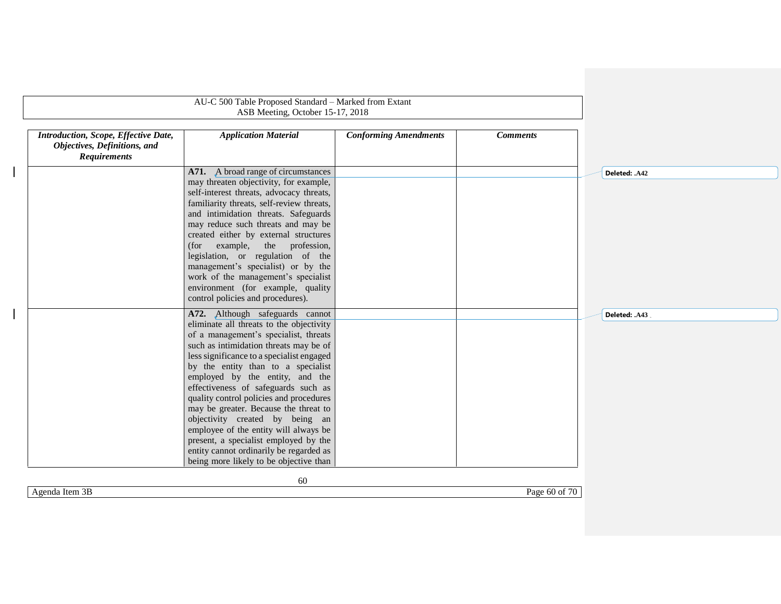|                                                                                             | AU-C 500 Table Proposed Standard - Marked from Extant<br>ASB Meeting, October 15-17, 2018                                                                                                                                                                                                                                                                                                                                                                                                |                              |                 |               |
|---------------------------------------------------------------------------------------------|------------------------------------------------------------------------------------------------------------------------------------------------------------------------------------------------------------------------------------------------------------------------------------------------------------------------------------------------------------------------------------------------------------------------------------------------------------------------------------------|------------------------------|-----------------|---------------|
| Introduction, Scope, Effective Date,<br>Objectives, Definitions, and<br><b>Requirements</b> | <b>Application Material</b>                                                                                                                                                                                                                                                                                                                                                                                                                                                              | <b>Conforming Amendments</b> | <b>Comments</b> |               |
|                                                                                             | A71. A broad range of circumstances<br>may threaten objectivity, for example,<br>self-interest threats, advocacy threats,<br>familiarity threats, self-review threats,<br>and intimidation threats. Safeguards<br>may reduce such threats and may be<br>created either by external structures<br>example, the profession,<br>(for<br>legislation, or regulation of the<br>management's specialist) or by the<br>work of the management's specialist<br>environment (for example, quality |                              |                 | Deleted: .A42 |
|                                                                                             | control policies and procedures).<br>A72. Although safeguards cannot<br>eliminate all threats to the objectivity<br>of a management's specialist, threats<br>such as intimidation threats may be of<br>less significance to a specialist engaged<br>by the entity than to a specialist<br>employed by the entity, and the<br>effectiveness of safeguards such as<br>quality control policies and procedures                                                                              |                              |                 | Deleted: .A43 |
|                                                                                             | may be greater. Because the threat to<br>objectivity created by being an<br>employee of the entity will always be<br>present, a specialist employed by the<br>entity cannot ordinarily be regarded as<br>being more likely to be objective than<br>60                                                                                                                                                                                                                                    |                              |                 |               |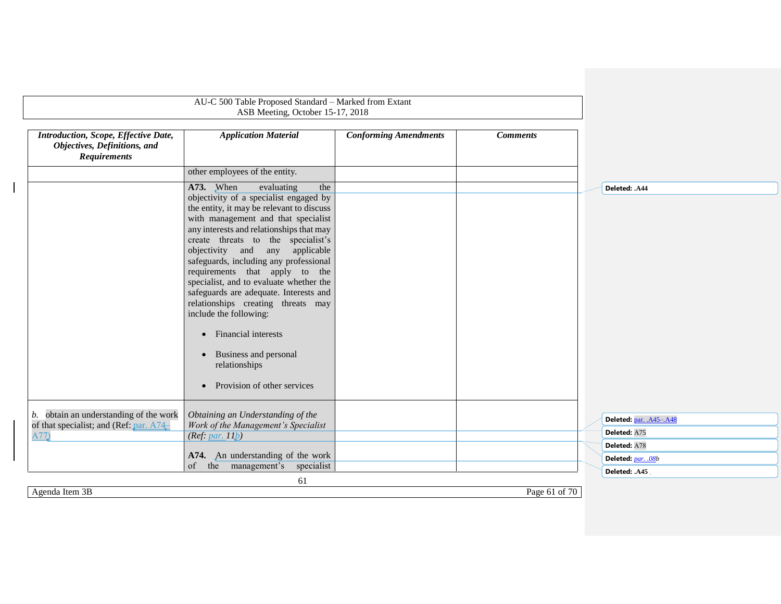<span id="page-60-1"></span><span id="page-60-0"></span>

|                                                                                             | AU-C 500 Table Proposed Standard - Marked from Extant<br>ASB Meeting, October 15-17, 2018                                                                                                                                                                                                                                                                                                                                                                                                                                                                                                                                                                       |                              |                 |                         |
|---------------------------------------------------------------------------------------------|-----------------------------------------------------------------------------------------------------------------------------------------------------------------------------------------------------------------------------------------------------------------------------------------------------------------------------------------------------------------------------------------------------------------------------------------------------------------------------------------------------------------------------------------------------------------------------------------------------------------------------------------------------------------|------------------------------|-----------------|-------------------------|
| Introduction, Scope, Effective Date,<br>Objectives, Definitions, and<br><b>Requirements</b> | <b>Application Material</b>                                                                                                                                                                                                                                                                                                                                                                                                                                                                                                                                                                                                                                     | <b>Conforming Amendments</b> | <b>Comments</b> |                         |
|                                                                                             | other employees of the entity.                                                                                                                                                                                                                                                                                                                                                                                                                                                                                                                                                                                                                                  |                              |                 |                         |
|                                                                                             | A73. When<br>evaluating<br>the<br>objectivity of a specialist engaged by<br>the entity, it may be relevant to discuss<br>with management and that specialist<br>any interests and relationships that may<br>create threats to the specialist's<br>objectivity and any applicable<br>safeguards, including any professional<br>requirements that apply to the<br>specialist, and to evaluate whether the<br>safeguards are adequate. Interests and<br>relationships creating threats may<br>include the following:<br><b>Financial interests</b><br>$\bullet$<br>Business and personal<br>$\bullet$<br>relationships<br>Provision of other services<br>$\bullet$ |                              |                 | Deleted: .A44           |
| b. obtain an understanding of the work                                                      | Obtaining an Understanding of the                                                                                                                                                                                                                                                                                                                                                                                                                                                                                                                                                                                                                               |                              |                 | Deleted: par. .A45-.A48 |
| of that specialist; and (Ref: par. A74-<br>A77                                              | Work of the Management's Specialist<br>(Ref: par. 11b)                                                                                                                                                                                                                                                                                                                                                                                                                                                                                                                                                                                                          |                              |                 | Deleted: A75            |
|                                                                                             |                                                                                                                                                                                                                                                                                                                                                                                                                                                                                                                                                                                                                                                                 |                              |                 | Deleted: A78            |
|                                                                                             | A74. An understanding of the work<br>the management's specialist<br>of                                                                                                                                                                                                                                                                                                                                                                                                                                                                                                                                                                                          |                              |                 | Deleted: par. .08b      |
|                                                                                             |                                                                                                                                                                                                                                                                                                                                                                                                                                                                                                                                                                                                                                                                 |                              |                 | Deleted: .A45           |
| Agenda Item 3B                                                                              | 61                                                                                                                                                                                                                                                                                                                                                                                                                                                                                                                                                                                                                                                              |                              | Page 61 of 70   |                         |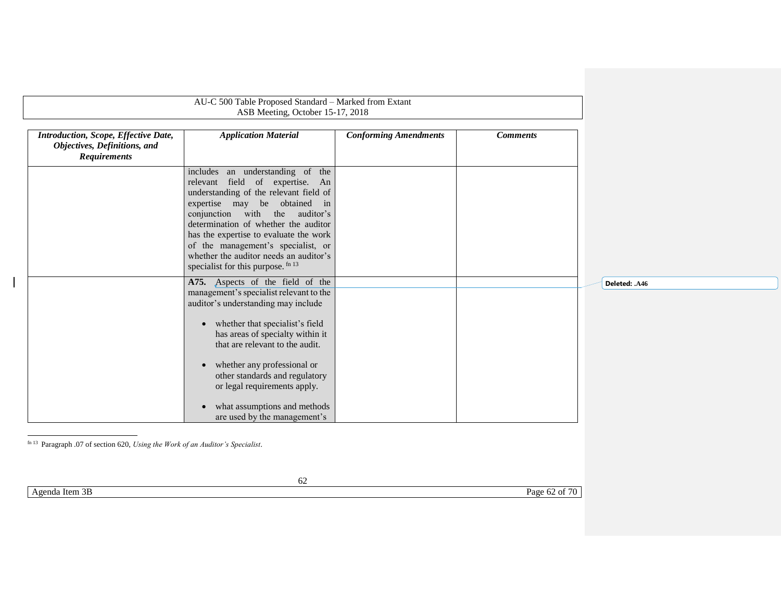|                                                                                             | AU-C 500 Table Proposed Standard - Marked from Extant<br>ASB Meeting, October 15-17, 2018                                                                                                            |                              |                 |               |
|---------------------------------------------------------------------------------------------|------------------------------------------------------------------------------------------------------------------------------------------------------------------------------------------------------|------------------------------|-----------------|---------------|
| Introduction, Scope, Effective Date,<br>Objectives, Definitions, and<br><b>Requirements</b> | <b>Application Material</b>                                                                                                                                                                          | <b>Conforming Amendments</b> | <b>Comments</b> |               |
|                                                                                             | includes an understanding of the<br>relevant field of expertise. An<br>understanding of the relevant field of<br>expertise may be obtained in<br>conjunction with the auditor's                      |                              |                 |               |
|                                                                                             | determination of whether the auditor<br>has the expertise to evaluate the work<br>of the management's specialist, or<br>whether the auditor needs an auditor's<br>specialist for this purpose. fn 13 |                              |                 |               |
|                                                                                             | A75. Aspects of the field of the<br>management's specialist relevant to the<br>auditor's understanding may include                                                                                   |                              |                 | Deleted: .A46 |
|                                                                                             | • whether that specialist's field<br>has areas of specialty within it<br>that are relevant to the audit.                                                                                             |                              |                 |               |
|                                                                                             | • whether any professional or<br>other standards and regulatory<br>or legal requirements apply.                                                                                                      |                              |                 |               |
|                                                                                             | what assumptions and methods<br>$\bullet$<br>are used by the management's                                                                                                                            |                              |                 |               |
| fn 13 Paragraph .07 of section 620, Using the Work of an Auditor's Specialist.              |                                                                                                                                                                                                      |                              |                 |               |
|                                                                                             | 62                                                                                                                                                                                                   |                              |                 |               |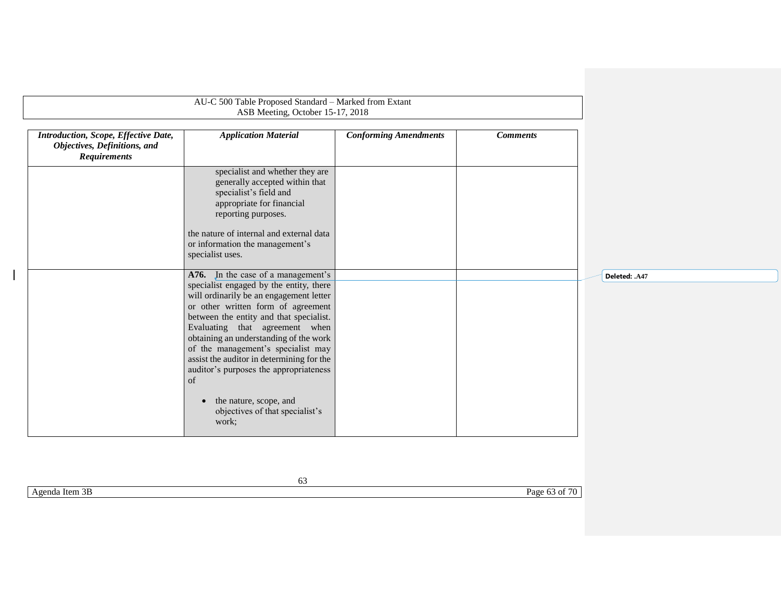|                                                                                             | AU-C 500 Table Proposed Standard - Marked from Extant<br>ASB Meeting, October 15-17, 2018                                                                                                                                                                                                                                                                                                                                                                       |                              |                 |               |
|---------------------------------------------------------------------------------------------|-----------------------------------------------------------------------------------------------------------------------------------------------------------------------------------------------------------------------------------------------------------------------------------------------------------------------------------------------------------------------------------------------------------------------------------------------------------------|------------------------------|-----------------|---------------|
| Introduction, Scope, Effective Date,<br>Objectives, Definitions, and<br><b>Requirements</b> | <b>Application Material</b>                                                                                                                                                                                                                                                                                                                                                                                                                                     | <b>Conforming Amendments</b> | <b>Comments</b> |               |
|                                                                                             | specialist and whether they are<br>generally accepted within that<br>specialist's field and<br>appropriate for financial<br>reporting purposes.                                                                                                                                                                                                                                                                                                                 |                              |                 |               |
|                                                                                             | the nature of internal and external data<br>or information the management's<br>specialist uses.                                                                                                                                                                                                                                                                                                                                                                 |                              |                 |               |
|                                                                                             | A76. In the case of a management's<br>specialist engaged by the entity, there<br>will ordinarily be an engagement letter<br>or other written form of agreement<br>between the entity and that specialist.<br>Evaluating that agreement when<br>obtaining an understanding of the work<br>of the management's specialist may<br>assist the auditor in determining for the<br>auditor's purposes the appropriateness<br>of<br>the nature, scope, and<br>$\bullet$ |                              |                 | Deleted: .A47 |
|                                                                                             | objectives of that specialist's<br>work;                                                                                                                                                                                                                                                                                                                                                                                                                        |                              |                 |               |
|                                                                                             | 63                                                                                                                                                                                                                                                                                                                                                                                                                                                              |                              |                 |               |

Agenda Item 3B Page 63 of 70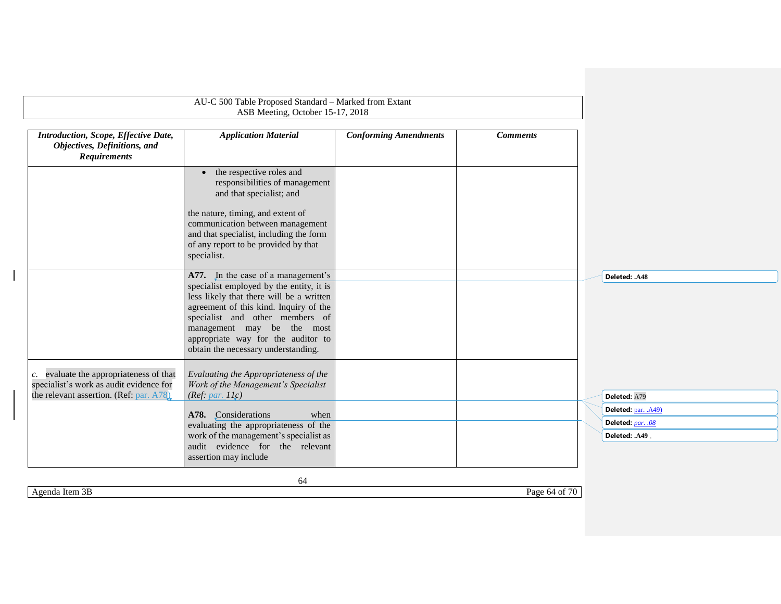<span id="page-63-1"></span>

|                                                                                                                               | AU-C 500 Table Proposed Standard - Marked from Extant<br>ASB Meeting, October 15-17, 2018                                                                                                                                                                                                                          |                              |                 |                      |
|-------------------------------------------------------------------------------------------------------------------------------|--------------------------------------------------------------------------------------------------------------------------------------------------------------------------------------------------------------------------------------------------------------------------------------------------------------------|------------------------------|-----------------|----------------------|
| Introduction, Scope, Effective Date,<br>Objectives, Definitions, and<br><b>Requirements</b>                                   | <b>Application Material</b>                                                                                                                                                                                                                                                                                        | <b>Conforming Amendments</b> | <b>Comments</b> |                      |
|                                                                                                                               | the respective roles and<br>$\bullet$<br>responsibilities of management<br>and that specialist; and                                                                                                                                                                                                                |                              |                 |                      |
|                                                                                                                               | the nature, timing, and extent of<br>communication between management<br>and that specialist, including the form<br>of any report to be provided by that<br>specialist.                                                                                                                                            |                              |                 |                      |
|                                                                                                                               | A77. In the case of a management's<br>specialist employed by the entity, it is<br>less likely that there will be a written<br>agreement of this kind. Inquiry of the<br>specialist and other members of<br>management may be the most<br>appropriate way for the auditor to<br>obtain the necessary understanding. |                              |                 | Deleted: .A48        |
| c. evaluate the appropriateness of that<br>specialist's work as audit evidence for<br>the relevant assertion. (Ref: par. A78) | Evaluating the Appropriateness of the<br>Work of the Management's Specialist<br>(Ref: $par. 11c$ )                                                                                                                                                                                                                 |                              |                 | Deleted: A79         |
|                                                                                                                               | A78. Considerations<br>when                                                                                                                                                                                                                                                                                        |                              |                 | Deleted: par. . A49) |
|                                                                                                                               | evaluating the appropriateness of the                                                                                                                                                                                                                                                                              |                              |                 | Deleted: par. . 08   |
|                                                                                                                               | work of the management's specialist as<br>audit evidence for the relevant<br>assertion may include                                                                                                                                                                                                                 |                              |                 | Deleted: .A49.       |

<span id="page-63-0"></span>Agenda Item 3B Page 64 of 70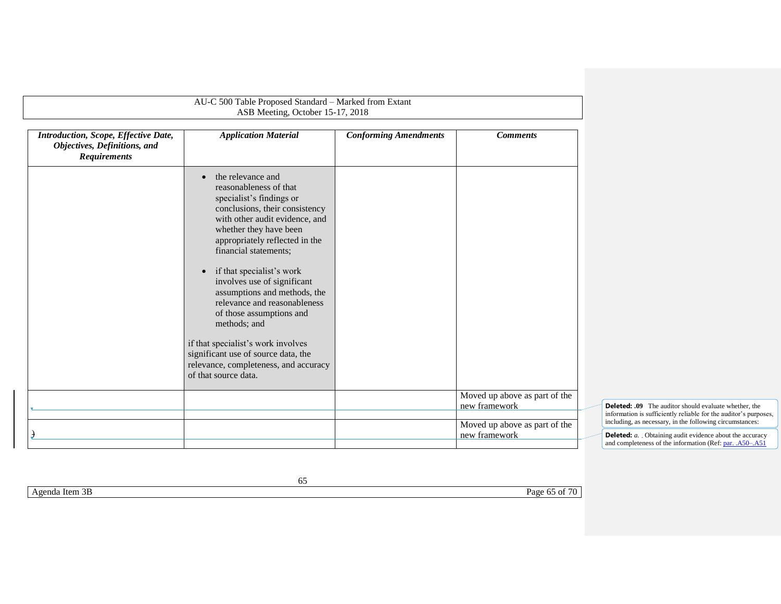<span id="page-64-0"></span>

|                                                                                                    | AU-C 500 Table Proposed Standard - Marked from Extant<br>ASB Meeting, October 15-17, 2018                                                                                                                                                                                                                                                                                                                                                                                                                                                                                        |                              |                                                |                                                                                                                                                                                              |
|----------------------------------------------------------------------------------------------------|----------------------------------------------------------------------------------------------------------------------------------------------------------------------------------------------------------------------------------------------------------------------------------------------------------------------------------------------------------------------------------------------------------------------------------------------------------------------------------------------------------------------------------------------------------------------------------|------------------------------|------------------------------------------------|----------------------------------------------------------------------------------------------------------------------------------------------------------------------------------------------|
| <b>Introduction, Scope, Effective Date,</b><br>Objectives, Definitions, and<br><b>Requirements</b> | <b>Application Material</b>                                                                                                                                                                                                                                                                                                                                                                                                                                                                                                                                                      | <b>Conforming Amendments</b> | <b>Comments</b>                                |                                                                                                                                                                                              |
|                                                                                                    | the relevance and<br>$\bullet$<br>reasonableness of that<br>specialist's findings or<br>conclusions, their consistency<br>with other audit evidence, and<br>whether they have been<br>appropriately reflected in the<br>financial statements;<br>if that specialist's work<br>$\bullet$<br>involves use of significant<br>assumptions and methods, the<br>relevance and reasonableness<br>of those assumptions and<br>methods; and<br>if that specialist's work involves<br>significant use of source data, the<br>relevance, completeness, and accuracy<br>of that source data. |                              |                                                |                                                                                                                                                                                              |
|                                                                                                    |                                                                                                                                                                                                                                                                                                                                                                                                                                                                                                                                                                                  |                              | Moved up above as part of the<br>new framework | <b>Deleted: .09</b> The auditor should evaluate whether, the<br>information is sufficiently reliable for the auditor's purposes,<br>including, as necessary, in the following circumstances: |
|                                                                                                    |                                                                                                                                                                                                                                                                                                                                                                                                                                                                                                                                                                                  |                              | Moved up above as part of the<br>new framework | <b>Deleted:</b> <i>a.</i> . Obtaining audit evidence about the accuracy<br>and completeness of the information (Ref: par. .A50–.A51                                                          |

Agenda Item 3B Page 65 of 70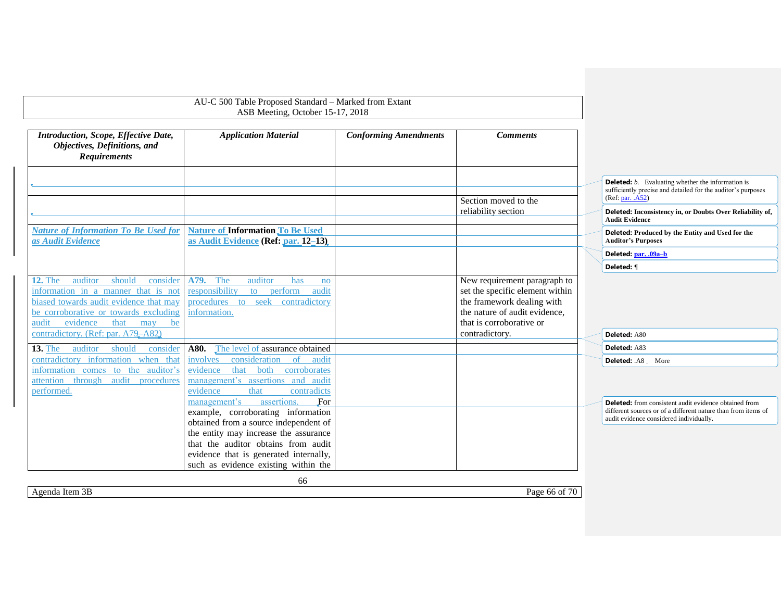<span id="page-65-2"></span><span id="page-65-0"></span>

|                                                                                                                                                                                                                                                           | ASB Meeting, October 15-17, 2018                                                                                                                                                                                                                                                    | AU-C 500 Table Proposed Standard - Marked from Extant                                                                                                                        |                                                                                                                                                                          |
|-----------------------------------------------------------------------------------------------------------------------------------------------------------------------------------------------------------------------------------------------------------|-------------------------------------------------------------------------------------------------------------------------------------------------------------------------------------------------------------------------------------------------------------------------------------|------------------------------------------------------------------------------------------------------------------------------------------------------------------------------|--------------------------------------------------------------------------------------------------------------------------------------------------------------------------|
| Introduction, Scope, Effective Date,<br>Objectives, Definitions, and<br><b>Requirements</b>                                                                                                                                                               | <b>Application Material</b>                                                                                                                                                                                                                                                         | <b>Conforming Amendments</b><br><b>Comments</b>                                                                                                                              |                                                                                                                                                                          |
|                                                                                                                                                                                                                                                           |                                                                                                                                                                                                                                                                                     | Section moved to the                                                                                                                                                         | <b>Deleted:</b> <i>b.</i> Evaluating whether the information is<br>sufficiently precise and detailed for the auditor's purposes<br>(Ref: par. . A52)                     |
|                                                                                                                                                                                                                                                           |                                                                                                                                                                                                                                                                                     | reliability section                                                                                                                                                          | Deleted: Inconsistency in, or Doubts Over Reliability of,<br><b>Audit Evidence</b>                                                                                       |
| <b>Nature of Information To Be Used for</b><br>as Audit Evidence                                                                                                                                                                                          | <b>Nature of Information To Be Used</b><br>as Audit Evidence (Ref: par. 12-13).                                                                                                                                                                                                     |                                                                                                                                                                              | Deleted: Produced by the Entity and Used for the<br><b>Auditor's Purposes</b>                                                                                            |
|                                                                                                                                                                                                                                                           |                                                                                                                                                                                                                                                                                     |                                                                                                                                                                              | Deleted: par. .09a-b                                                                                                                                                     |
|                                                                                                                                                                                                                                                           |                                                                                                                                                                                                                                                                                     |                                                                                                                                                                              | Deleted: ¶                                                                                                                                                               |
| auditor<br>should<br>consider<br><b>12. The</b><br>information in a manner that is not<br>biased towards audit evidence that may<br>be corroborative or towards excluding<br>evidence<br>audit<br>that<br>be<br>may<br>contradictory. (Ref: par. A79–A82) | The<br>A79.<br>auditor<br>has<br>no<br>responsibility<br>to perform<br>audit<br>contradictory<br>procedures to seek<br>information.                                                                                                                                                 | New requirement paragraph to<br>set the specific element within<br>the framework dealing with<br>the nature of audit evidence,<br>that is corroborative or<br>contradictory. | Deleted: A80                                                                                                                                                             |
| auditor<br><b>13. The</b><br>should<br>consider                                                                                                                                                                                                           | <b>A80.</b> The level of assurance obtained                                                                                                                                                                                                                                         |                                                                                                                                                                              | Deleted: A83                                                                                                                                                             |
| contradictory information when that<br>information comes to the auditor's<br>attention through audit procedures<br>performed.                                                                                                                             | consideration<br>involves<br><sub>of</sub><br>audit<br>that both<br>evidence<br>corroborates<br>management's assertions and audit<br>contradicts<br>evidence<br>that                                                                                                                |                                                                                                                                                                              | <b>Deleted: .A8 More</b>                                                                                                                                                 |
|                                                                                                                                                                                                                                                           | assertions.<br>management's<br>For<br>example, corroborating information<br>obtained from a source independent of<br>the entity may increase the assurance<br>that the auditor obtains from audit<br>evidence that is generated internally,<br>such as evidence existing within the |                                                                                                                                                                              | <b>Deleted:</b> from consistent audit evidence obtained from<br>different sources or of a different nature than from items of<br>audit evidence considered individually. |

<span id="page-65-1"></span>Agenda Item 3B Page 66 of 70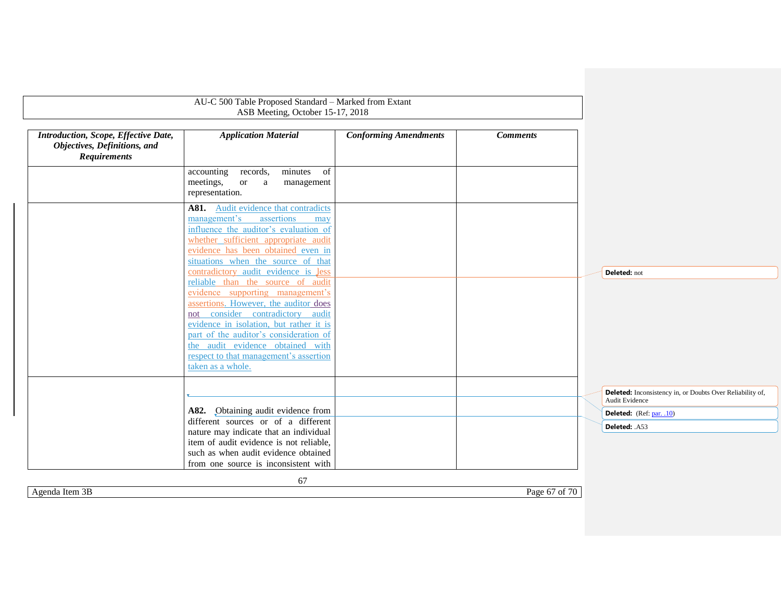|                                                                                             | AU-C 500 Table Proposed Standard - Marked from Extant<br>ASB Meeting, October 15-17, 2018                                                                                                                                                                                                                                                  |                              |                 |                                                                             |
|---------------------------------------------------------------------------------------------|--------------------------------------------------------------------------------------------------------------------------------------------------------------------------------------------------------------------------------------------------------------------------------------------------------------------------------------------|------------------------------|-----------------|-----------------------------------------------------------------------------|
| Introduction, Scope, Effective Date,<br>Objectives, Definitions, and<br><b>Requirements</b> | <b>Application Material</b>                                                                                                                                                                                                                                                                                                                | <b>Conforming Amendments</b> | <b>Comments</b> |                                                                             |
|                                                                                             | accounting<br>records,<br>minutes<br>of<br>meetings,<br><sub>or</sub><br><sub>a</sub><br>management<br>representation.                                                                                                                                                                                                                     |                              |                 |                                                                             |
|                                                                                             | Audit evidence that contradicts<br>A81.<br>assertions<br>management's<br>may<br>influence the auditor's evaluation of<br>whether sufficient appropriate audit<br>evidence has been obtained even in<br>situations when the source of that                                                                                                  |                              |                 |                                                                             |
|                                                                                             | contradictory audit evidence is less                                                                                                                                                                                                                                                                                                       |                              |                 | Deleted: not                                                                |
|                                                                                             | reliable than the source of audit<br>evidence supporting management's<br>assertions. However, the auditor does<br>not consider contradictory audit<br>evidence in isolation, but rather it is<br>part of the auditor's consideration of<br>the audit evidence obtained with<br>respect to that management's assertion<br>taken as a whole. |                              |                 |                                                                             |
|                                                                                             |                                                                                                                                                                                                                                                                                                                                            |                              |                 | Deleted: Inconsistency in, or Doubts Over Reliability of,<br>Audit Evidence |
|                                                                                             | A82. Obtaining audit evidence from                                                                                                                                                                                                                                                                                                         |                              |                 | Deleted: (Ref: par. .10)                                                    |
|                                                                                             | different sources or of a different<br>nature may indicate that an individual<br>item of audit evidence is not reliable,<br>such as when audit evidence obtained<br>from one source is inconsistent with<br>67                                                                                                                             |                              |                 | Deleted: .A53                                                               |

<span id="page-66-0"></span>Agenda Item 3B Page 67 of 70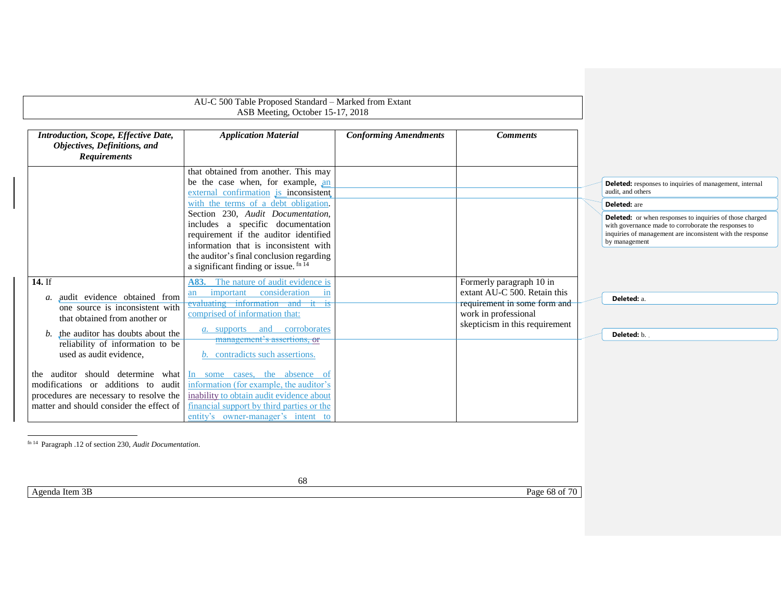<span id="page-67-1"></span><span id="page-67-0"></span>

|                                                                                                                                                                                                                     | AU-C 500 Table Proposed Standard - Marked from Extant<br>ASB Meeting, October 15-17, 2018                                                                                                                                                                   |                              |                                                                                                                                                    |                                                                                                                                                                                                        |
|---------------------------------------------------------------------------------------------------------------------------------------------------------------------------------------------------------------------|-------------------------------------------------------------------------------------------------------------------------------------------------------------------------------------------------------------------------------------------------------------|------------------------------|----------------------------------------------------------------------------------------------------------------------------------------------------|--------------------------------------------------------------------------------------------------------------------------------------------------------------------------------------------------------|
| Introduction, Scope, Effective Date,<br>Objectives, Definitions, and<br><b>Requirements</b>                                                                                                                         | <b>Application Material</b>                                                                                                                                                                                                                                 | <b>Conforming Amendments</b> | <b>Comments</b>                                                                                                                                    |                                                                                                                                                                                                        |
|                                                                                                                                                                                                                     | that obtained from another. This may<br>be the case when, for example, an<br>external confirmation is inconsistent                                                                                                                                          |                              |                                                                                                                                                    | <b>Deleted:</b> responses to inquiries of management, internal<br>audit, and others                                                                                                                    |
|                                                                                                                                                                                                                     | with the terms of a debt obligation.                                                                                                                                                                                                                        |                              |                                                                                                                                                    | <b>Deleted:</b> are                                                                                                                                                                                    |
|                                                                                                                                                                                                                     | Section 230, Audit Documentation,<br>includes a specific documentation<br>requirement if the auditor identified<br>information that is inconsistent with<br>the auditor's final conclusion regarding<br>a significant finding or issue. fn 14               |                              |                                                                                                                                                    | <b>Deleted:</b> or when responses to inquiries of those charged<br>with governance made to corroborate the responses to<br>inquiries of management are inconsistent with the response<br>by management |
| 14. If<br>a. audit evidence obtained from<br>one source is inconsistent with<br>that obtained from another or<br>b. the auditor has doubts about the<br>reliability of information to be<br>used as audit evidence, | A83. The nature of audit evidence is<br>important consideration<br>in<br>an<br>evaluating information and it is<br>comprised of information that:<br><i>a</i> . supports and corroborates<br>management's assertions, or<br>b. contradicts such assertions. |                              | Formerly paragraph 10 in<br>extant AU-C 500. Retain this<br>requirement in some form and<br>work in professional<br>skepticism in this requirement | Deleted: a.<br>Deleted: b.                                                                                                                                                                             |
| the auditor should determine what<br>modifications or additions to audit<br>procedures are necessary to resolve the<br>matter and should consider the effect of                                                     | In some cases, the absence of<br>information (for example, the auditor's<br>inability to obtain audit evidence about<br>financial support by third parties or the<br>entity's owner-manager's intent to                                                     |                              |                                                                                                                                                    |                                                                                                                                                                                                        |
| fn 14 Paragraph .12 of section 230, Audit Documentation.                                                                                                                                                            |                                                                                                                                                                                                                                                             |                              |                                                                                                                                                    |                                                                                                                                                                                                        |
|                                                                                                                                                                                                                     | 68                                                                                                                                                                                                                                                          |                              |                                                                                                                                                    |                                                                                                                                                                                                        |
| Agenda Item 3B                                                                                                                                                                                                      |                                                                                                                                                                                                                                                             |                              | Page 68 of 70                                                                                                                                      |                                                                                                                                                                                                        |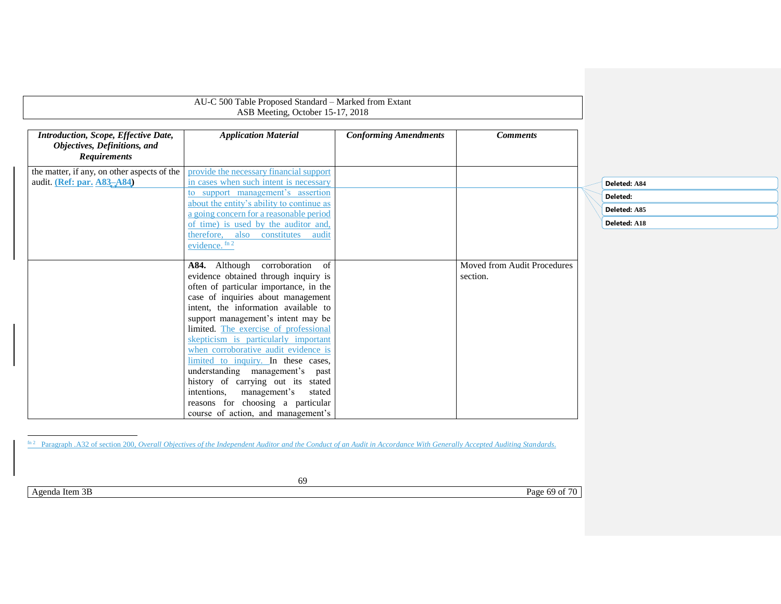|                                                                                                    | AU-C 500 Table Proposed Standard – Marked from Extant<br>ASB Meeting, October 15-17, 2018                                                                                                                                                                                                                                                                                                                                                                                                                                                                                                               |                              |                                         |  |
|----------------------------------------------------------------------------------------------------|---------------------------------------------------------------------------------------------------------------------------------------------------------------------------------------------------------------------------------------------------------------------------------------------------------------------------------------------------------------------------------------------------------------------------------------------------------------------------------------------------------------------------------------------------------------------------------------------------------|------------------------------|-----------------------------------------|--|
| <b>Introduction, Scope, Effective Date,</b><br>Objectives, Definitions, and<br><b>Requirements</b> | <b>Application Material</b>                                                                                                                                                                                                                                                                                                                                                                                                                                                                                                                                                                             | <b>Conforming Amendments</b> | <b>Comments</b>                         |  |
| the matter, if any, on other aspects of the<br>audit. (Ref: par. A83-A84)                          | provide the necessary financial support<br>in cases when such intent is necessary<br>to support management's assertion<br>about the entity's ability to continue as<br>a going concern for a reasonable period<br>of time) is used by the auditor and,<br>therefore, also<br>constitutes<br>audit<br>evidence. $fn 2$                                                                                                                                                                                                                                                                                   |                              |                                         |  |
|                                                                                                    | A84. Although corroboration<br>of<br>evidence obtained through inquiry is<br>often of particular importance, in the<br>case of inquiries about management<br>intent, the information available to<br>support management's intent may be<br>limited. The exercise of professional<br>skepticism is particularly important<br>when corroborative audit evidence is<br>limited to inquiry. In these cases,<br>understanding management's<br>past<br>history of carrying out its stated<br>intentions.<br>management's<br>stated<br>reasons for choosing a particular<br>course of action, and management's |                              | Moved from Audit Procedures<br>section. |  |

| Deleted: A84 |
|--------------|
| Deleted:     |
| Deleted: A85 |
| Deleted: A18 |

<span id="page-68-0"></span>l fin 2 Paragraph .A32 of section 200, *Overall Objectives of the Independent Auditor and the Conduct of an Audit in Accordance With Generally Accepted Auditing Standards.* 

Agenda Item 3B Page 69 of 70